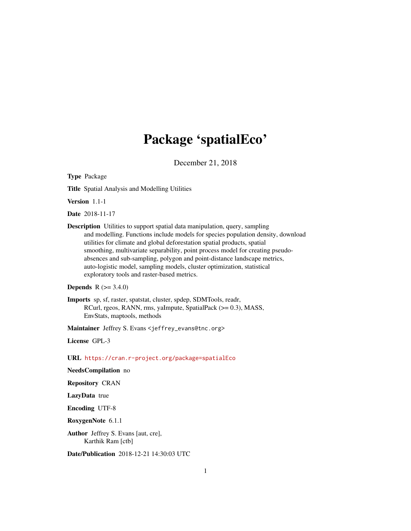# Package 'spatialEco'

December 21, 2018

<span id="page-0-0"></span>Type Package

Title Spatial Analysis and Modelling Utilities

Version 1.1-1

Date 2018-11-17

Description Utilities to support spatial data manipulation, query, sampling and modelling. Functions include models for species population density, download utilities for climate and global deforestation spatial products, spatial smoothing, multivariate separability, point process model for creating pseudoabsences and sub-sampling, polygon and point-distance landscape metrics, auto-logistic model, sampling models, cluster optimization, statistical exploratory tools and raster-based metrics.

```
Depends R (>= 3.4.0)
```
Imports sp, sf, raster, spatstat, cluster, spdep, SDMTools, readr, RCurl, rgeos, RANN, rms, yaImpute, SpatialPack (>= 0.3), MASS, EnvStats, maptools, methods

Maintainer Jeffrey S. Evans <jeffrey\_evans@tnc.org>

License GPL-3

URL <https://cran.r-project.org/package=spatialEco>

NeedsCompilation no

Repository CRAN

LazyData true

Encoding UTF-8

RoxygenNote 6.1.1

Author Jeffrey S. Evans [aut, cre], Karthik Ram [ctb]

Date/Publication 2018-12-21 14:30:03 UTC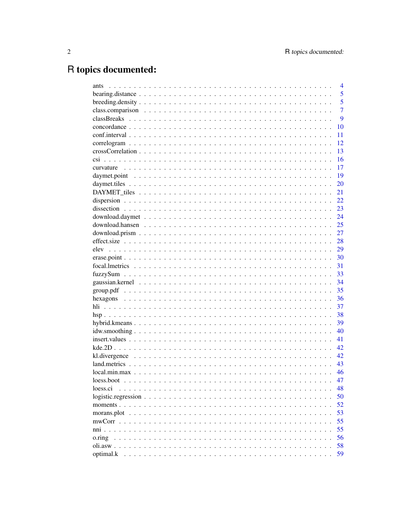# R topics documented:

| ants                                                                                                                  | $\overline{4}$ |
|-----------------------------------------------------------------------------------------------------------------------|----------------|
|                                                                                                                       | 5              |
|                                                                                                                       | 5              |
|                                                                                                                       | $\overline{7}$ |
|                                                                                                                       | 9              |
|                                                                                                                       | 10             |
|                                                                                                                       | 11             |
|                                                                                                                       | 12             |
|                                                                                                                       | 13             |
|                                                                                                                       | 16             |
|                                                                                                                       | 17             |
|                                                                                                                       | 19             |
|                                                                                                                       | 20             |
|                                                                                                                       | 21             |
|                                                                                                                       | 22             |
|                                                                                                                       | 23             |
|                                                                                                                       | 24             |
|                                                                                                                       | 25             |
|                                                                                                                       | 27             |
|                                                                                                                       | 28             |
| elev                                                                                                                  | 29             |
|                                                                                                                       | 30             |
|                                                                                                                       | 31             |
|                                                                                                                       | 33             |
|                                                                                                                       | 34             |
|                                                                                                                       | 35             |
|                                                                                                                       | 36             |
|                                                                                                                       | 37             |
|                                                                                                                       | 38             |
|                                                                                                                       | 39             |
|                                                                                                                       | 40             |
| $insert.values \dots \dots \dots \dots \dots \dots \dots \dots \dots \dots \dots \dots \dots \dots \dots \dots \dots$ | 41             |
|                                                                                                                       | 42             |
|                                                                                                                       | 42             |
|                                                                                                                       | 43             |
|                                                                                                                       | 46             |
|                                                                                                                       | 47             |
| loess.ci                                                                                                              | 48             |
| $logistic. regression \dots \dots \dots \dots \dots \dots \dots \dots \dots \dots \dots \dots \dots$                  | 50             |
|                                                                                                                       | 52             |
|                                                                                                                       | 53             |
|                                                                                                                       | 55             |
|                                                                                                                       | 55             |
| o.ring                                                                                                                | 56             |
|                                                                                                                       | 58             |
| optimal.k                                                                                                             | 59             |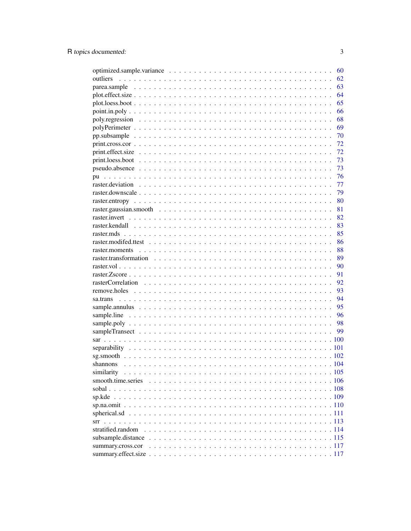|                   | 60 |
|-------------------|----|
| outliers          | 62 |
|                   | 63 |
|                   | 64 |
|                   | 65 |
|                   | 66 |
|                   | 68 |
|                   | 69 |
|                   | 70 |
|                   | 72 |
|                   | 72 |
|                   | 73 |
|                   | 73 |
| pu                | 76 |
|                   | 77 |
|                   | 79 |
|                   | 80 |
|                   | 81 |
|                   | 82 |
|                   | 83 |
|                   | 85 |
|                   | 86 |
|                   | 88 |
|                   | 89 |
|                   | 90 |
|                   | 91 |
|                   | 92 |
|                   | 93 |
|                   | 94 |
|                   | 95 |
|                   | 96 |
|                   | 98 |
|                   | 99 |
|                   |    |
|                   |    |
|                   |    |
|                   |    |
| similarity        |    |
|                   |    |
|                   |    |
|                   |    |
|                   |    |
|                   |    |
| srr               |    |
| stratified.random |    |
|                   |    |
| summary.cross.cor |    |
|                   |    |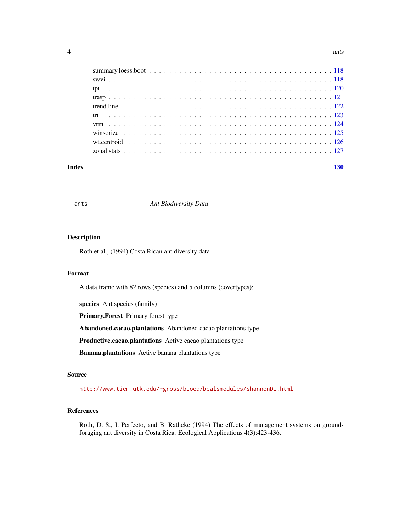<span id="page-3-0"></span>

#### **Index** 2008 **[130](#page-129-0)**

ants *Ant Biodiversity Data*

#### Description

Roth et al., (1994) Costa Rican ant diversity data

# Format

A data.frame with 82 rows (species) and 5 columns (covertypes):

species Ant species (family)

Primary.Forest Primary forest type

Abandoned.cacao.plantations Abandoned cacao plantations type

Productive.cacao.plantations Active cacao plantations type

Banana.plantations Active banana plantations type

#### Source

<http://www.tiem.utk.edu/~gross/bioed/bealsmodules/shannonDI.html>

# References

Roth, D. S., I. Perfecto, and B. Rathcke (1994) The effects of management systems on groundforaging ant diversity in Costa Rica. Ecological Applications 4(3):423-436.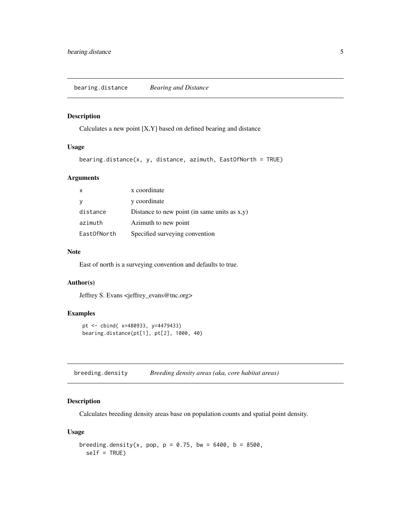<span id="page-4-0"></span>bearing.distance *Bearing and Distance*

## Description

Calculates a new point [X,Y] based on defined bearing and distance

# Usage

```
bearing.distance(x, y, distance, azimuth, EastOfNorth = TRUE)
```
# Arguments

| $\mathsf{x}$ | x coordinate                                    |
|--------------|-------------------------------------------------|
| <b>y</b>     | y coordinate                                    |
| distance     | Distance to new point (in same units as $x,y$ ) |
| azimuth      | Azimuth to new point                            |
| EastOfNorth  | Specified surveying convention                  |

#### Note

East of north is a surveying convention and defaults to true.

#### Author(s)

Jeffrey S. Evans <jeffrey\_evans@tnc.org>

# Examples

```
pt <- cbind( x=480933, y=4479433)
bearing.distance(pt[1], pt[2], 1000, 40)
```
breeding.density *Breeding density areas (aka, core habitat areas)*

# Description

Calculates breeding density areas base on population counts and spatial point density.

# Usage

```
breeding.density(x, pop, p = 0.75, bw = 6400, b = 8500,
 self = TRUE)
```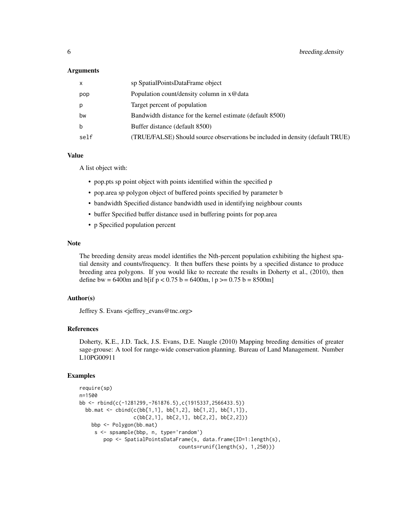#### Arguments

| $\mathsf{x}$ | sp SpatialPointsDataFrame object                                              |
|--------------|-------------------------------------------------------------------------------|
| pop          | Population count/density column in x@data                                     |
| p            | Target percent of population                                                  |
| bw           | Bandwidth distance for the kernel estimate (default 8500)                     |
| b            | Buffer distance (default 8500)                                                |
| self         | (TRUE/FALSE) Should source observations be included in density (default TRUE) |

# Value

A list object with:

- pop.pts sp point object with points identified within the specified p
- pop.area sp polygon object of buffered points specified by parameter b
- bandwidth Specified distance bandwidth used in identifying neighbour counts
- buffer Specified buffer distance used in buffering points for pop.area
- p Specified population percent

# Note

The breeding density areas model identifies the Nth-percent population exhibiting the highest spatial density and counts/frequency. It then buffers these points by a specified distance to produce breeding area polygons. If you would like to recreate the results in Doherty et al., (2010), then define bw = 6400m and b[if  $p < 0.75$  b = 6400m,  $|p>$  = 0.75 b = 8500m]

# Author(s)

Jeffrey S. Evans <jeffrey\_evans@tnc.org>

#### References

Doherty, K.E., J.D. Tack, J.S. Evans, D.E. Naugle (2010) Mapping breeding densities of greater sage-grouse: A tool for range-wide conservation planning. Bureau of Land Management. Number L10PG00911

```
require(sp)
n=1500
bb <- rbind(c(-1281299,-761876.5),c(1915337,2566433.5))
  bb.mat <- \text{cbind}(c(\text{bb}[1,1], \text{bb}[1,2], \text{bb}[1,2], \text{bb}[1,1]),c(bb[2,1], bb[2,1], bb[2,2], bb[2,2]))
    bbp <- Polygon(bb.mat)
     s <- spsample(bbp, n, type='random')
        pop <- SpatialPointsDataFrame(s, data.frame(ID=1:length(s),
                                    counts=runif(length(s), 1,250)))
```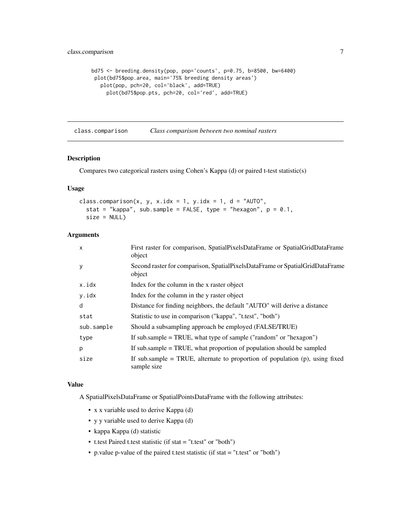```
bd75 <- breeding.density(pop, pop='counts', p=0.75, b=8500, bw=6400)
plot(bd75$pop.area, main='75% breeding density areas')
   plot(pop, pch=20, col='black', add=TRUE)
    plot(bd75$pop.pts, pch=20, col='red', add=TRUE)
```
class.comparison *Class comparison between two nominal rasters*

# **Description**

Compares two categorical rasters using Cohen's Kappa (d) or paired t-test statistic(s)

# Usage

```
class.comparison(x, y, x.idx = 1, y.idx = 1, d = "AUTO",
  stat = "kappa", sub.sample = FALSE, type = "hexagon", p = 0.1,
  size = NULL)
```
#### Arguments

| First raster for comparison, SpatialPixelsDataFrame or SpatialGridDataFrame<br>object          |
|------------------------------------------------------------------------------------------------|
| Second raster for comparison, SpatialPixelsDataFrame or SpatialGridDataFrame<br>object         |
| Index for the column in the x raster object                                                    |
| Index for the column in the y raster object                                                    |
| Distance for finding neighbors, the default "AUTO" will derive a distance                      |
| Statistic to use in comparison ("kappa", "t.test", "both")                                     |
| Should a subsampling approach be employed (FALSE/TRUE)                                         |
| If sub.sample $=$ TRUE, what type of sample ("random" or "hexagon")                            |
| If sub.sample $=$ TRUE, what proportion of population should be sampled                        |
| If sub.sample = TRUE, alternate to proportion of population $(p)$ , using fixed<br>sample size |
|                                                                                                |

#### Value

A SpatialPixelsDataFrame or SpatialPointsDataFrame with the following attributes:

- x x variable used to derive Kappa (d)
- y y variable used to derive Kappa (d)
- kappa Kappa (d) statistic
- t.test Paired t.test statistic (if stat = "t.test" or "both")
- p.value p-value of the paired t.test statistic (if stat = "t.test" or "both")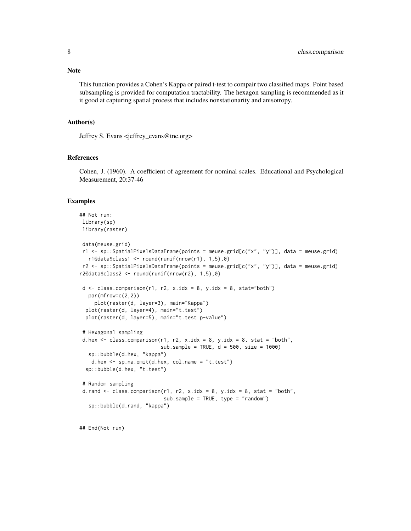Note

This function provides a Cohen's Kappa or paired t-test to compair two classified maps. Point based subsampling is provided for computation tractability. The hexagon sampling is recommended as it it good at capturing spatial process that includes nonstationarity and anisotropy.

#### Author(s)

Jeffrey S. Evans <jeffrey\_evans@tnc.org>

#### References

Cohen, J. (1960). A coefficient of agreement for nominal scales. Educational and Psychological Measurement, 20:37-46

#### Examples

```
## Not run:
library(sp)
library(raster)
 data(meuse.grid)
r1 <- sp::SpatialPixelsDataFrame(points = meuse.grid[c("x", "y")], data = meuse.grid)
  r1@data$class1 <- round(runif(nrow(r1), 1,5),0)
r2 <- sp::SpatialPixelsDataFrame(points = meuse.grid[c("x", "y")], data = meuse.grid)
r2@data$class2 <- round(runif(nrow(r2), 1,5),0)
 d \leq class.compilemath>comparison(r1, r2, x.idx = 8, y.idx = 8, stat="both")par(mfrow=c(2,2))
     plot(raster(d, layer=3), main="Kappa")
 plot(raster(d, layer=4), main="t.test")
 plot(raster(d, layer=5), main="t.test p-value")
 # Hexagonal sampling
 d.hex \leq class.comparison(r1, r2, x.idx = 8, y.idx = 8, stat = "both",
                           sub.sample = TRUE, d = 500, size = 1000)
   sp::bubble(d.hex, "kappa")
   d.hex <- sp.na.omit(d.hex, col.name = "t.test")
 sp::bubble(d.hex, "t.test")
 # Random sampling
 d.rand \leq class.comparison(r1, r2, x.idx = 8, y.idx = 8, stat = "both",
                            sub.sample = TRUE, type = "random")
   sp::bubble(d.rand, "kappa")
```
## End(Not run)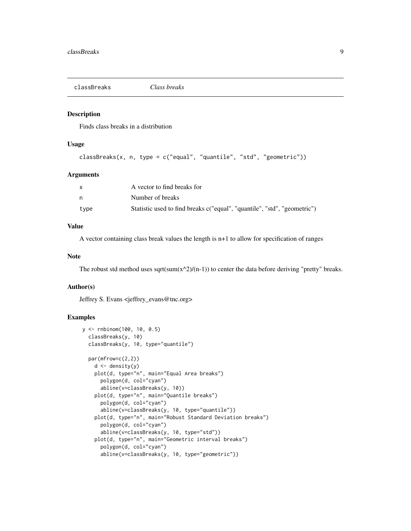<span id="page-8-0"></span>

# Description

Finds class breaks in a distribution

# Usage

```
classBreaks(x, n, type = c("equal", "quantile", "std", "geometric"))
```
#### Arguments

|      | A vector to find breaks for                                              |
|------|--------------------------------------------------------------------------|
|      | Number of breaks                                                         |
| type | Statistic used to find breaks c("equal", "quantile", "std", "geometric") |

#### Value

A vector containing class break values the length is n+1 to allow for specification of ranges

#### Note

The robust std method uses sqrt(sum(x^2)/(n-1)) to center the data before deriving "pretty" breaks.

# Author(s)

Jeffrey S. Evans <jeffrey\_evans@tnc.org>

```
y <- rnbinom(100, 10, 0.5)
  classBreaks(y, 10)
  classBreaks(y, 10, type="quantile")
  par(mfrow=c(2,2))
    d \leftarrow density(y)plot(d, type="n", main="Equal Area breaks")
      polygon(d, col="cyan")
      abline(v=classBreaks(y, 10))
    plot(d, type="n", main="Quantile breaks")
      polygon(d, col="cyan")
      abline(v=classBreaks(y, 10, type="quantile"))
    plot(d, type="n", main="Robust Standard Deviation breaks")
      polygon(d, col="cyan")
      abline(v=classBreaks(y, 10, type="std"))
    plot(d, type="n", main="Geometric interval breaks")
      polygon(d, col="cyan")
      abline(v=classBreaks(y, 10, type="geometric"))
```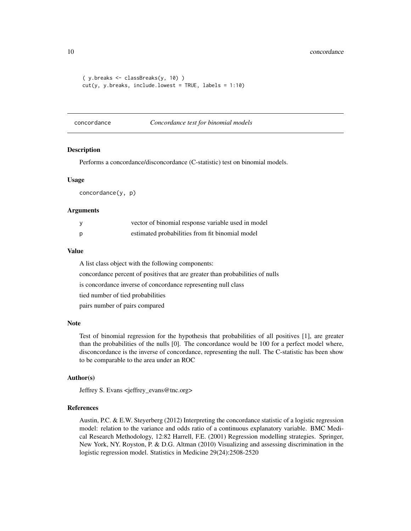```
( y.breaks <- classBreaks(y, 10) )
cut(y, y.breaks, include.lowest = TRUE, labels = 1:10)
```
concordance *Concordance test for binomial models*

#### Description

Performs a concordance/disconcordance (C-statistic) test on binomial models.

#### Usage

concordance(y, p)

#### Arguments

| vector of binomial response variable used in model |
|----------------------------------------------------|
| estimated probabilities from fit binomial model    |

#### Value

A list class object with the following components:

concordance percent of positives that are greater than probabilities of nulls

is concordance inverse of concordance representing null class

tied number of tied probabilities

pairs number of pairs compared

#### Note

Test of binomial regression for the hypothesis that probabilities of all positives [1], are greater than the probabilities of the nulls [0]. The concordance would be 100 for a perfect model where, disconcordance is the inverse of concordance, representing the null. The C-statistic has been show to be comparable to the area under an ROC

#### Author(s)

Jeffrey S. Evans <jeffrey\_evans@tnc.org>

#### References

Austin, P.C. & E.W. Steyerberg (2012) Interpreting the concordance statistic of a logistic regression model: relation to the variance and odds ratio of a continuous explanatory variable. BMC Medical Research Methodology, 12:82 Harrell, F.E. (2001) Regression modelling strategies. Springer, New York, NY. Royston, P. & D.G. Altman (2010) Visualizing and assessing discrimination in the logistic regression model. Statistics in Medicine 29(24):2508-2520

<span id="page-9-0"></span>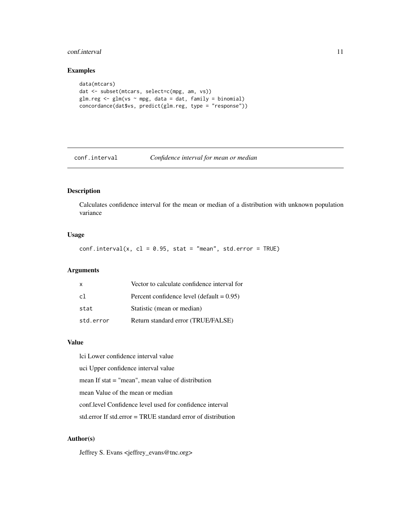#### <span id="page-10-0"></span>conf.interval 11

# Examples

```
data(mtcars)
dat <- subset(mtcars, select=c(mpg, am, vs))
glm.reg <- glm(vs ~ mpg, data = dat, family = binomial)
concordance(dat$vs, predict(glm.reg, type = "response"))
```
conf.interval *Confidence interval for mean or median*

#### Description

Calculates confidence interval for the mean or median of a distribution with unknown population variance

# Usage

 $conf.interval(x, cl = 0.95, stat = "mean", std_error = TRUE)$ 

# Arguments

| $\mathsf{x}$ | Vector to calculate confidence interval for  |
|--------------|----------------------------------------------|
| c1           | Percent confidence level (default $= 0.95$ ) |
| stat         | Statistic (mean or median)                   |
| std.error    | Return standard error (TRUE/FALSE)           |

## Value

lci Lower confidence interval value uci Upper confidence interval value mean If stat = "mean", mean value of distribution mean Value of the mean or median conf.level Confidence level used for confidence interval std.error If std.error = TRUE standard error of distribution

# Author(s)

Jeffrey S. Evans <jeffrey\_evans@tnc.org>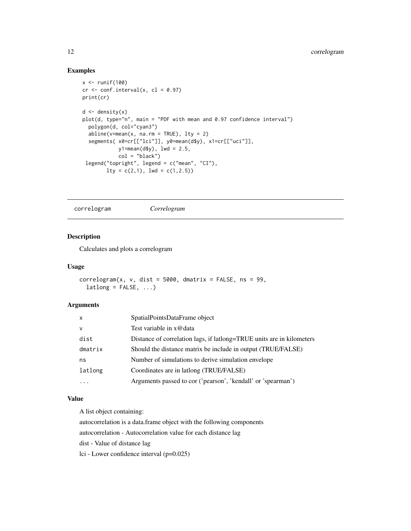# Examples

```
x \leftarrow runif(100)cr < -conf.interval(x, cl = 0.97)print(cr)
d \leftarrow density(x)plot(d, type="n", main = "PDF with mean and 0.97 confidence interval")
  polygon(d, col="cyan3")
  abline(v=mean(x, na.rm = TRUE), lty = 2)segments( x0=cr[["lci"]], y0=mean(d$y), x1=cr[["uci"]],
            y1=mean(d$y), lwd = 2.5,
            col = "black")
 legend("topright", legend = c("mean", "CI"),
        lty = c(2,1), lwd = c(1,2.5))
```
correlogram *Correlogram*

# Description

Calculates and plots a correlogram

#### Usage

```
correlogram(x, v, dist = 5000, dmatrix = FALSE, ns = 99,lational = FALSE, ...)
```
#### Arguments

| $\mathsf{x}$ | SpatialPointsDataFrame object                                         |
|--------------|-----------------------------------------------------------------------|
| $\mathsf{v}$ | Test variable in x@data                                               |
| dist         | Distance of correlation lags, if lattong=TRUE units are in kilometers |
| dmatrix      | Should the distance matrix be include in output (TRUE/FALSE)          |
| ns           | Number of simulations to derive simulation envelope                   |
| latlong      | Coordinates are in lationg (TRUE/FALSE)                               |
|              | Arguments passed to cor ('pearson', 'kendall' or 'spearman')          |

# Value

A list object containing:

autocorrelation is a data.frame object with the following components

autocorrelation - Autocorrelation value for each distance lag

dist - Value of distance lag

lci - Lower confidence interval (p=0.025)

<span id="page-11-0"></span>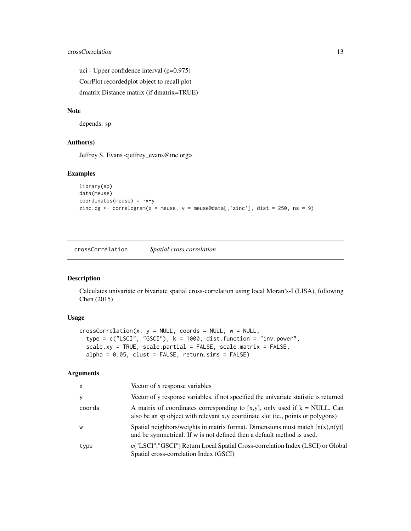# <span id="page-12-0"></span>crossCorrelation 13

uci - Upper confidence interval (p=0.975) CorrPlot recordedplot object to recall plot dmatrix Distance matrix (if dmatrix=TRUE)

# Note

depends: sp

# Author(s)

Jeffrey S. Evans <jeffrey\_evans@tnc.org>

# Examples

```
library(sp)
data(meuse)
coordinates(meuse) = -x+yzinc.cg \le - correlogram(x = meuse, v = meuse@data[,'zinc'], dist = 250, ns = 9)
```
crossCorrelation *Spatial cross correlation*

#### Description

Calculates univariate or bivariate spatial cross-correlation using local Moran's-I (LISA), following Chen (2015)

# Usage

```
crossCorrelation(x, y = NULL, coords = NULL, w = NULL,type = c("LSCI", "GSCI"), k = 1000, dist.function = "inv.power",scale.xy = TRUE, scale.partial = FALSE, scale.matrix = FALSE,
  alpha = 0.05, clust = FALSE, return \cdot \nsim = FALSE
```
#### Arguments

| X.     | Vector of x response variables                                                                                                                                    |
|--------|-------------------------------------------------------------------------------------------------------------------------------------------------------------------|
| y      | Vector of y response variables, if not specified the univariate statistic is returned                                                                             |
| coords | A matrix of coordinates corresponding to [x,y], only used if $k = NULL$ . Can<br>also be an sp object with relevant x,y coordinate slot (ie., points or polygons) |
| w      | Spatial neighbors/weights in matrix format. Dimensions must match $[n(x),n(y)]$<br>and be symmetrical. If w is not defined then a default method is used.         |
| type   | c("LSCI","GSCI") Return Local Spatial Cross-correlation Index (LSCI) or Global<br>Spatial cross-correlation Index (GSCI)                                          |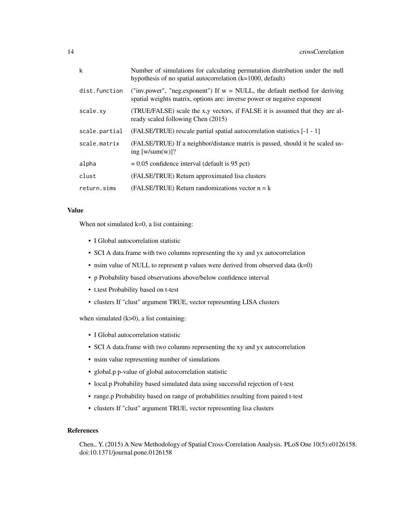| $\mathsf{k}$  | Number of simulations for calculating permutation distribution under the null<br>hypothesis of no spatial autocorrelation $(k=1000, \text{ default})$    |
|---------------|----------------------------------------------------------------------------------------------------------------------------------------------------------|
| dist.function | ("inv.power", "neg.exponent") If $w = NULL$ , the default method for deriving<br>spatial weights matrix, options are: inverse power or negative exponent |
| scale.xy      | (TRUE/FALSE) scale the x,y vectors, if FALSE it is assumed that they are al-<br>ready scaled following Chen (2015)                                       |
| scale.partial | (FALSE/TRUE) rescale partial spatial autocorrelation statistics [-1 - 1]                                                                                 |
| scale.matrix  | (FALSE/TRUE) If a neighbor/distance matrix is passed, should it be scaled us-<br>ing $[w/sum(w)]$ ?                                                      |
| alpha         | $= 0.05$ confidence interval (default is 95 pct)                                                                                                         |
| clust         | (FALSE/TRUE) Return approximated lisa clusters                                                                                                           |
| return.sims   | (FALSE/TRUE) Return randomizations vector $n = k$                                                                                                        |

# Value

When not simulated  $k=0$ , a list containing:

- I Global autocorrelation statistic
- SCI A data.frame with two columns representing the xy and yx autocorrelation
- nsim value of NULL to represent p values were derived from observed data  $(k=0)$
- p Probability based observations above/below confidence interval
- t.test Probability based on t-test
- clusters If "clust" argument TRUE, vector representing LISA clusters

when simulated  $(k>0)$ , a list containing:

- I Global autocorrelation statistic
- SCI A data.frame with two columns representing the xy and yx autocorrelation
- nsim value representing number of simulations
- global.p p-value of global autocorrelation statistic
- local.p Probability based simulated data using successful rejection of t-test
- range.p Probability based on range of probabilities resulting from paired t-test
- clusters If "clust" argument TRUE, vector representing lisa clusters

#### References

Chen., Y. (2015) A New Methodology of Spatial Cross-Correlation Analysis. PLoS One 10(5):e0126158. doi:10.1371/journal.pone.0126158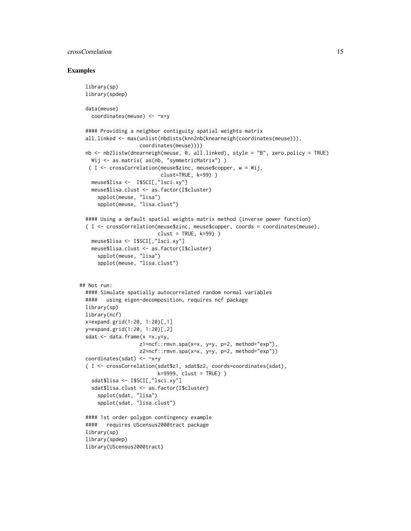# crossCorrelation 15

```
library(sp)
 library(spdep)
 data(meuse)
   coordinates(meuse) <- ~x+y
 #### Providing a neighbor contiguity spatial weights matrix
 all.linked <- max(unlist(nbdists(knn2nb(knearneigh(coordinates(meuse))),
                    coordinates(meuse))))
 nb <- nb2listw(dnearneigh(meuse, 0, all.linked), style = "B", zero.policy = TRUE)
   Wij <- as.matrix( as(nb, "symmetricMatrix") )
  ( I <- crossCorrelation(meuse$zinc, meuse$copper, w = Wij,
                          clust=TRUE, k=99) )
   meuse$lisa <- I$SCI[,"lsci.xy"]
   meuse$lisa.clust <- as.factor(I$cluster)
     spplot(meuse, "lisa")
     spplot(meuse, "lisa.clust")
 #### Using a default spatial weights matrix method (inverse power function)
 ( I <- crossCorrelation(meuse$zinc, meuse$copper, coords = coordinates(meuse),
                         clust = TRUE, k=99))
   meuse$lisa <- I$SCI[,"lsci.xy"]
   meuse$lisa.clust <- as.factor(I$cluster)
     spplot(meuse, "lisa")
     spplot(meuse, "lisa.clust")
## Not run:
 #### Simulate spatially autocorrelated random normal variables
 #### using eigen-decomposition, requires ncf package
 library(sp)
 library(ncf)
 x=expand.grid(1:20, 1:20)[,1]
 y=expand.grid(1:20, 1:20)[,2]
 sdat \leq data.frame(x = x, y = y,
                    z1=ncf::rmvn.spa(x=x, y=y, p=2, method="exp"),
                   z2=ncf::rmvn.spa(x=x, y=y, p=2, method="exp"))
 coordinates(sdat) <- ~x+y
 ( I <- crossCorrelation(sdat$z1, sdat$z2, coords=coordinates(sdat),
                         k=9999, clust = TRUE) )
   sdat$lisa <- I$SCI[,"lsci.xy"]
   sdat$lisa.clust <- as.factor(I$cluster)
     spplot(sdat, "lisa")
     spplot(sdat, "lisa.clust")
 #### 1st order polygon contingency example
 #### requires UScensus2000tract package
 library(sp)
 library(spdep)
 library(UScensus2000tract)
```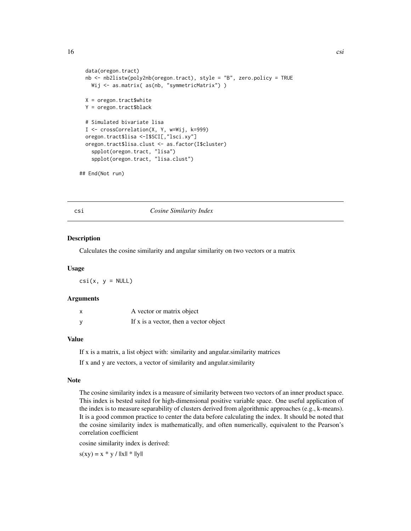```
data(oregon.tract)
 nb <- nb2listw(poly2nb(oregon.tract), style = "B", zero.policy = TRUE
   Wij <- as.matrix( as(nb, "symmetricMatrix") )
 X = \text{oregon}. \text{tract}$white
 Y = oregon.tract$black
 # Simulated bivariate lisa
 I <- crossCorrelation(X, Y, w=Wij, k=999)
 oregon.tract$lisa <-I$SCI[,"lsci.xy"]
 oregon.tract$lisa.clust <- as.factor(I$cluster)
    spplot(oregon.tract, "lisa")
    spplot(oregon.tract, "lisa.clust")
## End(Not run)
```
csi *Cosine Similarity Index*

#### Description

Calculates the cosine similarity and angular similarity on two vectors or a matrix

#### Usage

 $csi(x, y = NULL)$ 

#### Arguments

| A vector or matrix object              |
|----------------------------------------|
| If x is a vector, then a vector object |

#### Value

If x is a matrix, a list object with: similarity and angular.similarity matrices

If x and y are vectors, a vector of similarity and angular.similarity

#### Note

The cosine similarity index is a measure of similarity between two vectors of an inner product space. This index is bested suited for high-dimensional positive variable space. One useful application of the index is to measure separability of clusters derived from algorithmic approaches (e.g., k-means). It is a good common practice to center the data before calculating the index. It should be noted that the cosine similarity index is mathematically, and often numerically, equivalent to the Pearson's correlation coefficient

cosine similarity index is derived:

 $s(xy) = x * y / ||x|| * ||y||$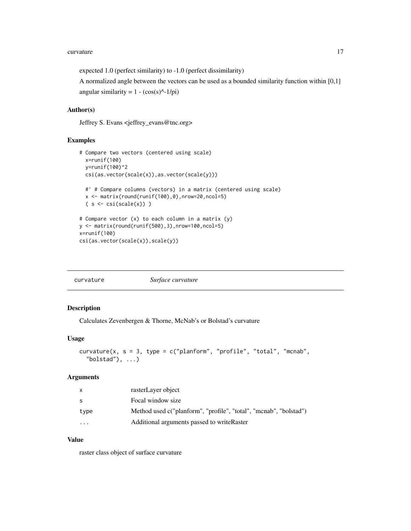#### <span id="page-16-0"></span>curvature the control of the control of the control of the control of the control of the control of the control of the control of the control of the control of the control of the control of the control of the control of th

expected 1.0 (perfect similarity) to -1.0 (perfect dissimilarity)

A normalized angle between the vectors can be used as a bounded similarity function within [0,1] angular similarity =  $1 - (\cos(s)^{\hat{ }} - 1/pi)$ 

# Author(s)

Jeffrey S. Evans <jeffrey\_evans@tnc.org>

# Examples

```
# Compare two vectors (centered using scale)
  x=runif(100)
  y=runif(100)^2
  csi(as.vector(scale(x)),as.vector(scale(y)))
  #' # Compare columns (vectors) in a matrix (centered using scale)
  x \leftarrow \text{matrix}(\text{round}(\text{runif}(100), 0), \text{now=20}, \text{ncol=5})(s < - csi(scale(x)))# Compare vector (x) to each column in a matrix (y)
y \leftarrow \text{matrix}(\text{round}(\text{runif}(500), 3), \text{now=}100, \text{ncol=}5)x=runif(100)
csi(as.vector(scale(x)),scale(y))
```
#### Description

Calculates Zevenbergen & Thorne, McNab's or Bolstad's curvature

#### Usage

```
curvature(x, s = 3, type = c("planform", "profile", "total", "mcnab",
  "bolstad"), \ldots)
```
#### Arguments

| X       | rasterLayer object                                                |
|---------|-------------------------------------------------------------------|
| S.      | Focal window size                                                 |
| type    | Method used c("planform", "profile", "total", "mcnab", "bolstad") |
| $\cdot$ | Additional arguments passed to write Raster                       |

# Value

raster class object of surface curvature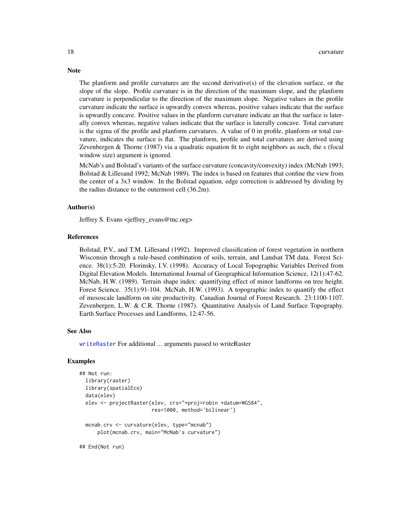The planform and profile curvatures are the second derivative(s) of the elevation surface, or the slope of the slope. Profile curvature is in the direction of the maximum slope, and the planform curvature is perpendicular to the direction of the maximum slope. Negative values in the profile curvature indicate the surface is upwardly convex whereas, positive values indicate that the surface is upwardly concave. Positive values in the planform curvature indicate an that the surface is laterally convex whereas, negative values indicate that the surface is laterally concave. Total curvature is the sigma of the profile and planform curvatures. A value of 0 in profile, planform or total curvature, indicates the surface is flat. The planform, profile and total curvatures are derived using Zevenbergen & Thorne (1987) via a quadratic equation fit to eight neighbors as such, the s (focal window size) argument is ignored.

McNab's and Bolstad's variants of the surface curvature (concavity/convexity) index (McNab 1993; Bolstad & Lillesand 1992; McNab 1989). The index is based on features that confine the view from the center of a 3x3 window. In the Bolstad equation, edge correction is addressed by dividing by the radius distance to the outermost cell (36.2m).

#### Author(s)

Jeffrey S. Evans <jeffrey\_evans@tnc.org>

#### References

Bolstad, P.V., and T.M. Lillesand (1992). Improved classification of forest vegetation in northern Wisconsin through a rule-based combination of soils, terrain, and Landsat TM data. Forest Science. 38(1):5-20. Florinsky, I.V. (1998). Accuracy of Local Topographic Variables Derived from Digital Elevation Models. International Journal of Geographical Information Science, 12(1):47-62. McNab, H.W. (1989). Terrain shape index: quantifying effect of minor landforms on tree height. Forest Science. 35(1):91-104. McNab, H.W. (1993). A topographic index to quantify the effect of mesoscale landform on site productivity. Canadian Journal of Forest Research. 23:1100-1107. Zevenbergen, L.W. & C.R. Thorne (1987). Quantitative Analysis of Land Surface Topography. Earth Surface Processes and Landforms, 12:47-56.

# See Also

[writeRaster](#page-0-0) For additional ... arguments passed to writeRaster

#### Examples

```
## Not run:
 library(raster)
 library(spatialEco)
 data(elev)
 elev <- projectRaster(elev, crs="+proj=robin +datum=WGS84",
                        res=1000, method='bilinear')
 mcnab.crv <- curvature(elev, type="mcnab")
     plot(mcnab.crv, main="McNab's curvature")
```
## End(Not run)

# **Note**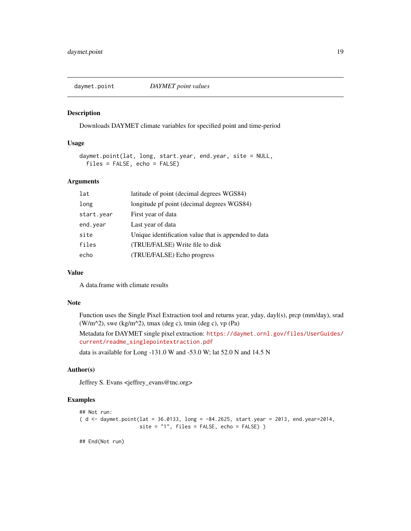<span id="page-18-0"></span>

#### Description

Downloads DAYMET climate variables for specified point and time-period

#### Usage

```
daymet.point(lat, long, start.year, end.year, site = NULL,
 files = FALSE, echo = FALSE)
```
# Arguments

| lat        | latitude of point (decimal degrees WGS84)            |
|------------|------------------------------------------------------|
| long       | longitude pf point (decimal degrees WGS84)           |
| start.year | First year of data                                   |
| end. year  | Last year of data                                    |
| site       | Unique identification value that is appended to data |
| files      | (TRUE/FALSE) Write file to disk                      |
| echo       | (TRUE/FALSE) Echo progress                           |

# Value

A data.frame with climate results

# Note

Function uses the Single Pixel Extraction tool and returns year, yday, dayl(s), prcp (mm/day), srad (W/m^2), swe (kg/m^2), tmax (deg c), tmin (deg c), vp (Pa)

Metadata for DAYMET single pixel extraction: [https://daymet.ornl.gov/files/UserGuides/](https://daymet.ornl.gov/files/UserGuides/current/readme_singlepointextraction.pdf) [current/readme\\_singlepointextraction.pdf](https://daymet.ornl.gov/files/UserGuides/current/readme_singlepointextraction.pdf)

data is available for Long -131.0 W and -53.0 W; lat 52.0 N and 14.5 N

# Author(s)

Jeffrey S. Evans <jeffrey\_evans@tnc.org>

## Examples

```
## Not run:
( d <- daymet.point(lat = 36.0133, long = -84.2625, start.year = 2013, end.year=2014,
                    site = "1", files = FALSE, echo = FALSE) )
```
## End(Not run)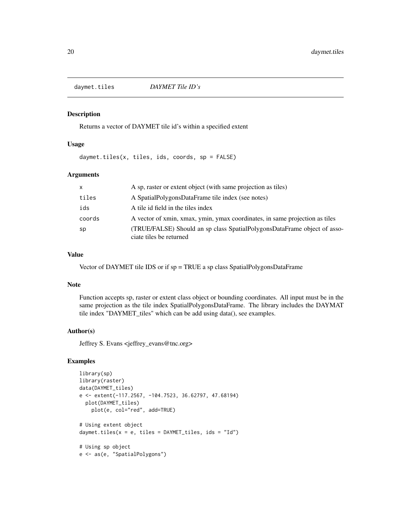<span id="page-19-0"></span>daymet.tiles *DAYMET Tile ID's*

# Description

Returns a vector of DAYMET tile id's within a specified extent

# Usage

daymet.tiles(x, tiles, ids, coords, sp = FALSE)

# Arguments

| <b>X</b> | A sp, raster or extent object (with same projection as tiles)                                       |
|----------|-----------------------------------------------------------------------------------------------------|
| tiles    | A SpatialPolygonsDataFrame tile index (see notes)                                                   |
| ids      | A tile id field in the tiles index                                                                  |
| coords   | A vector of xmin, xmax, ymin, ymax coordinates, in same projection as tiles                         |
| sp       | (TRUE/FALSE) Should an sp class SpatialPolygonsDataFrame object of asso-<br>ciate tiles be returned |

# Value

Vector of DAYMET tile IDS or if sp = TRUE a sp class SpatialPolygonsDataFrame

#### Note

Function accepts sp, raster or extent class object or bounding coordinates. All input must be in the same projection as the tile index SpatialPolygonsDataFrame. The library includes the DAYMAT tile index "DAYMET\_tiles" which can be add using data(), see examples.

# Author(s)

Jeffrey S. Evans <jeffrey\_evans@tnc.org>

```
library(sp)
library(raster)
data(DAYMET_tiles)
e <- extent(-117.2567, -104.7523, 36.62797, 47.68194)
  plot(DAYMET_tiles)
   plot(e, col="red", add=TRUE)
# Using extent object
daymet.tiles(x = e, tiles = DAYMET_tiles, ids = "Id")
# Using sp object
e <- as(e, "SpatialPolygons")
```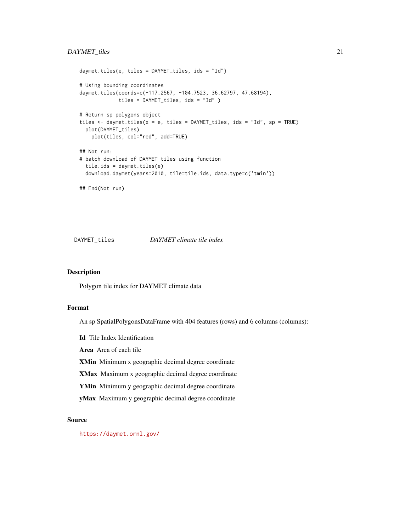```
daymet.tiles(e, tiles = DAYMET_tiles, ids = "Id")
# Using bounding coordinates
daymet.tiles(coords=c(-117.2567, -104.7523, 36.62797, 47.68194),
             tiles = DAYMET_tiles, ids = "Id" )
# Return sp polygons object
tiles \leq daymet.tiles(x = e, tiles = DAYMET_tiles, ids = "Id", sp = TRUE)
 plot(DAYMET_tiles)
   plot(tiles, col="red", add=TRUE)
## Not run:
# batch download of DAYMET tiles using function
 tile.ids = daymet.tiles(e)
 download.daymet(years=2010, tile=tile.ids, data.type=c('tmin'))
## End(Not run)
```
DAYMET\_tiles *DAYMET climate tile index*

#### Description

Polygon tile index for DAYMET climate data

#### Format

An sp SpatialPolygonsDataFrame with 404 features (rows) and 6 columns (columns):

Id Tile Index Identification

Area Area of each tile

XMin Minimum x geographic decimal degree coordinate

XMax Maximum x geographic decimal degree coordinate

YMin Minimum y geographic decimal degree coordinate

yMax Maximum y geographic decimal degree coordinate

# Source

<https://daymet.ornl.gov/>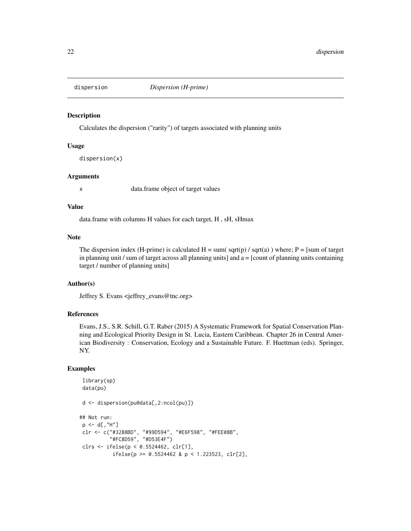<span id="page-21-0"></span>

#### Description

Calculates the dispersion ("rarity") of targets associated with planning units

#### Usage

dispersion(x)

# Arguments

x data.frame object of target values

#### Value

data.frame with columns H values for each target, H , sH, sHmax

#### Note

The dispersion index (H-prime) is calculated  $H = sum(sqrt(p) / sqrt(a))$  where;  $P = [sum of target]$ in planning unit  $\ell$  sum of target across all planning units] and  $a =$  [count of planning units containing target / number of planning units]

# Author(s)

Jeffrey S. Evans <jeffrey\_evans@tnc.org>

# References

Evans, J.S., S.R. Schill, G.T. Raber (2015) A Systematic Framework for Spatial Conservation Planning and Ecological Priority Design in St. Lucia, Eastern Caribbean. Chapter 26 in Central American Biodiversity : Conservation, Ecology and a Sustainable Future. F. Huettman (eds). Springer, NY.

```
library(sp)
data(pu)
d <- dispersion(pu@data[,2:ncol(pu)])
## Not run:
p \leq -d[,"H"]
 clr <- c("#3288BD", "#99D594", "#E6F598", "#FEE08B",
          "#FC8D59", "#D53E4F")
clrs <- ifelse(p < 0.5524462, clr[1],
           ifelse(p >= 0.5524462 & p < 1.223523, clr[2],
```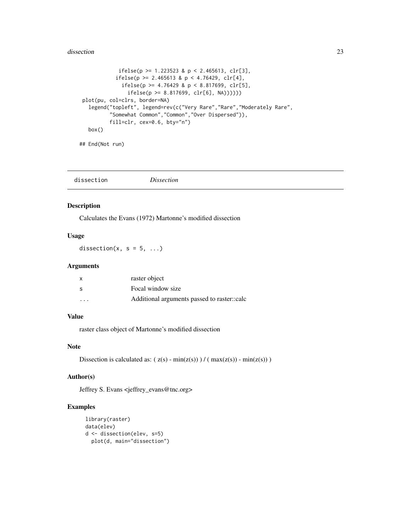#### <span id="page-22-0"></span>dissection 23

```
ifelse(p \ge 1.223523 & p < 2.465613, clr[3],
           ifelse(p \ge 2.465613 \& p \le 4.76429, clr[4],
             ifelse(p >= 4.76429 & p < 8.817699, clr[5],
               ifelse(p \ge 8.817699, clr[6], NA))))plot(pu, col=clrs, border=NA)
  legend("topleft", legend=rev(c("Very Rare","Rare","Moderately Rare",
         "Somewhat Common","Common","Over Dispersed")),
         fill=clr, cex=0.6, bty="n")
  box()
```
## End(Not run)

|  | dissection | <i>Dissection</i> |  |  |
|--|------------|-------------------|--|--|
|--|------------|-------------------|--|--|

#### Description

Calculates the Evans (1972) Martonne's modified dissection

# Usage

dissection(x,  $s = 5, ...$ )

# Arguments

| x                       | raster object                               |
|-------------------------|---------------------------------------------|
| S                       | Focal window size                           |
| $\cdot$ $\cdot$ $\cdot$ | Additional arguments passed to raster::calc |

# Value

raster class object of Martonne's modified dissection

# Note

```
Dissection is calculated as: (z(s) - min(z(s))) / (max(z(s)) - min(z(s)))
```
#### Author(s)

Jeffrey S. Evans <jeffrey\_evans@tnc.org>

```
library(raster)
data(elev)
d <- dissection(elev, s=5)
 plot(d, main="dissection")
```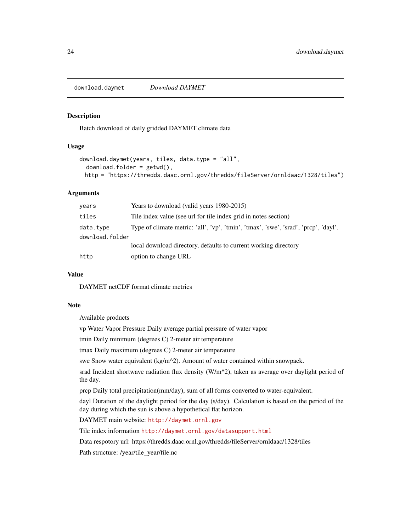<span id="page-23-1"></span><span id="page-23-0"></span>download.daymet *Download DAYMET*

#### Description

Batch download of daily gridded DAYMET climate data

#### Usage

```
download.daymet(years, tiles, data.type = "all",
 download.folder = getwd(),
 http = "https://thredds.daac.ornl.gov/thredds/fileServer/ornldaac/1328/tiles")
```
# Arguments

| years           | Years to download (valid years 1980-2015)                                           |
|-----------------|-------------------------------------------------------------------------------------|
| tiles           | Tile index value (see url for tile index grid in notes section)                     |
| data.type       | Type of climate metric: 'all', 'vp', 'tmin', 'tmax', 'swe', 'srad', 'prcp', 'dayl'. |
| download.folder |                                                                                     |
|                 | local download directory, defaults to current working directory                     |
| http            | option to change URL                                                                |

#### Value

DAYMET netCDF format climate metrics

#### Note

Available products

vp Water Vapor Pressure Daily average partial pressure of water vapor

tmin Daily minimum (degrees C) 2-meter air temperature

tmax Daily maximum (degrees C) 2-meter air temperature

swe Snow water equivalent (kg/m^2). Amount of water contained within snowpack.

srad Incident shortwave radiation flux density (W/m^2), taken as average over daylight period of the day.

prcp Daily total precipitation(mm/day), sum of all forms converted to water-equivalent.

dayl Duration of the daylight period for the day (s/day). Calculation is based on the period of the day during which the sun is above a hypothetical flat horizon.

DAYMET main website: <http://daymet.ornl.gov>

Tile index information <http://daymet.ornl.gov/datasupport.html>

Data respotory url: https://thredds.daac.ornl.gov/thredds/fileServer/ornldaac/1328/tiles

Path structure: /year/tile\_year/file.nc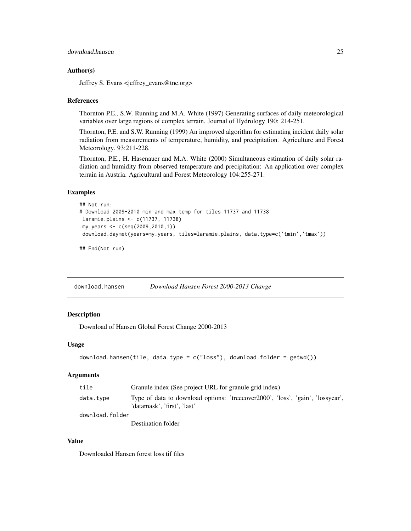#### <span id="page-24-0"></span>Author(s)

Jeffrey S. Evans <jeffrey\_evans@tnc.org>

#### References

Thornton P.E., S.W. Running and M.A. White (1997) Generating surfaces of daily meteorological variables over large regions of complex terrain. Journal of Hydrology 190: 214-251.

Thornton, P.E. and S.W. Running (1999) An improved algorithm for estimating incident daily solar radiation from measurements of temperature, humidity, and precipitation. Agriculture and Forest Meteorology. 93:211-228.

Thornton, P.E., H. Hasenauer and M.A. White (2000) Simultaneous estimation of daily solar radiation and humidity from observed temperature and precipitation: An application over complex terrain in Austria. Agricultural and Forest Meteorology 104:255-271.

## Examples

```
## Not run:
# Download 2009-2010 min and max temp for tiles 11737 and 11738
laramie.plains <- c(11737, 11738)
my.years <- c(seq(2009,2010,1))
download.daymet(years=my.years, tiles=laramie.plains, data.type=c('tmin','tmax'))
```
## End(Not run)

<span id="page-24-1"></span>download.hansen *Download Hansen Forest 2000-2013 Change*

# Description

Download of Hansen Global Forest Change 2000-2013

#### Usage

```
download.hansen(tile, data.type = c("loss"), download.folder = getwd())
```
#### Arguments

| tile            | Granule index (See project URL for granule grid index)                                                        |
|-----------------|---------------------------------------------------------------------------------------------------------------|
| data.tvpe       | Type of data to download options: 'treecover2000', 'loss', 'gain', 'lossyear',<br>'datamask', 'first', 'last' |
| download.folder |                                                                                                               |
|                 |                                                                                                               |

Destination folder

#### Value

Downloaded Hansen forest loss tif files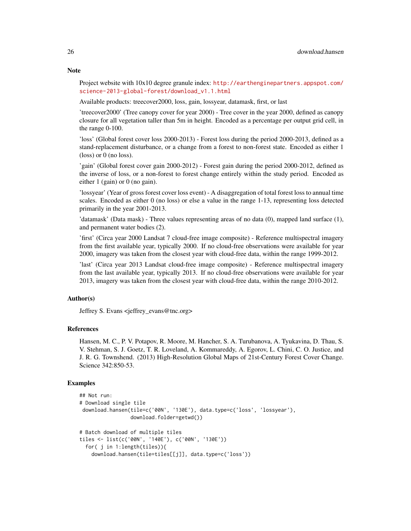#### **Note**

Project website with 10x10 degree granule index: [http://earthenginepartners.appspot.com/](http://earthenginepartners.appspot.com/science-2013-global-forest/download_v1.1.html) [science-2013-global-forest/download\\_v1.1.html](http://earthenginepartners.appspot.com/science-2013-global-forest/download_v1.1.html)

Available products: treecover2000, loss, gain, lossyear, datamask, first, or last

'treecover2000' (Tree canopy cover for year 2000) - Tree cover in the year 2000, defined as canopy closure for all vegetation taller than 5m in height. Encoded as a percentage per output grid cell, in the range 0-100.

'loss' (Global forest cover loss 2000-2013) - Forest loss during the period 2000-2013, defined as a stand-replacement disturbance, or a change from a forest to non-forest state. Encoded as either 1 (loss) or 0 (no loss).

'gain' (Global forest cover gain 2000-2012) - Forest gain during the period 2000-2012, defined as the inverse of loss, or a non-forest to forest change entirely within the study period. Encoded as either 1 (gain) or 0 (no gain).

'lossyear' (Year of gross forest cover loss event) - A disaggregation of total forest loss to annual time scales. Encoded as either 0 (no loss) or else a value in the range 1-13, representing loss detected primarily in the year 2001-2013.

'datamask' (Data mask) - Three values representing areas of no data (0), mapped land surface (1), and permanent water bodies (2).

'first' (Circa year 2000 Landsat 7 cloud-free image composite) - Reference multispectral imagery from the first available year, typically 2000. If no cloud-free observations were available for year 2000, imagery was taken from the closest year with cloud-free data, within the range 1999-2012.

'last' (Circa year 2013 Landsat cloud-free image composite) - Reference multispectral imagery from the last available year, typically 2013. If no cloud-free observations were available for year 2013, imagery was taken from the closest year with cloud-free data, within the range 2010-2012.

#### Author(s)

Jeffrey S. Evans <jeffrey\_evans@tnc.org>

#### References

Hansen, M. C., P. V. Potapov, R. Moore, M. Hancher, S. A. Turubanova, A. Tyukavina, D. Thau, S. V. Stehman, S. J. Goetz, T. R. Loveland, A. Kommareddy, A. Egorov, L. Chini, C. O. Justice, and J. R. G. Townshend. (2013) High-Resolution Global Maps of 21st-Century Forest Cover Change. Science 342:850-53.

```
## Not run:
# Download single tile
download.hansen(tile=c('00N', '130E'), data.type=c('loss', 'lossyear'),
                download.folder=getwd())
# Batch download of multiple tiles
tiles <- list(c('00N', '140E'), c('00N', '130E'))
 for( j in 1:length(tiles)){
   download.hansen(tile=tiles[[j]], data.type=c('loss'))
```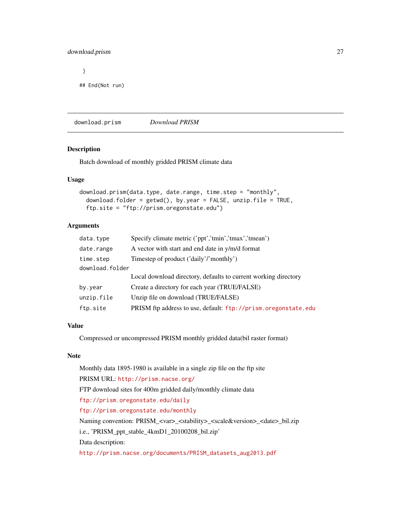# <span id="page-26-0"></span>download.prism 27

# }

## End(Not run)

download.prism *Download PRISM*

# Description

Batch download of monthly gridded PRISM climate data

#### Usage

```
download.prism(data.type, date.range, time.step = "monthly",
 download.folder = getwd(), by.year = FALSE, unzip.file = TRUE,
  ftp.site = "ftp://prism.oregonstate.edu")
```
# Arguments

| data.type       | Specify climate metric ('ppt','tmin','tmax','tmean')            |
|-----------------|-----------------------------------------------------------------|
| date.range      | A vector with start and end date in y/m/d format                |
| time.step       | Timestep of product ('daily'/'monthly')                         |
| download.folder |                                                                 |
|                 | Local download directory, defaults to current working directory |
| by.year         | Create a directory for each year (TRUE/FALSE)                   |
| unzip.file      | Unzip file on download (TRUE/FALSE)                             |
| ftp.site        | PRISM ftp address to use, default: ftp://prism.oregonstate.edu  |
|                 |                                                                 |

#### Value

Compressed or uncompressed PRISM monthly gridded data(bil raster format)

#### Note

Monthly data 1895-1980 is available in a single zip file on the ftp site PRISM URL: <http://prism.nacse.org/> FTP download sites for 400m gridded daily/monthly climate data <ftp://prism.oregonstate.edu/daily> <ftp://prism.oregonstate.edu/monthly> Naming convention: PRISM\_<var>\_<stability>\_<scale&version>\_<date>\_bil.zip i.e., 'PRISM\_ppt\_stable\_4kmD1\_20100208\_bil.zip' Data description: [http://prism.nacse.org/documents/PRISM\\_datasets\\_aug2013.pdf](http://prism.nacse.org/documents/PRISM_datasets_aug2013.pdf)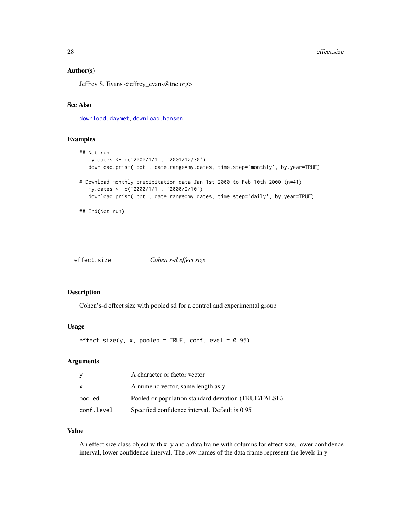#### <span id="page-27-0"></span>Author(s)

Jeffrey S. Evans <jeffrey\_evans@tnc.org>

# See Also

[download.daymet](#page-23-1), [download.hansen](#page-24-1)

#### Examples

```
## Not run:
  my.dates <- c('2000/1/1', '2001/12/30')
  download.prism('ppt', date.range=my.dates, time.step='monthly', by.year=TRUE)
# Download monthly precipitation data Jan 1st 2000 to Feb 10th 2000 (n=41)
  my.dates <- c('2000/1/1', '2000/2/10')
  download.prism('ppt', date.range=my.dates, time.step='daily', by.year=TRUE)
## End(Not run)
```
effect.size *Cohen's-d effect size*

#### Description

Cohen's-d effect size with pooled sd for a control and experimental group

#### Usage

 $effect.size(y, x, pooled = TRUE, conf.level = 0.95)$ 

# Arguments

|            | A character or factor vector                         |
|------------|------------------------------------------------------|
| x          | A numeric vector, same length as y                   |
| pooled     | Pooled or population standard deviation (TRUE/FALSE) |
| conf.level | Specified confidence interval. Default is 0.95       |

# Value

An effect.size class object with x, y and a data.frame with columns for effect size, lower confidence interval, lower confidence interval. The row names of the data frame represent the levels in y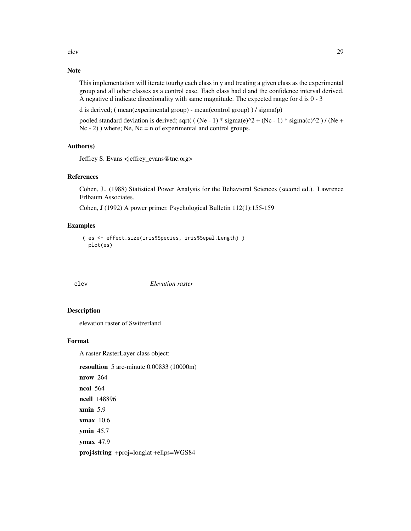<span id="page-28-0"></span>elev 29

# Note

This implementation will iterate tourhg each class in y and treating a given class as the experimental group and all other classes as a control case. Each class had d and the confidence interval derived. A negative d indicate directionality with same magnitude. The expected range for d is 0 - 3

d is derived; ( mean(experimental group) - mean(control group) ) / sigma(p)

pooled standard deviation is derived; sqrt( ( (Ne - 1) \* sigma(e)^2 + (Nc - 1) \* sigma(c)^2 ) / (Ne + Nc - 2) ) where; Ne, Nc = n of experimental and control groups.

# Author(s)

Jeffrey S. Evans <jeffrey\_evans@tnc.org>

# References

Cohen, J., (1988) Statistical Power Analysis for the Behavioral Sciences (second ed.). Lawrence Erlbaum Associates.

Cohen, J (1992) A power primer. Psychological Bulletin 112(1):155-159

#### Examples

```
( es <- effect.size(iris$Species, iris$Sepal.Length) )
 plot(es)
```
elev *Elevation raster*

#### Description

elevation raster of Switzerland

#### Format

A raster RasterLayer class object:

resoultion 5 arc-minute 0.00833 (10000m)

nrow 264 ncol 564 ncell 148896 xmin 5.9 xmax 10.6 ymin 45.7 ymax 47.9 proj4string +proj=longlat +ellps=WGS84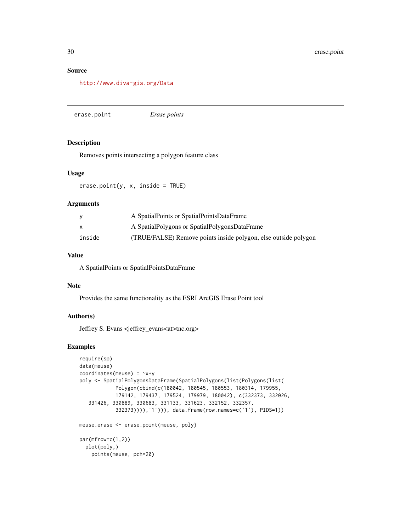#### <span id="page-29-0"></span>Source

<http://www.diva-gis.org/Data>

erase.point *Erase points*

#### Description

Removes points intersecting a polygon feature class

# Usage

erase.point(y, x, inside = TRUE)

# Arguments

| y      | A SpatialPoints or SpatialPointsDataFrame                       |
|--------|-----------------------------------------------------------------|
| X      | A SpatialPolygons or SpatialPolygonsDataFrame                   |
| inside | (TRUE/FALSE) Remove points inside polygon, else outside polygon |

# Value

A SpatialPoints or SpatialPointsDataFrame

#### Note

Provides the same functionality as the ESRI ArcGIS Erase Point tool

# Author(s)

Jeffrey S. Evans <jeffrey\_evans<at>tnc.org>

```
require(sp)
data(meuse)
coordinates(meuse) = -x+ypoly <- SpatialPolygonsDataFrame(SpatialPolygons(list(Polygons(list(
            Polygon(cbind(c(180042, 180545, 180553, 180314, 179955,
            179142, 179437, 179524, 179979, 180042), c(332373, 332026,
   331426, 330889, 330683, 331133, 331623, 332152, 332357,
            332373)))),'1'))), data.frame(row.names=c('1'), PIDS=1))
meuse.erase <- erase.point(meuse, poly)
par(mfrow=c(1,2))
  plot(poly,)
   points(meuse, pch=20)
```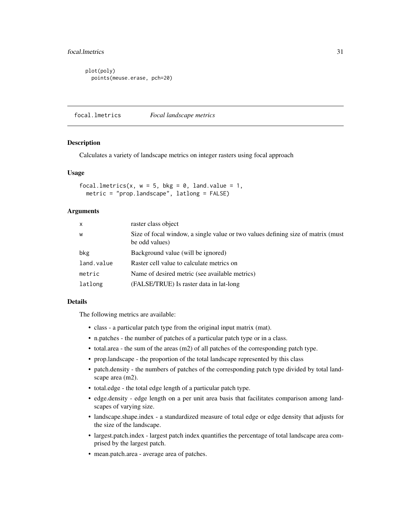# <span id="page-30-0"></span>focal.lmetrics 31

plot(poly) points(meuse.erase, pch=20)

focal.lmetrics *Focal landscape metrics*

#### Description

Calculates a variety of landscape metrics on integer rasters using focal approach

#### Usage

```
focal.lmetrics(x, w = 5, bkg = 0, land.value = 1,
 metric = "prop.landscape", latlong = FALSE)
```
# **Arguments**

| X          | raster class object                                                                                |
|------------|----------------------------------------------------------------------------------------------------|
| W          | Size of focal window, a single value or two values defining size of matrix (must<br>be odd values) |
| bkg        | Background value (will be ignored)                                                                 |
| land.value | Raster cell value to calculate metrics on                                                          |
| metric     | Name of desired metric (see available metrics)                                                     |
| latlong    | (FALSE/TRUE) Is raster data in lat-long                                                            |
|            |                                                                                                    |

# Details

The following metrics are available:

- class a particular patch type from the original input matrix (mat).
- n.patches the number of patches of a particular patch type or in a class.
- total.area the sum of the areas (m2) of all patches of the corresponding patch type.
- prop.landscape the proportion of the total landscape represented by this class
- patch.density the numbers of patches of the corresponding patch type divided by total landscape area (m2).
- total.edge the total edge length of a particular patch type.
- edge.density edge length on a per unit area basis that facilitates comparison among landscapes of varying size.
- landscape.shape.index a standardized measure of total edge or edge density that adjusts for the size of the landscape.
- largest.patch.index largest patch index quantifies the percentage of total landscape area comprised by the largest patch.
- mean.patch.area average area of patches.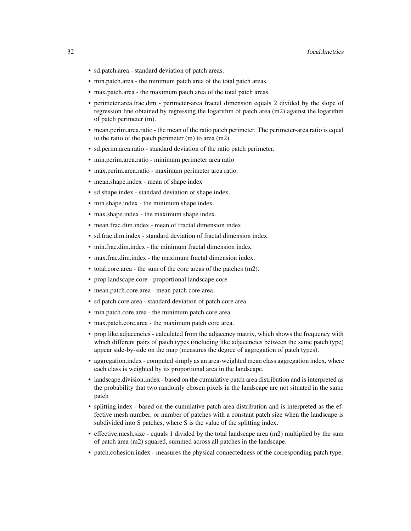- sd.patch.area standard deviation of patch areas.
- min.patch.area the minimum patch area of the total patch areas.
- max.patch.area the maximum patch area of the total patch areas.
- perimeter.area.frac.dim perimeter-area fractal dimension equals 2 divided by the slope of regression line obtained by regressing the logarithm of patch area (m2) against the logarithm of patch perimeter (m).
- mean.perim.area.ratio the mean of the ratio patch perimeter. The perimeter-area ratio is equal to the ratio of the patch perimeter (m) to area (m2).
- sd.perim.area.ratio standard deviation of the ratio patch perimeter.
- min.perim.area.ratio minimum perimeter area ratio
- max.perim.area.ratio maximum perimeter area ratio.
- mean.shape.index mean of shape index
- sd.shape.index standard deviation of shape index.
- min.shape.index the minimum shape index.
- max.shape.index the maximum shape index.
- mean.frac.dim.index mean of fractal dimension index.
- sd.frac.dim.index standard deviation of fractal dimension index.
- min.frac.dim.index the minimum fractal dimension index.
- max.frac.dim.index the maximum fractal dimension index.
- total.core.area the sum of the core areas of the patches (m2).
- prop.landscape.core proportional landscape core
- mean.patch.core.area mean patch core area.
- sd.patch.core.area standard deviation of patch core area.
- min.patch.core.area the minimum patch core area.
- max.patch.core.area the maximum patch core area.
- prop.like.adjacencies calculated from the adjacency matrix, which shows the frequency with which different pairs of patch types (including like adjacencies between the same patch type) appear side-by-side on the map (measures the degree of aggregation of patch types).
- aggregation.index computed simply as an area-weighted mean class aggregation index, where each class is weighted by its proportional area in the landscape.
- landscape.division.index based on the cumulative patch area distribution and is interpreted as the probability that two randomly chosen pixels in the landscape are not situated in the same patch
- splitting.index based on the cumulative patch area distribution and is interpreted as the effective mesh number, or number of patches with a constant patch size when the landscape is subdivided into S patches, where S is the value of the splitting index.
- effective.mesh.size equals 1 divided by the total landscape area (m2) multiplied by the sum of patch area (m2) squared, summed across all patches in the landscape.
- patch.cohesion.index measures the physical connectedness of the corresponding patch type.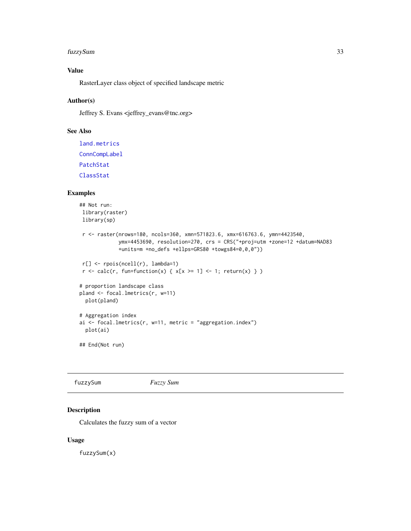#### <span id="page-32-0"></span>fuzzySum 33

# Value

RasterLayer class object of specified landscape metric

# Author(s)

Jeffrey S. Evans <jeffrey\_evans@tnc.org>

# See Also

[land.metrics](#page-42-1) [ConnCompLabel](#page-0-0) [PatchStat](#page-0-0) [ClassStat](#page-0-0)

#### Examples

```
## Not run:
library(raster)
library(sp)
r <- raster(nrows=180, ncols=360, xmn=571823.6, xmx=616763.6, ymn=4423540,
             ymx=4453690, resolution=270, crs = CRS("+proj=utm +zone=12 +datum=NAD83
             +units=m +no_defs +ellps=GRS80 +towgs84=0,0,0"))
r[] <- rpois(ncell(r), lambda=1)
r \leq \text{calc}(r, \text{ fun-function}(x) \{ x[x \geq 1] \leq 1; \text{ return}(x) \} )# proportion landscape class
pland <- focal.lmetrics(r, w=11)
 plot(pland)
# Aggregation index
ai <- focal.lmetrics(r, w=11, metric = "aggregation.index")
 plot(ai)
```

```
## End(Not run)
```
fuzzySum *Fuzzy Sum*

# Description

Calculates the fuzzy sum of a vector

#### Usage

fuzzySum(x)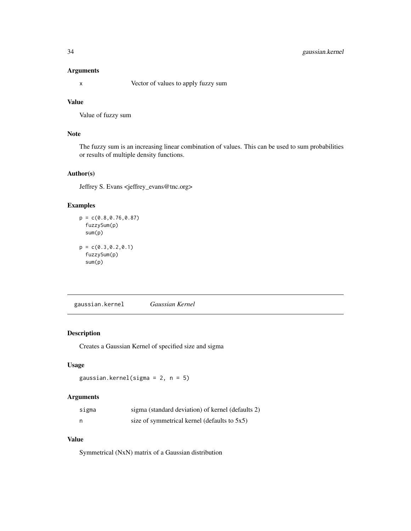# <span id="page-33-0"></span>34 gaussian.kernel

### Arguments

x Vector of values to apply fuzzy sum

#### Value

Value of fuzzy sum

# Note

The fuzzy sum is an increasing linear combination of values. This can be used to sum probabilities or results of multiple density functions.

# Author(s)

Jeffrey S. Evans <jeffrey\_evans@tnc.org>

#### Examples

```
p = c(0.8, 0.76, 0.87)fuzzySum(p)
  sum(p)
p = c(0.3, 0.2, 0.1)fuzzySum(p)
  sum(p)
```
gaussian.kernel *Gaussian Kernel*

#### Description

Creates a Gaussian Kernel of specified size and sigma

# Usage

```
gaussian.kernel(sigma = 2, n = 5)
```
# Arguments

| sigma | sigma (standard deviation) of kernel (defaults 2) |
|-------|---------------------------------------------------|
| n     | size of symmetrical kernel (defaults to 5x5)      |

# Value

Symmetrical (NxN) matrix of a Gaussian distribution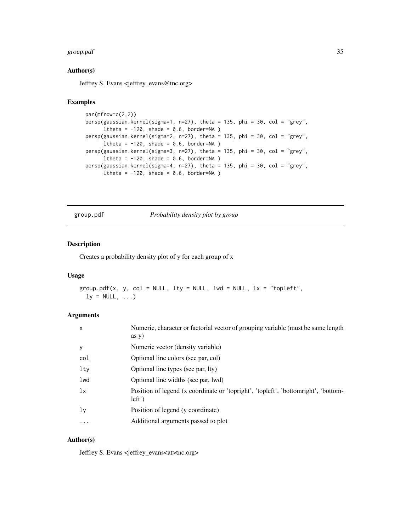#### <span id="page-34-0"></span>group.pdf 35

#### Author(s)

Jeffrey S. Evans <jeffrey\_evans@tnc.org>

#### Examples

```
par(mfrow=c(2,2))
persp(gaussian.kernel(sigma=1, n=27), theta = 135, phi = 30, col = "grey",
     ltheta = -120, shade = 0.6, border=NA )
persp(gaussian.kernel(sigma=2, n=27), theta = 135, phi = 30, col = "grey",
     ltheta = -120, shade = 0.6, border=NA )
persp(gaussian.kernel(sigma=3, n=27), theta = 135, phi = 30, col = "grey",
     ltheta = -120, shade = 0.6, border=NA )
persp(gaussian.kernel(sigma=4, n=27), theta = 135, phi = 30, col = "grey",
      ltheta = -120, shade = 0.6, border=NA )
```
group.pdf *Probability density plot by group*

# Description

Creates a probability density plot of y for each group of x

# Usage

```
group.pdf(x, y, col = NULL, lty = NULL, lwd = NULL, lx = "topleft",ly = NULL, ...
```
#### Arguments

| $\mathsf{x}$ | Numeric, character or factorial vector of grouping variable (must be same length<br>$\left( \text{as } y \right)$ |
|--------------|-------------------------------------------------------------------------------------------------------------------|
| y            | Numeric vector (density variable)                                                                                 |
| col          | Optional line colors (see par, col)                                                                               |
| lty          | Optional line types (see par, lty)                                                                                |
| lwd          | Optional line widths (see par, lwd)                                                                               |
| 1x           | Position of legend (x coordinate or 'topright', 'topleft', 'bottomright', 'bottom-<br>$left'$ )                   |
| ly           | Position of legend (y coordinate)                                                                                 |
| $\cdots$     | Additional arguments passed to plot                                                                               |

# Author(s)

Jeffrey S. Evans <jeffrey\_evans<at>tnc.org>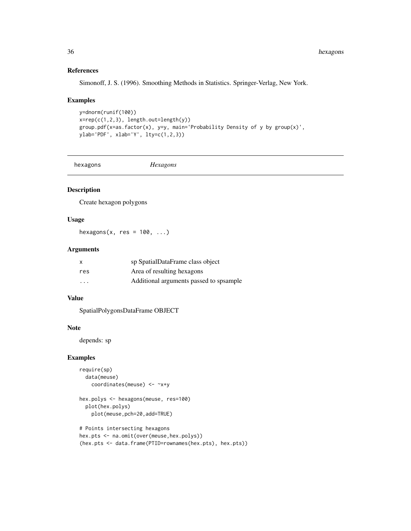# References

Simonoff, J. S. (1996). Smoothing Methods in Statistics. Springer-Verlag, New York.

#### Examples

```
y=dnorm(runif(100))
x = rep(c(1, 2, 3), length.out = length(y))group.pdf(x=as.factor(x), y=y, main='Probability Density of y by group(x)',
ylab='PDF', xlab='Y', lty=c(1,2,3))
```
hexagons *Hexagons*

# Description

Create hexagon polygons

#### Usage

hexagons(x, res =  $100, ...$ )

#### Arguments

| X                       | sp SpatialDataFrame class object        |
|-------------------------|-----------------------------------------|
| res                     | Area of resulting hexagons              |
| $\cdot$ $\cdot$ $\cdot$ | Additional arguments passed to spsample |

# Value

SpatialPolygonsDataFrame OBJECT

# Note

depends: sp

```
require(sp)
 data(meuse)
   coordinates(meuse) <- ~x+y
```

```
hex.polys <- hexagons(meuse, res=100)
 plot(hex.polys)
   plot(meuse,pch=20,add=TRUE)
```

```
# Points intersecting hexagons
hex.pts <- na.omit(over(meuse,hex.polys))
(hex.pts <- data.frame(PTID=rownames(hex.pts), hex.pts))
```
<span id="page-35-0"></span>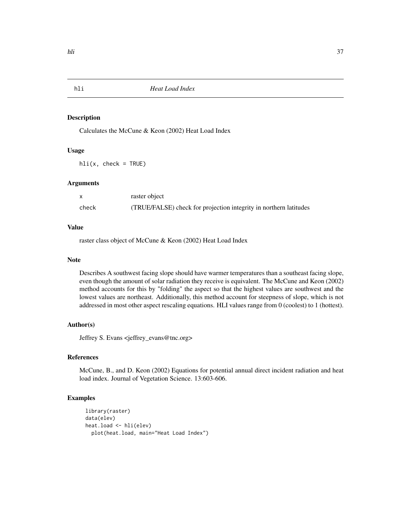# Description

Calculates the McCune & Keon (2002) Heat Load Index

# Usage

 $hli(x, check = TRUE)$ 

#### Arguments

|       | raster object                                                     |
|-------|-------------------------------------------------------------------|
| check | (TRUE/FALSE) check for projection integrity in northern latitudes |

# Value

raster class object of McCune & Keon (2002) Heat Load Index

## Note

Describes A southwest facing slope should have warmer temperatures than a southeast facing slope, even though the amount of solar radiation they receive is equivalent. The McCune and Keon (2002) method accounts for this by "folding" the aspect so that the highest values are southwest and the lowest values are northeast. Additionally, this method account for steepness of slope, which is not addressed in most other aspect rescaling equations. HLI values range from 0 (coolest) to 1 (hottest).

# Author(s)

Jeffrey S. Evans <jeffrey\_evans@tnc.org>

# References

McCune, B., and D. Keon (2002) Equations for potential annual direct incident radiation and heat load index. Journal of Vegetation Science. 13:603-606.

```
library(raster)
data(elev)
heat.load <- hli(elev)
  plot(heat.load, main="Heat Load Index")
```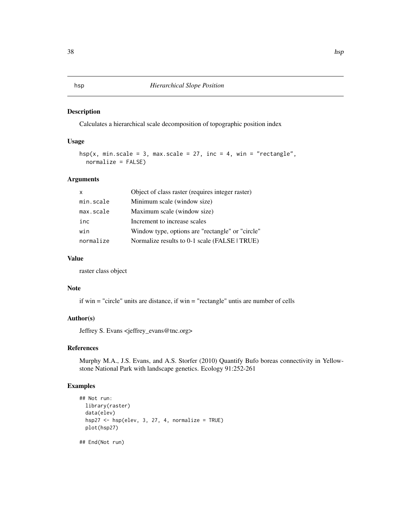## Description

Calculates a hierarchical scale decomposition of topographic position index

## Usage

```
hsp(x, min.scale = 3, max.scale = 27, inc = 4, win = "rectangle",
 normalize = FALSE)
```
## Arguments

| X         | Object of class raster (requires integer raster) |
|-----------|--------------------------------------------------|
| min.scale | Minimum scale (window size)                      |
| max.scale | Maximum scale (window size)                      |
| inc       | Increment to increase scales                     |
| win       | Window type, options are "rectangle" or "circle" |
| normalize | Normalize results to 0-1 scale (FALSE   TRUE)    |

# Value

raster class object

## Note

if win = "circle" units are distance, if win = "rectangle" untis are number of cells

# Author(s)

Jeffrey S. Evans <jeffrey\_evans@tnc.org>

## References

Murphy M.A., J.S. Evans, and A.S. Storfer (2010) Quantify Bufo boreas connectivity in Yellowstone National Park with landscape genetics. Ecology 91:252-261

## Examples

```
## Not run:
 library(raster)
 data(elev)
 hsp27 <- hsp(elev, 3, 27, 4, normalize = TRUE)
 plot(hsp27)
```
## End(Not run)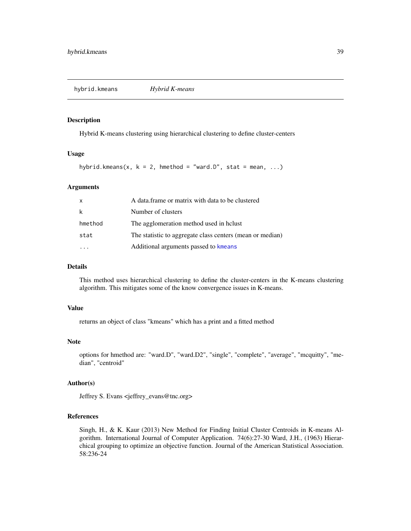hybrid.kmeans *Hybrid K-means*

#### Description

Hybrid K-means clustering using hierarchical clustering to define cluster-centers

## Usage

hybrid.kmeans(x,  $k = 2$ , hmethod = "ward.D", stat = mean, ...)

#### Arguments

| X       | A data frame or matrix with data to be clustered          |
|---------|-----------------------------------------------------------|
| k       | Number of clusters                                        |
| hmethod | The agglomeration method used in holust                   |
| stat    | The statistic to aggregate class centers (mean or median) |
|         | Additional arguments passed to kmeans                     |

## Details

This method uses hierarchical clustering to define the cluster-centers in the K-means clustering algorithm. This mitigates some of the know convergence issues in K-means.

#### Value

returns an object of class "kmeans" which has a print and a fitted method

#### Note

options for hmethod are: "ward.D", "ward.D2", "single", "complete", "average", "mcquitty", "median", "centroid"

# Author(s)

Jeffrey S. Evans <jeffrey\_evans@tnc.org>

# References

Singh, H., & K. Kaur (2013) New Method for Finding Initial Cluster Centroids in K-means Algorithm. International Journal of Computer Application. 74(6):27-30 Ward, J.H., (1963) Hierarchical grouping to optimize an objective function. Journal of the American Statistical Association. 58:236-24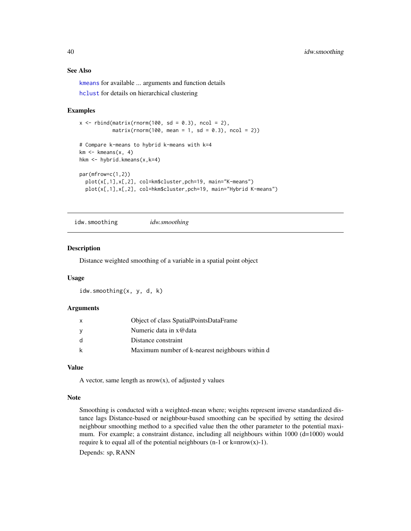# See Also

[kmeans](#page-0-0) for available ... arguments and function details [hclust](#page-0-0) for details on hierarchical clustering

## Examples

```
x \le rbind(matrix(rnorm(100, sd = 0.3), ncol = 2),
           matrix(rnorm(100, mean = 1, sd = 0.3), ncol = 2))# Compare k-means to hybrid k-means with k=4
km \le - kmeans(x, 4)hkm <- hybrid.kmeans(x,k=4)
par(mfrow=c(1,2))
  plot(x[,1],x[,2], col=km$cluster,pch=19, main="K-means")
  plot(x[,1],x[,2], col=hkm$cluster,pch=19, main="Hybrid K-means")
```
idw.smoothing *idw.smoothing*

# Description

Distance weighted smoothing of a variable in a spatial point object

#### Usage

idw.smoothing(x, y, d, k)

#### Arguments

| $\mathsf{x}$ | Object of class SpatialPointsDataFrame          |
|--------------|-------------------------------------------------|
| - V          | Numeric data in x@data                          |
| -d           | Distance constraint                             |
| k            | Maximum number of k-nearest neighbours within d |

## Value

A vector, same length as  $nrow(x)$ , of adjusted y values

#### Note

Smoothing is conducted with a weighted-mean where; weights represent inverse standardized distance lags Distance-based or neighbour-based smoothing can be specified by setting the desired neighbour smoothing method to a specified value then the other parameter to the potential maximum. For example; a constraint distance, including all neighbours within 1000 (d=1000) would require k to equal all of the potential neighbours  $(n-1 \text{ or } k=nrow(x)-1)$ .

Depends: sp, RANN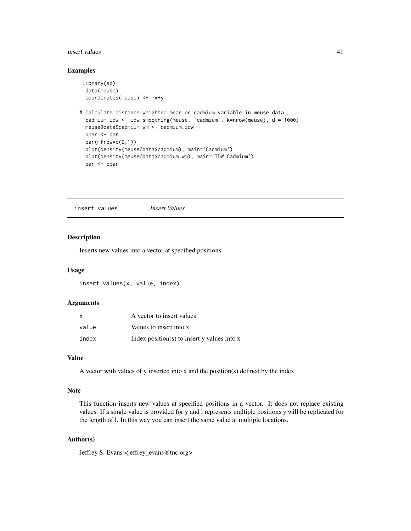#### insert.values 41

# Examples

```
library(sp)
 data(meuse)
 coordinates(meuse) <- ~x+y
# Calculate distance weighted mean on cadmium variable in meuse data
 cadmium.idw <- idw.smoothing(meuse, 'cadmium', k=nrow(meuse), d = 1000)
 meuse@data$cadmium.wm <- cadmium.idw
 opar <- par
 par(mfrow=c(2,1))
 plot(density(meuse@data$cadmium), main='Cadmium')
 plot(density(meuse@data$cadmium.wm), main='IDW Cadmium')
 par <- opar
```
insert.values *Insert Values*

# Description

Inserts new values into a vector at specified positions

## Usage

insert.values(x, value, index)

## Arguments

| X     | A vector to insert values                       |
|-------|-------------------------------------------------|
| value | Values to insert into x                         |
| index | Index position(s) to insert $y$ values into $x$ |

# Value

A vector with values of y inserted into x and the position(s) defined by the index

#### Note

This function inserts new values at specified positions in a vector. It does not replace existing values. If a single value is provided for y and l represents multiple positions y will be replicated for the length of l. In this way you can insert the same value at multiple locations.

# Author(s)

Jeffrey S. Evans <jeffrey\_evans@tnc.org>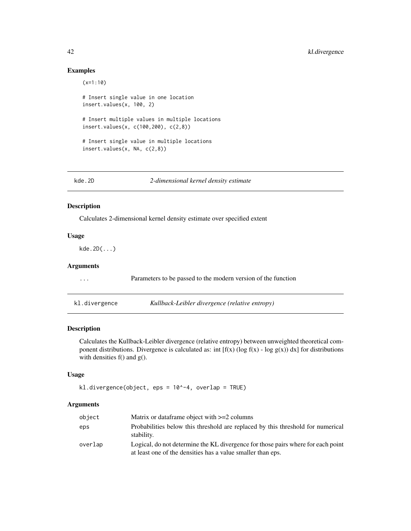# Examples

```
(x=1:10)
# Insert single value in one location
insert.values(x, 100, 2)
# Insert multiple values in multiple locations
insert.values(x, c(100,200), c(2,8))
# Insert single value in multiple locations
insert.values(x, NA, c(2,8))
```
kde.2D *2-dimensional kernel density estimate*

# Description

Calculates 2-dimensional kernel density estimate over specified extent

kl.divergence *Kullback-Leibler divergence (relative entropy)*

# Usage

kde.2D(...)

# Arguments

| $\cdot$ | Parameters to be passed to the modern version of the function |
|---------|---------------------------------------------------------------|
|         |                                                               |
|         |                                                               |

## Description

Calculates the Kullback-Leibler divergence (relative entropy) between unweighted theoretical component distributions. Divergence is calculated as: int  $[f(x) (\log f(x) - \log g(x)) dx]$  for distributions with densities f() and g().

# Usage

```
kl.divergence(object, eps = 10^-4, overlap = TRUE)
```
#### Arguments

| object  | Matrix or data frame object with $>=2$ columns                                                                                                  |
|---------|-------------------------------------------------------------------------------------------------------------------------------------------------|
| eps     | Probabilities below this threshold are replaced by this threshold for numerical<br>stability.                                                   |
| overlap | Logical, do not determine the KL divergence for those pairs where for each point<br>at least one of the densities has a value smaller than eps. |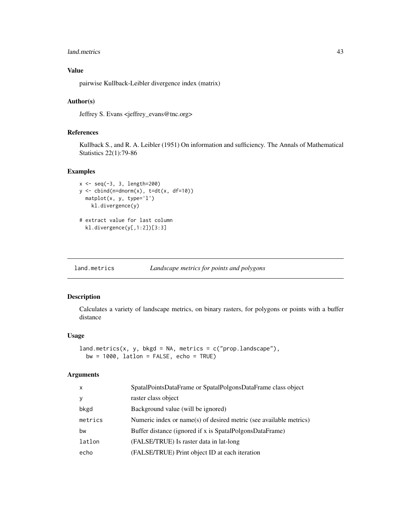#### land.metrics 43

# Value

pairwise Kullback-Leibler divergence index (matrix)

# Author(s)

Jeffrey S. Evans <jeffrey\_evans@tnc.org>

# References

Kullback S., and R. A. Leibler (1951) On information and sufficiency. The Annals of Mathematical Statistics 22(1):79-86

#### Examples

```
x \le - seq(-3, 3, length=200)
y \leftarrow \text{cbind}(n=\text{dnorm}(x), \text{ t=dt}(x, df=10))matplot(x, y, type='l')
    kl.divergence(y)
# extract value for last column
  kl.divergence(y[,1:2])[3:3]
```
land.metrics *Landscape metrics for points and polygons*

#### Description

Calculates a variety of landscape metrics, on binary rasters, for polygons or points with a buffer distance

#### Usage

```
land.metrics(x, y, bkgd = NA, metrics = c("prop.landscape"),bw = 1000, latlon = FALSE, echo = TRUE)
```
# Arguments

| X       | SpatalPointsDataFrame or SpatalPolgonsDataFrame class object       |
|---------|--------------------------------------------------------------------|
| У       | raster class object                                                |
| bkgd    | Background value (will be ignored)                                 |
| metrics | Numeric index or name(s) of desired metric (see available metrics) |
| bw      | Buffer distance (ignored if x is SpatalPolgonsDataFrame)           |
| latlon  | (FALSE/TRUE) Is raster data in lat-long                            |
| echo    | (FALSE/TRUE) Print object ID at each iteration                     |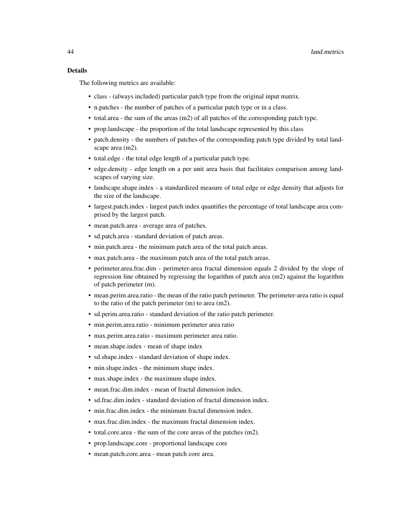# Details

The following metrics are available:

- class (always included) particular patch type from the original input matrix.
- n.patches the number of patches of a particular patch type or in a class.
- total.area the sum of the areas (m2) of all patches of the corresponding patch type.
- prop.landscape the proportion of the total landscape represented by this class
- patch.density the numbers of patches of the corresponding patch type divided by total landscape area (m2).
- total.edge the total edge length of a particular patch type.
- edge.density edge length on a per unit area basis that facilitates comparison among landscapes of varying size.
- landscape.shape.index a standardized measure of total edge or edge density that adjusts for the size of the landscape.
- largest.patch.index largest patch index quantifies the percentage of total landscape area comprised by the largest patch.
- mean.patch.area average area of patches.
- sd.patch.area standard deviation of patch areas.
- min.patch.area the minimum patch area of the total patch areas.
- max.patch.area the maximum patch area of the total patch areas.
- perimeter.area.frac.dim perimeter-area fractal dimension equals 2 divided by the slope of regression line obtained by regressing the logarithm of patch area (m2) against the logarithm of patch perimeter (m).
- mean.perim.area.ratio the mean of the ratio patch perimeter. The perimeter-area ratio is equal to the ratio of the patch perimeter (m) to area (m2).
- sd.perim.area.ratio standard deviation of the ratio patch perimeter.
- min.perim.area.ratio minimum perimeter area ratio
- max.perim.area.ratio maximum perimeter area ratio.
- mean.shape.index mean of shape index
- sd.shape.index standard deviation of shape index.
- min.shape.index the minimum shape index.
- max.shape.index the maximum shape index.
- mean.frac.dim.index mean of fractal dimension index.
- sd.frac.dim.index standard deviation of fractal dimension index.
- min.frac.dim.index the minimum fractal dimension index.
- max.frac.dim.index the maximum fractal dimension index.
- total.core.area the sum of the core areas of the patches (m2).
- prop.landscape.core proportional landscape core
- mean.patch.core.area mean patch core area.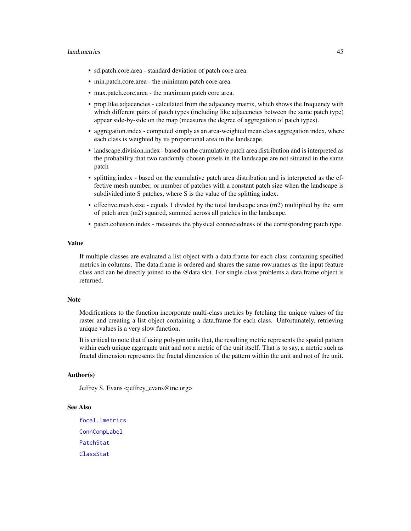#### land.metrics 45

- sd.patch.core.area standard deviation of patch core area.
- min.patch.core.area the minimum patch core area.
- max.patch.core.area the maximum patch core area.
- prop.like.adjacencies calculated from the adjacency matrix, which shows the frequency with which different pairs of patch types (including like adjacencies between the same patch type) appear side-by-side on the map (measures the degree of aggregation of patch types).
- aggregation.index computed simply as an area-weighted mean class aggregation index, where each class is weighted by its proportional area in the landscape.
- landscape.division.index based on the cumulative patch area distribution and is interpreted as the probability that two randomly chosen pixels in the landscape are not situated in the same patch
- splitting.index based on the cumulative patch area distribution and is interpreted as the effective mesh number, or number of patches with a constant patch size when the landscape is subdivided into S patches, where S is the value of the splitting index.
- effective.mesh.size equals 1 divided by the total landscape area (m2) multiplied by the sum of patch area (m2) squared, summed across all patches in the landscape.
- patch.cohesion.index measures the physical connectedness of the corresponding patch type.

## Value

If multiple classes are evaluated a list object with a data.frame for each class containing specified metrics in columns. The data.frame is ordered and shares the same row.names as the input feature class and can be directly joined to the @data slot. For single class problems a data.frame object is returned.

#### **Note**

Modifications to the function incorporate multi-class metrics by fetching the unique values of the raster and creating a list object containing a data.frame for each class. Unfortunately, retrieving unique values is a very slow function.

It is critical to note that if using polygon units that, the resulting metric represents the spatial pattern within each unique aggregate unit and not a metric of the unit itself. That is to say, a metric such as fractal dimension represents the fractal dimension of the pattern within the unit and not of the unit.

## Author(s)

Jeffrey S. Evans <jeffrey\_evans@tnc.org>

#### See Also

[focal.lmetrics](#page-30-0) [ConnCompLabel](#page-0-0) [PatchStat](#page-0-0) [ClassStat](#page-0-0)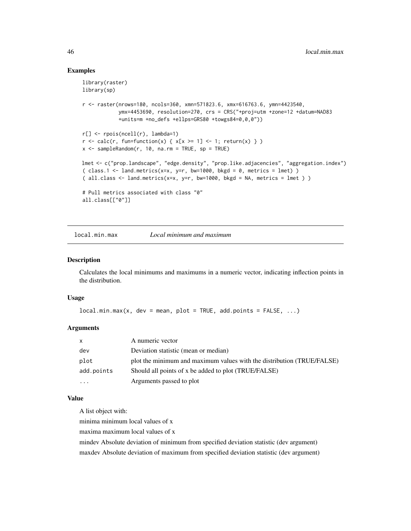## Examples

```
library(raster)
library(sp)
r <- raster(nrows=180, ncols=360, xmn=571823.6, xmx=616763.6, ymn=4423540,
            ymx=4453690, resolution=270, crs = CRS("+proj=utm +zone=12 +datum=NAD83
            +units=m +no_defs +ellps=GRS80 +towgs84=0,0,0"))
r[] <- rpois(ncell(r), lambda=1)
r \leq \text{calc}(r, \text{ function}(x) \{ x[x \geq 1] \leq 1; \text{ return}(x) \} )x \le - sampleRandom(r, 10, na.rm = TRUE, sp = TRUE)
lmet <- c("prop.landscape", "edge.density", "prop.like.adjacencies", "aggregation.index")
( class.1 \leq 1 and.metrics(x=x, y=r, bw=1000, bkgd = 0, metrics = lmet) )
( all.class \le land.metrics(x=x, y=r, bw=1000, bkgd = NA, metrics = lmet ))
# Pull metrics associated with class "0"
all.class[["0"]]
```
local.min.max *Local minimum and maximum*

#### Description

Calculates the local minimums and maximums in a numeric vector, indicating inflection points in the distribution.

# Usage

```
local.min.max(x, dev = mean, plot = TRUE, add.points = FALSE, ...)
```
## Arguments

|            | A numeric vector                                                       |
|------------|------------------------------------------------------------------------|
| dev        | Deviation statistic (mean or median)                                   |
| plot       | plot the minimum and maximum values with the distribution (TRUE/FALSE) |
| add.points | Should all points of x be added to plot (TRUE/FALSE)                   |
|            | Arguments passed to plot                                               |

## Value

A list object with:

minima minimum local values of x

maxima maximum local values of x

mindev Absolute deviation of minimum from specified deviation statistic (dev argument) maxdev Absolute deviation of maximum from specified deviation statistic (dev argument)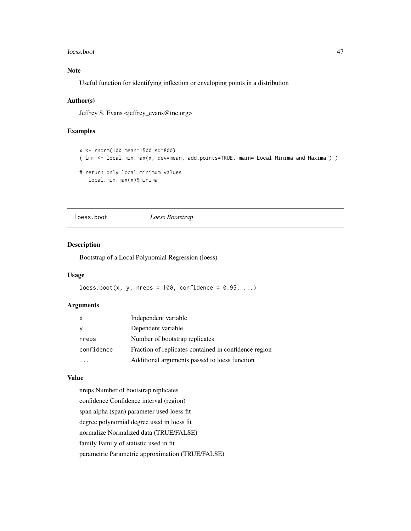#### loess.boot 47

# Note

Useful function for identifying inflection or enveloping points in a distribution

## Author(s)

Jeffrey S. Evans <jeffrey\_evans@tnc.org>

## Examples

```
x <- rnorm(100,mean=1500,sd=800)
( lmm <- local.min.max(x, dev=mean, add.points=TRUE, main="Local Minima and Maxima") )
```

```
# return only local minimum values
  local.min.max(x)$minima
```
loess.boot *Loess Bootstrap*

## Description

Bootstrap of a Local Polynomial Regression (loess)

# Usage

 $loes.boot(x, y, nreps = 100, confidence = 0.95, ...)$ 

## Arguments

| $\mathsf{x}$ | Independent variable                                  |
|--------------|-------------------------------------------------------|
| <b>V</b>     | Dependent variable                                    |
| nreps        | Number of bootstrap replicates                        |
| confidence   | Fraction of replicates contained in confidence region |
|              | Additional arguments passed to loess function         |

#### Value

nreps Number of bootstrap replicates confidence Confidence interval (region) span alpha (span) parameter used loess fit degree polynomial degree used in loess fit normalize Normalized data (TRUE/FALSE) family Family of statistic used in fit parametric Parametric approximation (TRUE/FALSE)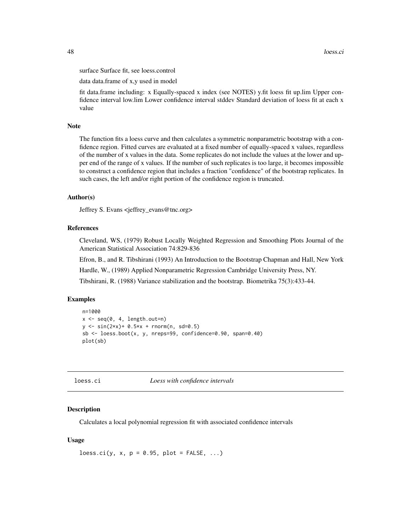surface Surface fit, see loess.control

data data.frame of x,y used in model

fit data.frame including: x Equally-spaced x index (see NOTES) y.fit loess fit up.lim Upper confidence interval low.lim Lower confidence interval stddev Standard deviation of loess fit at each x value

## Note

The function fits a loess curve and then calculates a symmetric nonparametric bootstrap with a confidence region. Fitted curves are evaluated at a fixed number of equally-spaced x values, regardless of the number of x values in the data. Some replicates do not include the values at the lower and upper end of the range of x values. If the number of such replicates is too large, it becomes impossible to construct a confidence region that includes a fraction "confidence" of the bootstrap replicates. In such cases, the left and/or right portion of the confidence region is truncated.

### Author(s)

Jeffrey S. Evans <jeffrey\_evans@tnc.org>

## References

Cleveland, WS, (1979) Robust Locally Weighted Regression and Smoothing Plots Journal of the American Statistical Association 74:829-836

Efron, B., and R. Tibshirani (1993) An Introduction to the Bootstrap Chapman and Hall, New York

Hardle, W., (1989) Applied Nonparametric Regression Cambridge University Press, NY.

Tibshirani, R. (1988) Variance stabilization and the bootstrap. Biometrika 75(3):433-44.

## Examples

```
n=1000
x \leftarrow \text{seq}(0, 4, \text{length.out=n})y \le -\sin(2*x) + 0.5*x + \text{norm}(n, sd=0.5)sb \leq loess.boot(x, y, nreps=99, confidence=0.90, span=0.40)
plot(sb)
```
loess.ci *Loess with confidence intervals*

#### Description

Calculates a local polynomial regression fit with associated confidence intervals

#### Usage

 $loss.ci(y, x, p = 0.95, plot = FALSE, ...)$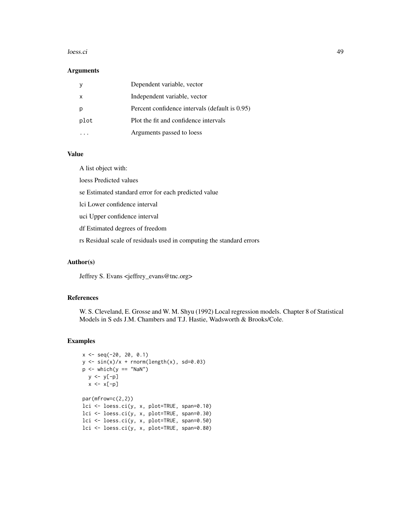#### loess.ci 49

## Arguments

|      | Dependent variable, vector                     |
|------|------------------------------------------------|
| x    | Independent variable, vector                   |
|      | Percent confidence intervals (default is 0.95) |
| plot | Plot the fit and confidence intervals          |
|      | Arguments passed to loess                      |

# Value

A list object with:

loess Predicted values

se Estimated standard error for each predicted value

lci Lower confidence interval

uci Upper confidence interval

df Estimated degrees of freedom

rs Residual scale of residuals used in computing the standard errors

# Author(s)

Jeffrey S. Evans <jeffrey\_evans@tnc.org>

## References

W. S. Cleveland, E. Grosse and W. M. Shyu (1992) Local regression models. Chapter 8 of Statistical Models in S eds J.M. Chambers and T.J. Hastie, Wadsworth & Brooks/Cole.

```
x \le - seq(-20, 20, 0.1)
y \le -\sin(x)/x + \text{norm}(\text{length}(x), \text{ sd=0.03})p \leftarrow \text{which}(y == \text{"NaN"})y <- y[-p]
  x \leftarrow x[-p]par(mfrow=c(2,2))
lci <- loess.ci(y, x, plot=TRUE, span=0.10)
lci <- loess.ci(y, x, plot=TRUE, span=0.30)
lci <- loess.ci(y, x, plot=TRUE, span=0.50)
lci <- loess.ci(y, x, plot=TRUE, span=0.80)
```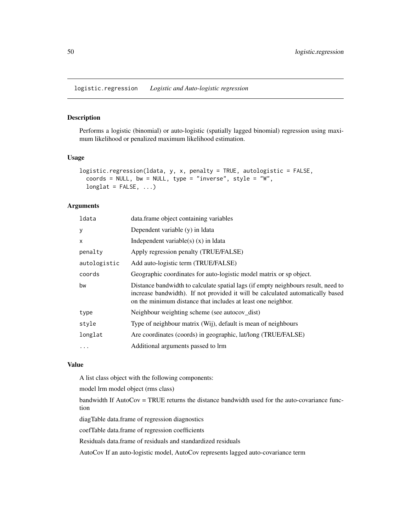logistic.regression *Logistic and Auto-logistic regression*

# Description

Performs a logistic (binomial) or auto-logistic (spatially lagged binomial) regression using maximum likelihood or penalized maximum likelihood estimation.

# Usage

```
logistic.regression(ldata, y, x, penalty = TRUE, autologistic = FALSE,
 coords = NULL, bw = NULL, type = "inverse", style = "W",
 longlat = FALSE, ...)
```
## Arguments

| ldata        | data.frame object containing variables                                                                                                                                                                                              |
|--------------|-------------------------------------------------------------------------------------------------------------------------------------------------------------------------------------------------------------------------------------|
| У            | Dependent variable (y) in Idata                                                                                                                                                                                                     |
| X            | Independent variable(s) $(x)$ in Idata                                                                                                                                                                                              |
| penalty      | Apply regression penalty (TRUE/FALSE)                                                                                                                                                                                               |
| autologistic | Add auto-logistic term (TRUE/FALSE)                                                                                                                                                                                                 |
| coords       | Geographic coordinates for auto-logistic model matrix or sp object.                                                                                                                                                                 |
| bw           | Distance bandwidth to calculate spatial lags (if empty neighbours result, need to<br>increase bandwidth). If not provided it will be calculated automatically based<br>on the minimum distance that includes at least one neighbor. |
| type         | Neighbour weighting scheme (see autocov_dist)                                                                                                                                                                                       |
| style        | Type of neighbour matrix (Wij), default is mean of neighbours                                                                                                                                                                       |
| longlat      | Are coordinates (coords) in geographic, lat/long (TRUE/FALSE)                                                                                                                                                                       |
| .            | Additional arguments passed to lrm                                                                                                                                                                                                  |

## Value

A list class object with the following components:

model lrm model object (rms class)

bandwidth If AutoCov = TRUE returns the distance bandwidth used for the auto-covariance function

diagTable data.frame of regression diagnostics

coefTable data.frame of regression coefficients

Residuals data.frame of residuals and standardized residuals

AutoCov If an auto-logistic model, AutoCov represents lagged auto-covariance term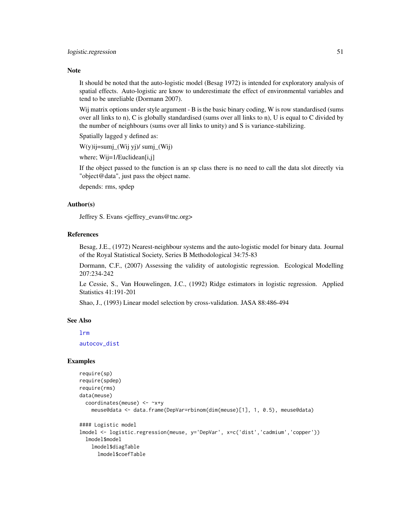## Note

It should be noted that the auto-logistic model (Besag 1972) is intended for exploratory analysis of spatial effects. Auto-logistic are know to underestimate the effect of environmental variables and tend to be unreliable (Dormann 2007).

Wij matrix options under style argument - B is the basic binary coding, W is row standardised (sums over all links to n), C is globally standardised (sums over all links to n), U is equal to C divided by the number of neighbours (sums over all links to unity) and S is variance-stabilizing.

Spatially lagged y defined as:

W(y)ij=sumj\_(Wij yj)/ sumj\_(Wij)

where; Wij=1/Euclidean[i,j]

If the object passed to the function is an sp class there is no need to call the data slot directly via "object@data", just pass the object name.

depends: rms, spdep

## Author(s)

Jeffrey S. Evans <jeffrey\_evans@tnc.org>

## References

Besag, J.E., (1972) Nearest-neighbour systems and the auto-logistic model for binary data. Journal of the Royal Statistical Society, Series B Methodological 34:75-83

Dormann, C.F., (2007) Assessing the validity of autologistic regression. Ecological Modelling 207:234-242

Le Cessie, S., Van Houwelingen, J.C., (1992) Ridge estimators in logistic regression. Applied Statistics 41:191-201

Shao, J., (1993) Linear model selection by cross-validation. JASA 88:486-494

#### See Also

[lrm](#page-0-0)

[autocov\\_dist](#page-0-0)

```
require(sp)
require(spdep)
require(rms)
data(meuse)
 coordinates(meuse) <- ~x+y
   meuse@data <- data.frame(DepVar=rbinom(dim(meuse)[1], 1, 0.5), meuse@data)
#### Logistic model
lmodel <- logistic.regression(meuse, y='DepVar', x=c('dist','cadmium','copper'))
 lmodel$model
   lmodel$diagTable
     lmodel$coefTable
```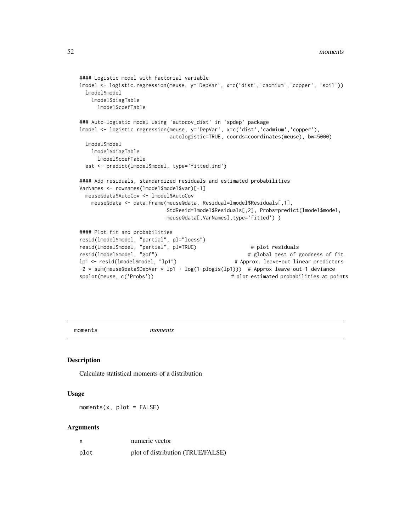```
#### Logistic model with factorial variable
lmodel <- logistic.regression(meuse, y='DepVar', x=c('dist','cadmium','copper', 'soil'))
 lmodel$model
    lmodel$diagTable
      lmodel$coefTable
### Auto-logistic model using 'autocov_dist' in 'spdep' package
lmodel <- logistic.regression(meuse, y='DepVar', x=c('dist','cadmium','copper'),
                               autologistic=TRUE, coords=coordinates(meuse), bw=5000)
 lmodel$model
    lmodel$diagTable
      lmodel$coefTable
 est <- predict(lmodel$model, type='fitted.ind')
#### Add residuals, standardized residuals and estimated probabilities
VarNames <- rownames(lmodel$model$var)[-1]
 meuse@data$AutoCov <- lmodel$AutoCov
    meuse@data <- data.frame(meuse@data, Residual=lmodel$Residuals[,1],
                              StdResid=lmodel$Residuals[,2], Probs=predict(lmodel$model,
                              meuse@data[,VarNames],type='fitted') )
#### Plot fit and probabilities
resid(lmodel$model, "partial", pl="loess")
resid(lmodel$model, "partial", pl=TRUE) # plot residuals
resid(lmodel$model, "gof")             # global test of goodness of fit<br>lp1 <– resid(lmodel$model, "lp1")         # Approx. leave–out linear predictors
                                                      # Approx. leave-out linear predictors
-2 * sum(meuse@data$DepVar * lp1 + log(1-plogis(lp1))) # Approx leave-out-1 deviance
spplot(meuse, c('Probs')) \qquad \qquad \qquad \qquad \qquad # plot estimated probabilities at points
```
moments *moments*

# Description

Calculate statistical moments of a distribution

#### Usage

 $moments(x, plot = FALSE)$ 

#### Arguments

| x    | numeric vector                    |
|------|-----------------------------------|
| plot | plot of distribution (TRUE/FALSE) |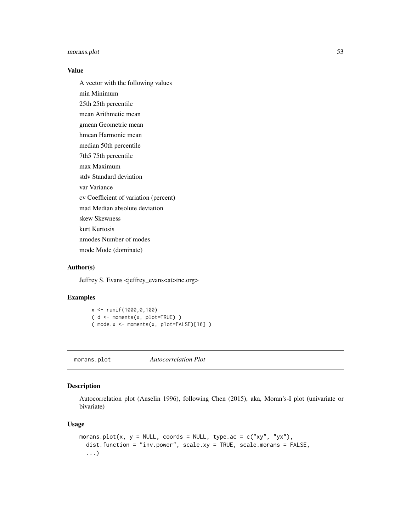# morans.plot 53

## Value

A vector with the following values min Minimum 25th 25th percentile mean Arithmetic mean gmean Geometric mean hmean Harmonic mean median 50th percentile 7th5 75th percentile max Maximum stdv Standard deviation var Variance cv Coefficient of variation (percent) mad Median absolute deviation skew Skewness kurt Kurtosis nmodes Number of modes mode Mode (dominate)

#### Author(s)

Jeffrey S. Evans <jeffrey\_evans<at>tnc.org>

## Examples

```
x <- runif(1000,0,100)
( d <- moments(x, plot=TRUE) )
( mode.x <- moments(x, plot=FALSE)[16] )
```
morans.plot *Autocorrelation Plot*

## Description

Autocorrelation plot (Anselin 1996), following Chen (2015), aka, Moran's-I plot (univariate or bivariate)

# Usage

```
morans.plot(x, y = NULL, coords = NULL, type.ac = c("xy", "yx"),
  dist.function = "inv.power", scale.xy = TRUE, scale.morans = FALSE,
  ...)
```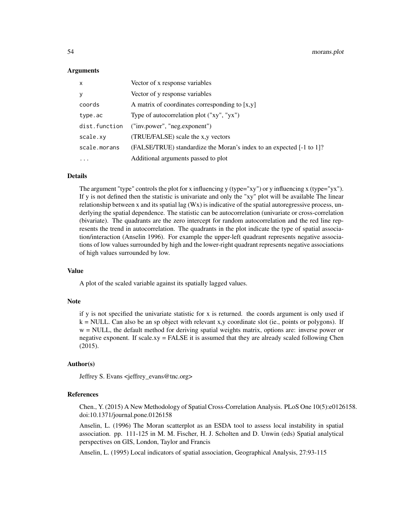#### Arguments

| $\mathsf{x}$  | Vector of x response variables                                       |
|---------------|----------------------------------------------------------------------|
| y             | Vector of y response variables                                       |
| coords        | A matrix of coordinates corresponding to $[x, y]$                    |
| type.ac       | Type of autocorrelation plot ("xy", "yx")                            |
| dist.function | ("inv.power", "neg.exponent")                                        |
| scale.xy      | (TRUE/FALSE) scale the x,y vectors                                   |
| scale.morans  | (FALSE/TRUE) standardize the Moran's index to an expected [-1 to 1]? |
|               | Additional arguments passed to plot                                  |

## Details

The argument "type" controls the plot for x influencing y (type="xy") or y influencing x (type="yx"). If y is not defined then the statistic is univariate and only the "xy" plot will be available The linear relationship between x and its spatial lag  $(Wx)$  is indicative of the spatial autoregressive process, underlying the spatial dependence. The statistic can be autocorrelation (univariate or cross-correlation (bivariate). The quadrants are the zero intercept for random autocorrelation and the red line represents the trend in autocorrelation. The quadrants in the plot indicate the type of spatial association/interaction (Anselin 1996). For example the upper-left quadrant represents negative associations of low values surrounded by high and the lower-right quadrant represents negative associations of high values surrounded by low.

#### Value

A plot of the scaled variable against its spatially lagged values.

#### Note

if y is not specified the univariate statistic for x is returned. the coords argument is only used if  $k = NULL$ . Can also be an sp object with relevant x, y coordinate slot (ie., points or polygons). If w = NULL, the default method for deriving spatial weights matrix, options are: inverse power or negative exponent. If scale.xy = FALSE it is assumed that they are already scaled following Chen (2015).

## Author(s)

Jeffrey S. Evans <jeffrey\_evans@tnc.org>

## References

Chen., Y. (2015) A New Methodology of Spatial Cross-Correlation Analysis. PLoS One 10(5):e0126158. doi:10.1371/journal.pone.0126158

Anselin, L. (1996) The Moran scatterplot as an ESDA tool to assess local instability in spatial association. pp. 111-125 in M. M. Fischer, H. J. Scholten and D. Unwin (eds) Spatial analytical perspectives on GIS, London, Taylor and Francis

Anselin, L. (1995) Local indicators of spatial association, Geographical Analysis, 27:93-115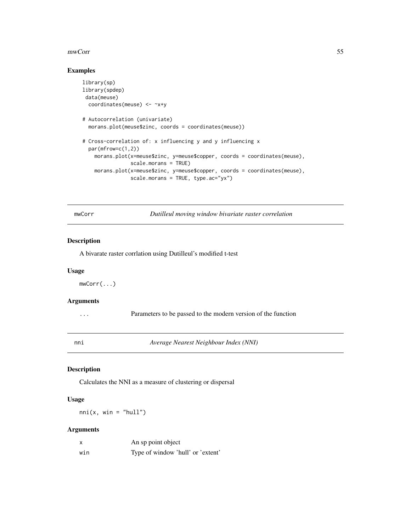#### mwCorr 55

# Examples

```
library(sp)
library(spdep)
data(meuse)
  coordinates(meuse) <- ~x+y
# Autocorrelation (univariate)
  morans.plot(meuse$zinc, coords = coordinates(meuse))
# Cross-correlation of: x influencing y and y influencing x
  par(mfrow=c(1,2))
   morans.plot(x=meuse$zinc, y=meuse$copper, coords = coordinates(meuse),
                scale.morans = TRUE)
    morans.plot(x=meuse$zinc, y=meuse$copper, coords = coordinates(meuse),
                scale.morans = TRUE, type.ac="yx")
```
mwCorr *Dutilleul moving window bivariate raster correlation*

#### Description

A bivarate raster corrlation using Dutilleul's modified t-test

#### Usage

mwCorr(...)

## Arguments

... Parameters to be passed to the modern version of the function

nni *Average Nearest Neighbour Index (NNI)*

# Description

Calculates the NNI as a measure of clustering or dispersal

#### Usage

 $nni(x, win = "hull")$ 

#### Arguments

| x   | An sp point object                |
|-----|-----------------------------------|
| win | Type of window 'hull' or 'extent' |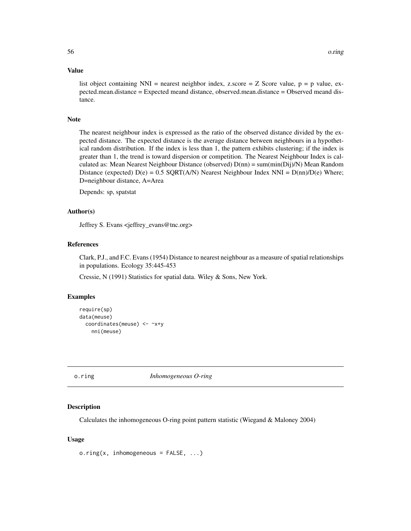#### Value

list object containing NNI = nearest neighbor index, z.score =  $Z$  Score value,  $p = p$  value, expected.mean.distance = Expected meand distance, observed.mean.distance = Observed meand distance.

## Note

The nearest neighbour index is expressed as the ratio of the observed distance divided by the expected distance. The expected distance is the average distance between neighbours in a hypothetical random distribution. If the index is less than 1, the pattern exhibits clustering; if the index is greater than 1, the trend is toward dispersion or competition. The Nearest Neighbour Index is calculated as: Mean Nearest Neighbour Distance (observed) D(nn) = sum(min(Dij)/N) Mean Random Distance (expected)  $D(e) = 0.5 \text{ SQRT}(A/N)$  Nearest Neighbour Index NNI =  $D(\text{nn})/D(e)$  Where; D=neighbour distance, A=Area

Depends: sp, spatstat

## Author(s)

Jeffrey S. Evans <jeffrey\_evans@tnc.org>

#### References

Clark, P.J., and F.C. Evans (1954) Distance to nearest neighbour as a measure of spatial relationships in populations. Ecology 35:445-453

Cressie, N (1991) Statistics for spatial data. Wiley & Sons, New York.

#### Examples

```
require(sp)
data(meuse)
 coordinates(meuse) <- ~x+y
   nni(meuse)
```
o.ring *Inhomogeneous O-ring*

#### Description

Calculates the inhomogeneous O-ring point pattern statistic (Wiegand & Maloney 2004)

#### Usage

o.ring(x, inhomogeneous = FALSE, ...)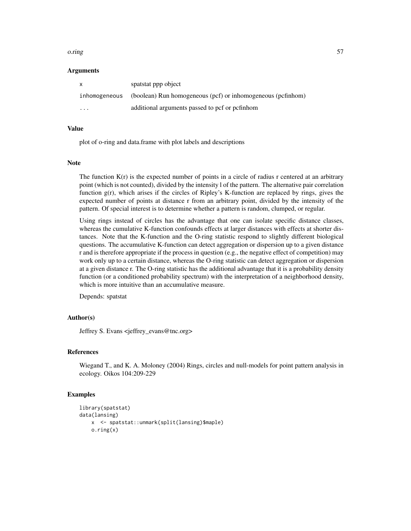#### o.ring 57

## Arguments

| $\mathsf{x}$            | spatstat ppp object                                         |
|-------------------------|-------------------------------------------------------------|
| inhomogeneous           | (boolean) Run homogeneous (pcf) or inhomogeneous (pcfinhom) |
| $\cdot$ $\cdot$ $\cdot$ | additional arguments passed to pcf or pcfinhom              |

#### Value

plot of o-ring and data.frame with plot labels and descriptions

#### Note

The function  $K(r)$  is the expected number of points in a circle of radius r centered at an arbitrary point (which is not counted), divided by the intensity l of the pattern. The alternative pair correlation function  $g(r)$ , which arises if the circles of Ripley's K-function are replaced by rings, gives the expected number of points at distance r from an arbitrary point, divided by the intensity of the pattern. Of special interest is to determine whether a pattern is random, clumped, or regular.

Using rings instead of circles has the advantage that one can isolate specific distance classes, whereas the cumulative K-function confounds effects at larger distances with effects at shorter distances. Note that the K-function and the O-ring statistic respond to slightly different biological questions. The accumulative K-function can detect aggregation or dispersion up to a given distance r and is therefore appropriate if the process in question (e.g., the negative effect of competition) may work only up to a certain distance, whereas the O-ring statistic can detect aggregation or dispersion at a given distance r. The O-ring statistic has the additional advantage that it is a probability density function (or a conditioned probability spectrum) with the interpretation of a neighborhood density, which is more intuitive than an accumulative measure.

Depends: spatstat

## Author(s)

Jeffrey S. Evans <jeffrey\_evans@tnc.org>

#### References

Wiegand T., and K. A. Moloney (2004) Rings, circles and null-models for point pattern analysis in ecology. Oikos 104:209-229

```
library(spatstat)
data(lansing)
   x <- spatstat::unmark(split(lansing)$maple)
    o.ring(x)
```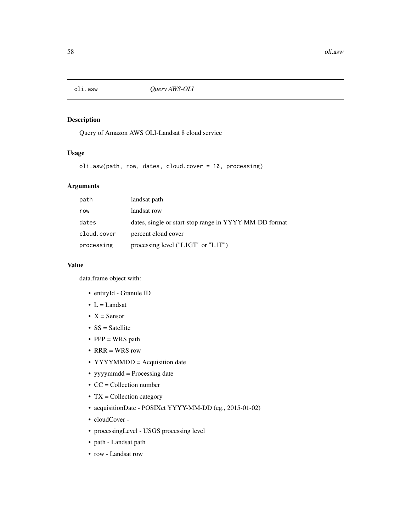## Description

Query of Amazon AWS OLI-Landsat 8 cloud service

## Usage

oli.asw(path, row, dates, cloud.cover = 10, processing)

# Arguments

| path        | landsat path                                           |
|-------------|--------------------------------------------------------|
| row         | landsat row                                            |
| dates       | dates, single or start-stop range in YYYY-MM-DD format |
| cloud.cover | percent cloud cover                                    |
| processing  | processing level (" $L1GT$ " or " $L1T$ ")             |

# Value

data.frame object with:

- entityId Granule ID
- $L =$ Landsat
- $X =$  Sensor
- SS = Satellite
- PPP = WRS path
- RRR = WRS row
- YYYYMMDD = Acquisition date
- yyyymmdd = Processing date
- CC = Collection number
- TX = Collection category
- acquisitionDate POSIXct YYYY-MM-DD (eg., 2015-01-02)
- cloudCover -
- processingLevel USGS processing level
- path Landsat path
- row Landsat row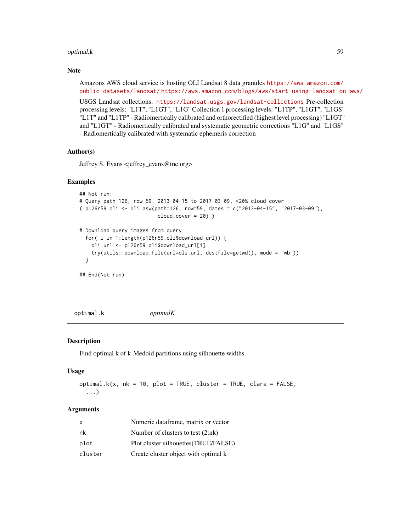#### optimal.k 59

## Note

Amazons AWS cloud service is hosting OLI Landsat 8 data granules [https://aws.amazon.com/](https://aws.amazon.com/public-datasets/landsat/) [public-datasets/landsat/](https://aws.amazon.com/public-datasets/landsat/) <https://aws.amazon.com/blogs/aws/start-using-landsat-on-aws/>

USGS Landsat collections: <https://landsat.usgs.gov/landsat-collections> Pre-collection processing levels: "L1T", "L1GT", "L1G" Collection 1 processing levels: "L1TP", "L1GT", "L1GS" "L1T" and "L1TP" - Radiomertically calibrated and orthorectified (highest level processing) "L1GT" and "L1GT" - Radiomertically calibrated and systematic geometric corrections "L1G" and "L1GS" - Radiomertically calibrated with systematic ephemeris correction

## Author(s)

Jeffrey S. Evans <jeffrey\_evans@tnc.org>

#### Examples

```
## Not run:
# Query path 126, row 59, 2013-04-15 to 2017-03-09, <20% cloud cover
( p126r59.oli <- oli.asw(path=126, row=59, dates = c("2013-04-15", "2017-03-09"),
                          cloud.cover = 20) )
# Download query images from query
 for( i in 1:length(p126r59.oli$download_url)) {
    oli.url <- p126r59.oli$download_url[i]
    try(utils::download.file(url=oli.url, destfile=getwd(), mode = "wb"))
 }
## End(Not run)
```
optimal.k *optimalK*

#### Description

Find optimal k of k-Medoid partitions using silhouette widths

#### Usage

```
optimal.k(x, nk = 10, plot = TRUE, cluster = TRUE, char = FALSE,
  ...)
```
## Arguments

| x       | Numeric dataframe, matrix or vector   |
|---------|---------------------------------------|
| nk      | Number of clusters to test $(2:nk)$   |
| plot    | Plot cluster silhouettes (TRUE/FALSE) |
| cluster | Create cluster object with optimal k  |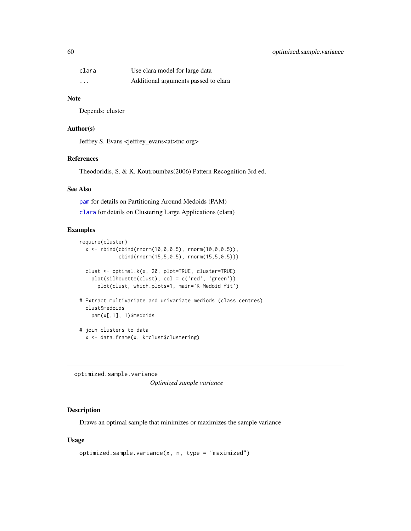# 60 optimized.sample.variance

| clara    | Use clara model for large data       |
|----------|--------------------------------------|
| $\cdots$ | Additional arguments passed to clara |

#### Note

Depends: cluster

## Author(s)

Jeffrey S. Evans <jeffrey\_evans<at>tnc.org>

## References

Theodoridis, S. & K. Koutroumbas(2006) Pattern Recognition 3rd ed.

## See Also

[pam](#page-0-0) for details on Partitioning Around Medoids (PAM) [clara](#page-0-0) for details on Clustering Large Applications (clara)

#### Examples

```
require(cluster)
 x \le rbind(cbind(rnorm(10,0,0.5), rnorm(10,0,0.5)),
             cbind(rnorm(15,5,0.5), rnorm(15,5,0.5)))
 clust <- optimal.k(x, 20, plot=TRUE, cluster=TRUE)
   plot(silhouette(clust), col = c('red', 'green'))
     plot(clust, which.plots=1, main='K-Medoid fit')
# Extract multivariate and univariate mediods (class centres)
 clust$medoids
   pam(x[,1], 1)$medoids
# join clusters to data
 x <- data.frame(x, k=clust$clustering)
```
optimized.sample.variance

*Optimized sample variance*

## Description

Draws an optimal sample that minimizes or maximizes the sample variance

## Usage

```
optimized.sample.variance(x, n, type = "maximized")
```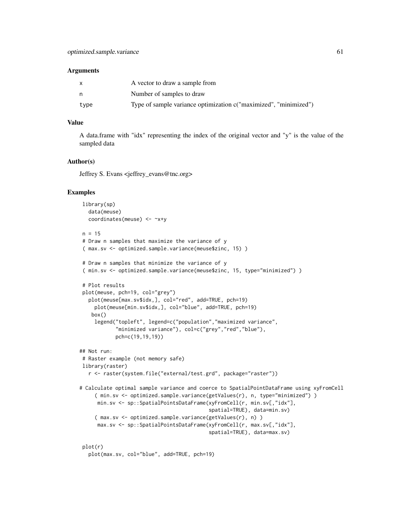#### Arguments

|      | A vector to draw a sample from                                   |
|------|------------------------------------------------------------------|
| n    | Number of samples to draw                                        |
| type | Type of sample variance optimization c("maximized", "minimized") |

# Value

A data.frame with "idx" representing the index of the original vector and "y" is the value of the sampled data

#### Author(s)

Jeffrey S. Evans <jeffrey\_evans@tnc.org>

```
library(sp)
  data(meuse)
  coordinates(meuse) <- ~x+y
n = 15# Draw n samples that maximize the variance of y
( max.sv <- optimized.sample.variance(meuse$zinc, 15) )
# Draw n samples that minimize the variance of y
( min.sv <- optimized.sample.variance(meuse$zinc, 15, type="minimized") )
# Plot results
plot(meuse, pch=19, col="grey")
  plot(meuse[max.sv$idx,], col="red", add=TRUE, pch=19)
    plot(meuse[min.sv$idx,], col="blue", add=TRUE, pch=19)
   box()
    legend("topleft", legend=c("population","maximized variance",
            "minimized variance"), col=c("grey","red","blue"),
           pch=c(19,19,19))
## Not run:
# Raster example (not memory safe)
library(raster)
  r <- raster(system.file("external/test.grd", package="raster"))
# Calculate optimal sample variance and coerce to SpatialPointDataFrame using xyFromCell
     ( min.sv <- optimized.sample.variance(getValues(r), n, type="minimized") )
     min.sv <- sp::SpatialPointsDataFrame(xyFromCell(r, min.sv[,"idx"],
                                           spatial=TRUE), data=min.sv)
    ( max.sv <- optimized.sample.variance(getValues(r), n) )
     max.sv <- sp::SpatialPointsDataFrame(xyFromCell(r, max.sv[,"idx"],
                                           spatial=TRUE), data=max.sv)
plot(r)
  plot(max.sv, col="blue", add=TRUE, pch=19)
```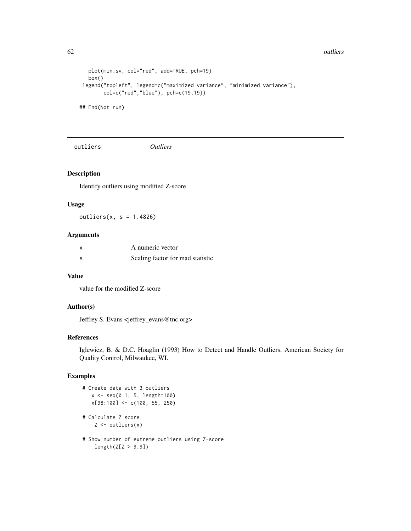#### 62 outliers and the contract of the contract of the contract of the contract of the contract of the contract of the contract of the contract of the contract of the contract of the contract of the contract of the contract o

```
plot(min.sv, col="red", add=TRUE, pch=19)
  box()
legend("topleft", legend=c("maximized variance", "minimized variance"),
      col=c("red","blue"), pch=c(19,19))
```
## End(Not run)

outliers *Outliers*

# Description

Identify outliers using modified Z-score

## Usage

 $outliers(x, s = 1.4826)$ 

# Arguments

| x  | A numeric vector                 |
|----|----------------------------------|
| -S | Scaling factor for mad statistic |

## Value

value for the modified Z-score

# Author(s)

Jeffrey S. Evans <jeffrey\_evans@tnc.org>

# References

Iglewicz, B. & D.C. Hoaglin (1993) How to Detect and Handle Outliers, American Society for Quality Control, Milwaukee, WI.

```
# Create data with 3 outliers
   x \leq -\text{seq}(0.1, 5, \text{length}=100)x[98:100] <- c(100, 55, 250)
# Calculate Z score
    Z \leftarrow \text{outliers}(x)# Show number of extreme outliers using Z-score
```

```
length(Z[Z > 9.9])
```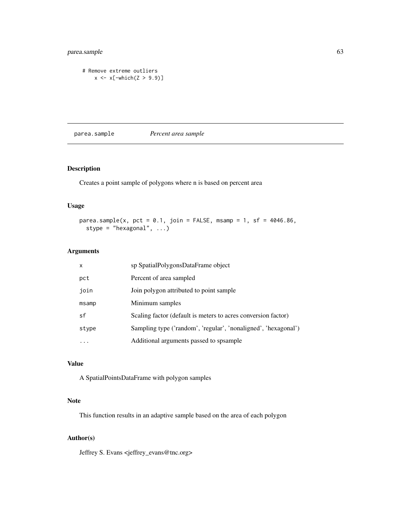# parea.sample 63

```
# Remove extreme outliers
    x \leftarrow x[-\text{which}(Z > 9.9)]
```
parea.sample *Percent area sample*

# Description

Creates a point sample of polygons where n is based on percent area

# Usage

```
parea.sample(x, pct = 0.1, join = FALSE, msamp = 1, sf = 4046.86,
 stype = "hexagonal", ...)
```
# Arguments

| $\mathsf{x}$ | sp SpatialPolygonsDataFrame object                             |
|--------------|----------------------------------------------------------------|
| pct          | Percent of area sampled                                        |
| join         | Join polygon attributed to point sample                        |
| msamp        | Minimum samples                                                |
| sf           | Scaling factor (default is meters to acres conversion factor)  |
| stype        | Sampling type ('random', 'regular', 'nonaligned', 'hexagonal') |
|              | Additional arguments passed to spsample                        |

## Value

A SpatialPointsDataFrame with polygon samples

# Note

This function results in an adaptive sample based on the area of each polygon

# Author(s)

Jeffrey S. Evans <jeffrey\_evans@tnc.org>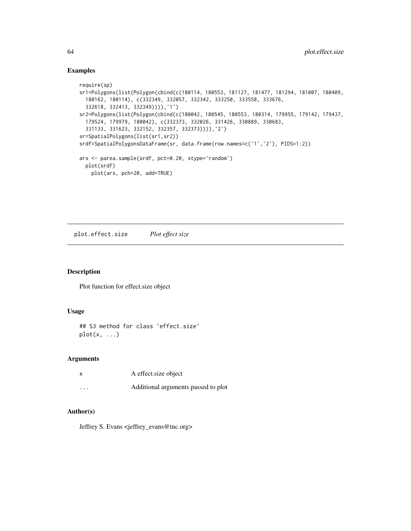## Examples

```
require(sp)
sr1=Polygons(list(Polygon(cbind(c(180114, 180553, 181127, 181477, 181294, 181007, 180409,
  180162, 180114), c(332349, 332057, 332342, 333250, 333558, 333676,
  332618, 332413, 332349)))),'1')
sr2=Polygons(list(Polygon(cbind(c(180042, 180545, 180553, 180314, 179955, 179142, 179437,
  179524, 179979, 180042), c(332373, 332026, 331426, 330889, 330683,
  331133, 331623, 332152, 332357, 332373)))),'2')
sr=SpatialPolygons(list(sr1,sr2))
srdf=SpatialPolygonsDataFrame(sr, data.frame(row.names=c('1','2'), PIDS=1:2))
ars <- parea.sample(srdf, pct=0.20, stype='random')
  plot(srdf)
    plot(ars, pch=20, add=TRUE)
```
plot.effect.size *Plot effect size*

#### Description

Plot function for effect.size object

## Usage

```
## S3 method for class 'effect.size'
plot(x, \ldots)
```
#### Arguments

| x       | A effect size object                |
|---------|-------------------------------------|
| $\cdot$ | Additional arguments passed to plot |

## Author(s)

Jeffrey S. Evans <jeffrey\_evans@tnc.org>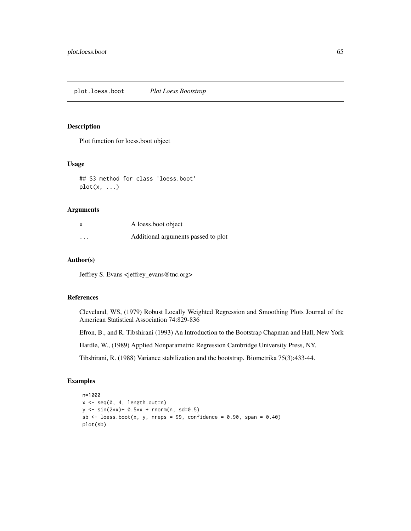## Description

Plot function for loess.boot object

## Usage

```
## S3 method for class 'loess.boot'
plot(x, \ldots)
```
# Arguments

| $\boldsymbol{\mathsf{x}}$ | A loess boot object                 |
|---------------------------|-------------------------------------|
| $\cdots$                  | Additional arguments passed to plot |

#### Author(s)

Jeffrey S. Evans <jeffrey\_evans@tnc.org>

#### References

Cleveland, WS, (1979) Robust Locally Weighted Regression and Smoothing Plots Journal of the American Statistical Association 74:829-836

Efron, B., and R. Tibshirani (1993) An Introduction to the Bootstrap Chapman and Hall, New York

Hardle, W., (1989) Applied Nonparametric Regression Cambridge University Press, NY.

Tibshirani, R. (1988) Variance stabilization and the bootstrap. Biometrika 75(3):433-44.

```
n=1000
x \leftarrow seq(0, 4, length.out=n)y \le -\sin(2*x) + 0.5*x + \text{norm}(n, sd=0.5)sb \le loess.boot(x, y, nreps = 99, confidence = 0.90, span = 0.40)
plot(sb)
```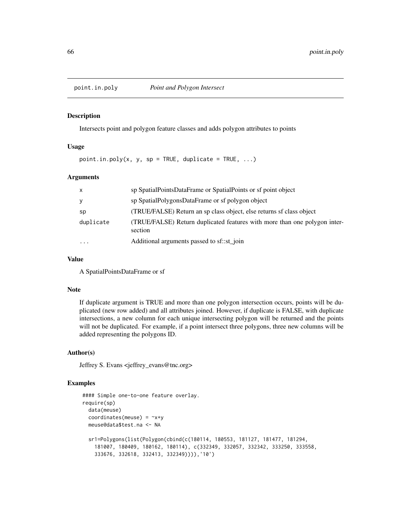#### Description

Intersects point and polygon feature classes and adds polygon attributes to points

## Usage

 $point.in.poly(x, y, sp = TRUE, duplicate = TRUE, ...)$ 

## Arguments

| $\mathsf{x}$ | sp SpatialPointsDataFrame or SpatialPoints or sf point object                        |
|--------------|--------------------------------------------------------------------------------------|
| y            | sp SpatialPolygonsDataFrame or sf polygon object                                     |
| sp           | (TRUE/FALSE) Return an sp class object, else returns sf class object                 |
| duplicate    | (TRUE/FALSE) Return duplicated features with more than one polygon inter-<br>section |
| $\cdots$     | Additional arguments passed to sf::st_join                                           |

## Value

A SpatialPointsDataFrame or sf

#### Note

If duplicate argument is TRUE and more than one polygon intersection occurs, points will be duplicated (new row added) and all attributes joined. However, if duplicate is FALSE, with duplicate intersections, a new column for each unique intersecting polygon will be returned and the points will not be duplicated. For example, if a point intersect three polygons, three new columns will be added representing the polygons ID.

## Author(s)

Jeffrey S. Evans <jeffrey\_evans@tnc.org>

```
#### Simple one-to-one feature overlay.
require(sp)
  data(meuse)
  coordinates(meuse) = -x+ymeuse@data$test.na <- NA
  sr1=Polygons(list(Polygon(cbind(c(180114, 180553, 181127, 181477, 181294,
    181007, 180409, 180162, 180114), c(332349, 332057, 332342, 333250, 333558,
    333676, 332618, 332413, 332349)))),'10')
```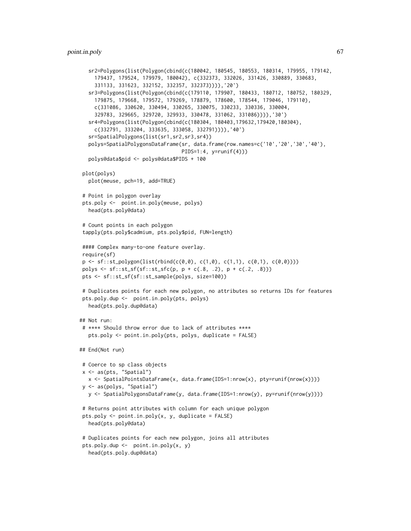```
sr2=Polygons(list(Polygon(cbind(c(180042, 180545, 180553, 180314, 179955, 179142,
    179437, 179524, 179979, 180042), c(332373, 332026, 331426, 330889, 330683,
    331133, 331623, 332152, 332357, 332373)))),'20')
  sr3=Polygons(list(Polygon(cbind(c(179110, 179907, 180433, 180712, 180752, 180329,
    179875, 179668, 179572, 179269, 178879, 178600, 178544, 179046, 179110),
    c(331086, 330620, 330494, 330265, 330075, 330233, 330336, 330004,
    329783, 329665, 329720, 329933, 330478, 331062, 331086)))),'30')
  sr4=Polygons(list(Polygon(cbind(c(180304, 180403,179632,179420,180304),
    c(332791, 333204, 333635, 333058, 332791)))),'40')
  sr=SpatialPolygons(list(sr1,sr2,sr3,sr4))
  polys=SpatialPolygonsDataFrame(sr, data.frame(row.names=c('10','20','30','40'),
                                  PIDS=1:4, y=runif(4)))
  polys@data$pid <- polys@data$PIDS + 100
plot(polys)
  plot(meuse, pch=19, add=TRUE)
# Point in polygon overlay
pts.poly <- point.in.poly(meuse, polys)
  head(pts.poly@data)
# Count points in each polygon
tapply(pts.poly$cadmium, pts.poly$pid, FUN=length)
#### Complex many-to-one feature overlay.
require(sf)
p \leftarrow sf::st\_polygon(list(rbind(c(0,0), c(1,0), c(1,1), c(0,1), c(0,0))))polys <- sf::st\_sf(sf::st\_sfc(p, p + c(.8, .2), p + c(.2, .8)))pts <- sf::st_sf(sf::st_sample(polys, size=100))
# Duplicates points for each new polygon, no attributes so returns IDs for features
pts.poly.dup <- point.in.poly(pts, polys)
  head(pts.poly.dup@data)
## Not run:
# **** Should throw error due to lack of attributes ****
  pts.poly <- point.in.poly(pts, polys, duplicate = FALSE)
## End(Not run)
# Coerce to sp class objects
x <- as(pts, "Spatial")
  x <- SpatialPointsDataFrame(x, data.frame(IDS=1:nrow(x), pty=runif(nrow(x))))
y <- as(polys, "Spatial")
  y <- SpatialPolygonsDataFrame(y, data.frame(IDS=1:nrow(y), py=runif(nrow(y))))
# Returns point attributes with column for each unique polygon
pts.poly \leq point.in.poly(x, y, duplicate = FALSE)
  head(pts.poly@data)
# Duplicates points for each new polygon, joins all attributes
pts.poly.dup <- point.in.poly(x, y)
  head(pts.poly.dup@data)
```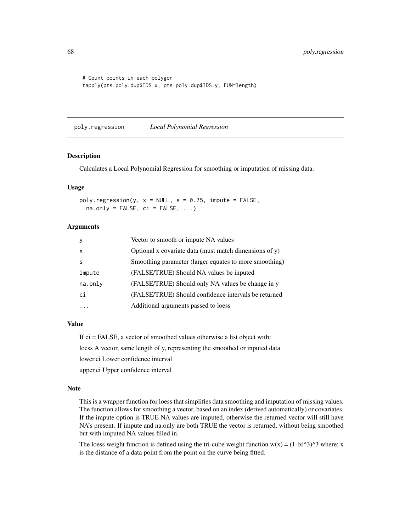```
# Count points in each polygon
tapply(pts.poly.dup$IDS.x, pts.poly.dup$IDS.y, FUN=length)
```
poly.regression *Local Polynomial Regression*

#### Description

Calculates a Local Polynomial Regression for smoothing or imputation of missing data.

#### Usage

poly.regression(y,  $x = NULL$ ,  $s = 0.75$ , impute = FALSE,  $na. only = FALSE, ci = FALSE, ...)$ 

# Arguments

| <sub>V</sub> | Vector to smooth or impute NA values                   |
|--------------|--------------------------------------------------------|
| $\times$     | Optional x covariate data (must match dimensions of y) |
| S            | Smoothing parameter (larger equates to more smoothing) |
| impute       | (FALSE/TRUE) Should NA values be inputed               |
| na.only      | (FALSE/TRUE) Should only NA values be change in y      |
| сi           | (FALSE/TRUE) Should confidence intervals be returned   |
|              | Additional arguments passed to loess                   |

# Value

If ci = FALSE, a vector of smoothed values otherwise a list object with: loess A vector, same length of y, representing the smoothed or inputed data lower.ci Lower confidence interval upper.ci Upper confidence interval

## Note

This is a wrapper function for loess that simplifies data smoothing and imputation of missing values. The function allows for smoothing a vector, based on an index (derived automatically) or covariates. If the impute option is TRUE NA values are imputed, otherwise the returned vector will still have NA's present. If impute and na.only are both TRUE the vector is returned, without being smoothed but with imputed NA values filled in.

The loess weight function is defined using the tri-cube weight function  $w(x) = (1-|x|^{3})^{3}$  where; x is the distance of a data point from the point on the curve being fitted.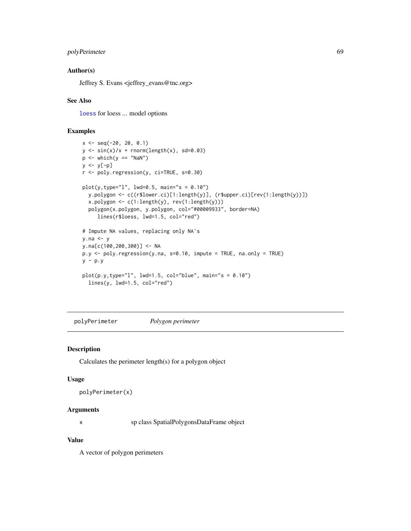## polyPerimeter 69

## Author(s)

Jeffrey S. Evans <jeffrey\_evans@tnc.org>

## See Also

[loess](#page-0-0) for loess ... model options

## Examples

```
x \le - seq(-20, 20, 0.1)
y \le -\sin(x)/x + \text{norm}(\text{length}(x), \text{ sd=0.03})p \leftarrow \text{which}(y == \text{"NaN"})y \leftarrow y[-p]r <- poly.regression(y, ci=TRUE, s=0.30)
plot(y, type="1", lwd=0.5, main="s = 0.10")y.polygon <- c((r$lower.ci)[1:length(y)], (r$upper.ci)[rev(1:length(y))])
  x.polygon <- c(1:length(y), rev(1:length(y)))
  polygon(x.polygon, y.polygon, col="#00009933", border=NA)
     lines(r$loess, lwd=1.5, col="red")
# Impute NA values, replacing only NA's
y.na <- y
y.na[c(100,200,300)] <- NA
p.y <- poly.regression(y.na, s=0.10, impute = TRUE, na.only = TRUE)
y - p.yplot(p.y,type="l", lwd=1.5, col="blue", main="s = 0.10")
  lines(y, lwd=1.5, col="red")
```
polyPerimeter *Polygon perimeter*

#### Description

Calculates the perimeter length(s) for a polygon object

#### Usage

```
polyPerimeter(x)
```
# Arguments

x sp class SpatialPolygonsDataFrame object

# Value

A vector of polygon perimeters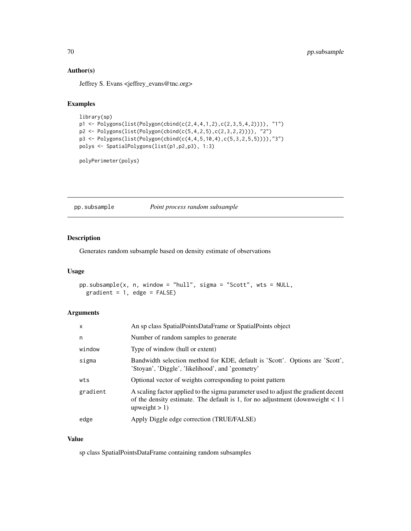# Author(s)

Jeffrey S. Evans <jeffrey\_evans@tnc.org>

# Examples

```
library(sp)
p1 <- Polygons(list(Polygon(cbind(c(2,4,4,1,2),c(2,3,5,4,2)))), "1")
p2 <- Polygons(list(Polygon(cbind(c(5,4,2,5),c(2,3,2,2)))), "2")
p3 <- Polygons(list(Polygon(cbind(c(4,4,5,10,4),c(5,3,2,5,5)))),"3")
polys <- SpatialPolygons(list(p1,p2,p3), 1:3)
```
polyPerimeter(polys)

pp.subsample *Point process random subsample*

# Description

Generates random subsample based on density estimate of observations

## Usage

```
pp.subsample(x, n, window = "hull", sigma = "Scott", wts = NULL,
 gradient = 1, edge = FALSE)
```
# Arguments

| $\mathsf{x}$ | An sp class SpatialPointsDataFrame or SpatialPoints object                                                                                                                                   |  |
|--------------|----------------------------------------------------------------------------------------------------------------------------------------------------------------------------------------------|--|
| n            | Number of random samples to generate                                                                                                                                                         |  |
| window       | Type of window (hull or extent)                                                                                                                                                              |  |
| sigma        | Bandwidth selection method for KDE, default is 'Scott'. Options are 'Scott',<br>'Stoyan', 'Diggle', 'likelihood', and 'geometry'                                                             |  |
| wts          | Optional vector of weights corresponding to point pattern                                                                                                                                    |  |
| gradient     | A scaling factor applied to the sigma parameter used to adjust the gradient decent<br>of the density estimate. The default is 1, for no adjustment (downweight $\lt 1$ )<br>upweight $> 1$ ) |  |
| edge         | Apply Diggle edge correction (TRUE/FALSE)                                                                                                                                                    |  |

# Value

sp class SpatialPointsDataFrame containing random subsamples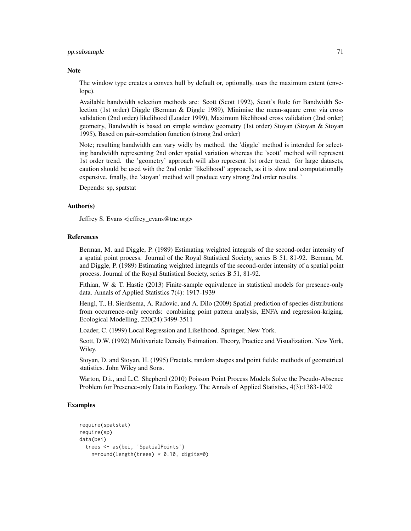#### pp.subsample 71

#### **Note**

The window type creates a convex hull by default or, optionally, uses the maximum extent (envelope).

Available bandwidth selection methods are: Scott (Scott 1992), Scott's Rule for Bandwidth Selection (1st order) Diggle (Berman & Diggle 1989), Minimise the mean-square error via cross validation (2nd order) likelihood (Loader 1999), Maximum likelihood cross validation (2nd order) geometry, Bandwidth is based on simple window geometry (1st order) Stoyan (Stoyan & Stoyan 1995), Based on pair-correlation function (strong 2nd order)

Note; resulting bandwidth can vary widly by method. the 'diggle' method is intended for selecting bandwidth representing 2nd order spatial variation whereas the 'scott' method will represent 1st order trend. the 'geometry' approach will also represent 1st order trend. for large datasets, caution should be used with the 2nd order 'likelihood' approach, as it is slow and computationally expensive. finally, the 'stoyan' method will produce very strong 2nd order results. '

Depends: sp, spatstat

## Author(s)

Jeffrey S. Evans <jeffrey\_evans@tnc.org>

#### References

Berman, M. and Diggle, P. (1989) Estimating weighted integrals of the second-order intensity of a spatial point process. Journal of the Royal Statistical Society, series B 51, 81-92. Berman, M. and Diggle, P. (1989) Estimating weighted integrals of the second-order intensity of a spatial point process. Journal of the Royal Statistical Society, series B 51, 81-92.

Fithian, W & T. Hastie (2013) Finite-sample equivalence in statistical models for presence-only data. Annals of Applied Statistics 7(4): 1917-1939

Hengl, T., H. Sierdsema, A. Radovic, and A. Dilo (2009) Spatial prediction of species distributions from occurrence-only records: combining point pattern analysis, ENFA and regression-kriging. Ecological Modelling, 220(24):3499-3511

Loader, C. (1999) Local Regression and Likelihood. Springer, New York.

Scott, D.W. (1992) Multivariate Density Estimation. Theory, Practice and Visualization. New York, Wiley.

Stoyan, D. and Stoyan, H. (1995) Fractals, random shapes and point fields: methods of geometrical statistics. John Wiley and Sons.

Warton, D.i., and L.C. Shepherd (2010) Poisson Point Process Models Solve the Pseudo-Absence Problem for Presence-only Data in Ecology. The Annals of Applied Statistics, 4(3):1383-1402

```
require(spatstat)
require(sp)
data(bei)
 trees <- as(bei, 'SpatialPoints')
   n=round(length(trees) * 0.10, digits=0)
```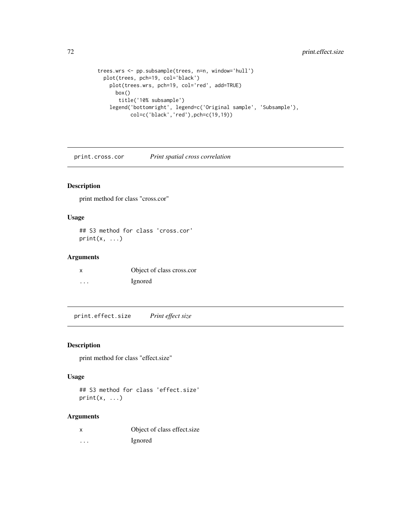```
trees.wrs <- pp.subsample(trees, n=n, window='hull')
 plot(trees, pch=19, col='black')
   plot(trees.wrs, pch=19, col='red', add=TRUE)
     box()
       title('10% subsample')
   legend('bottomright', legend=c('Original sample', 'Subsample'),
           col=c('black','red'),pch=c(19,19))
```
print.cross.cor *Print spatial cross correlation*

# Description

print method for class "cross.cor"

## Usage

## S3 method for class 'cross.cor'  $print(x, \ldots)$ 

# Arguments

| X       | Object of class cross.cor |
|---------|---------------------------|
| $\cdot$ | <i>l</i> gnored           |

print.effect.size *Print effect size*

## Description

print method for class "effect.size"

## Usage

## S3 method for class 'effect.size'  $print(x, \ldots)$ 

# Arguments

|  |  | Object of class effect size |
|--|--|-----------------------------|
|  |  |                             |

... Ignored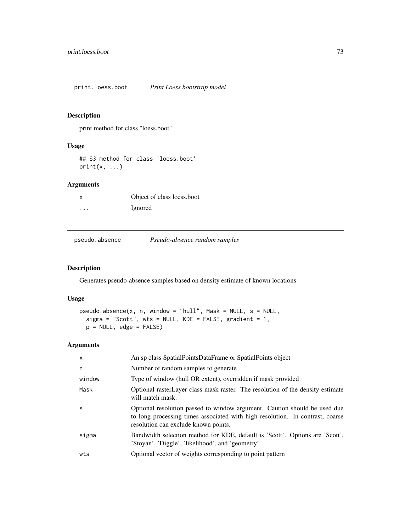print.loess.boot *Print Loess bootstrap model*

# Description

print method for class "loess.boot"

## Usage

## S3 method for class 'loess.boot'  $print(x, \ldots)$ 

# Arguments

|   | Object of class loess boot |
|---|----------------------------|
| . | <i>l</i> gnored            |

pseudo.absence *Pseudo-absence random samples*

# Description

Generates pseudo-absence samples based on density estimate of known locations

# Usage

```
pseudo.absence(x, n, window = "hull", Mask = NULL, s = NULL,
  sigma = "Scott", wts = NULL, KDE = FALSE, gradient = 1,
 p = NULL, edge = FALSE)
```
# Arguments

| X      | An sp class SpatialPointsDataFrame or SpatialPoints object                                                                                                                                         |
|--------|----------------------------------------------------------------------------------------------------------------------------------------------------------------------------------------------------|
| n      | Number of random samples to generate                                                                                                                                                               |
| window | Type of window (hull OR extent), overridden if mask provided                                                                                                                                       |
| Mask   | Optional rasterLayer class mask raster. The resolution of the density estimate<br>will match mask.                                                                                                 |
| S      | Optional resolution passed to window argument. Caution should be used due<br>to long processing times associated with high resolution. In contrast, coarse<br>resolution can exclude known points. |
| sigma  | Bandwidth selection method for KDE, default is 'Scott'. Options are 'Scott',<br>'Stoyan', 'Diggle', 'likelihood', and 'geometry'                                                                   |
| wts    | Optional vector of weights corresponding to point pattern                                                                                                                                          |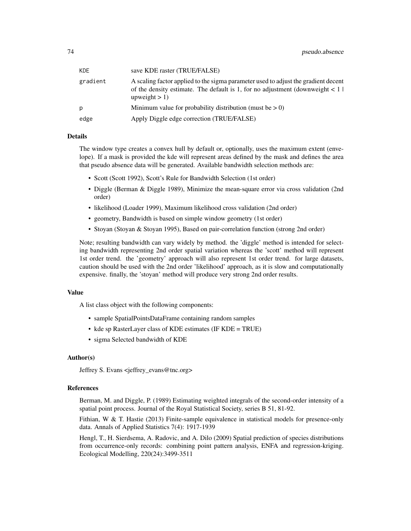| KDE.     | save KDE raster (TRUE/FALSE)                                                                                                                                                                 |
|----------|----------------------------------------------------------------------------------------------------------------------------------------------------------------------------------------------|
| gradient | A scaling factor applied to the sigma parameter used to adjust the gradient decent<br>of the density estimate. The default is 1, for no adjustment (downweight $\lt 1$ )<br>upweight $> 1$ ) |
| D        | Minimum value for probability distribution (must be $> 0$ )                                                                                                                                  |
| edge     | Apply Diggle edge correction (TRUE/FALSE)                                                                                                                                                    |

## Details

The window type creates a convex hull by default or, optionally, uses the maximum extent (envelope). If a mask is provided the kde will represent areas defined by the mask and defines the area that pseudo absence data will be generated. Available bandwidth selection methods are:

- Scott (Scott 1992), Scott's Rule for Bandwidth Selection (1st order)
- Diggle (Berman & Diggle 1989), Minimize the mean-square error via cross validation (2nd order)
- likelihood (Loader 1999), Maximum likelihood cross validation (2nd order)
- geometry, Bandwidth is based on simple window geometry (1st order)
- Stoyan (Stoyan & Stoyan 1995), Based on pair-correlation function (strong 2nd order)

Note; resulting bandwidth can vary widely by method. the 'diggle' method is intended for selecting bandwidth representing 2nd order spatial variation whereas the 'scott' method will represent 1st order trend. the 'geometry' approach will also represent 1st order trend. for large datasets, caution should be used with the 2nd order 'likelihood' approach, as it is slow and computationally expensive. finally, the 'stoyan' method will produce very strong 2nd order results.

#### Value

A list class object with the following components:

- sample SpatialPointsDataFrame containing random samples
- kde sp RasterLayer class of KDE estimates (IF KDE = TRUE)
- sigma Selected bandwidth of KDE

## Author(s)

Jeffrey S. Evans <jeffrey\_evans@tnc.org>

# References

Berman, M. and Diggle, P. (1989) Estimating weighted integrals of the second-order intensity of a spatial point process. Journal of the Royal Statistical Society, series B 51, 81-92.

Fithian, W  $&$  T. Hastie (2013) Finite-sample equivalence in statistical models for presence-only data. Annals of Applied Statistics 7(4): 1917-1939

Hengl, T., H. Sierdsema, A. Radovic, and A. Dilo (2009) Spatial prediction of species distributions from occurrence-only records: combining point pattern analysis, ENFA and regression-kriging. Ecological Modelling, 220(24):3499-3511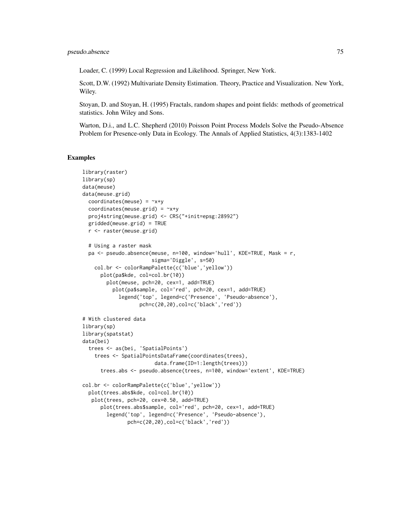Loader, C. (1999) Local Regression and Likelihood. Springer, New York.

Scott, D.W. (1992) Multivariate Density Estimation. Theory, Practice and Visualization. New York, Wiley.

Stoyan, D. and Stoyan, H. (1995) Fractals, random shapes and point fields: methods of geometrical statistics. John Wiley and Sons.

Warton, D.i., and L.C. Shepherd (2010) Poisson Point Process Models Solve the Pseudo-Absence Problem for Presence-only Data in Ecology. The Annals of Applied Statistics, 4(3):1383-1402

```
library(raster)
library(sp)
data(meuse)
data(meuse.grid)
  coordinates(meuse) = -x+ycoordinates(meuse.grid) = -x+yproj4string(meuse.grid) <- CRS("+init=epsg:28992")
  gridded(meuse.grid) = TRUE
  r <- raster(meuse.grid)
  # Using a raster mask
  pa <- pseudo.absence(meuse, n=100, window='hull', KDE=TRUE, Mask = r,
                       sigma='Diggle', s=50)
    col.br <- colorRampPalette(c('blue','yellow'))
      plot(pa$kde, col=col.br(10))
        plot(meuse, pch=20, cex=1, add=TRUE)
          plot(pa$sample, col='red', pch=20, cex=1, add=TRUE)
            legend('top', legend=c('Presence', 'Pseudo-absence'),
                   pch=c(20,20),col=c('black','red'))
# With clustered data
library(sp)
library(spatstat)
data(bei)
  trees <- as(bei, 'SpatialPoints')
    trees <- SpatialPointsDataFrame(coordinates(trees),
                        data.frame(ID=1:length(trees)))
      trees.abs <- pseudo.absence(trees, n=100, window='extent', KDE=TRUE)
col.br <- colorRampPalette(c('blue','yellow'))
  plot(trees.abs$kde, col=col.br(10))
   plot(trees, pch=20, cex=0.50, add=TRUE)
      plot(trees.abs$sample, col='red', pch=20, cex=1, add=TRUE)
        legend('top', legend=c('Presence', 'Pseudo-absence'),
               pch=c(20,20),col=c('black','red'))
```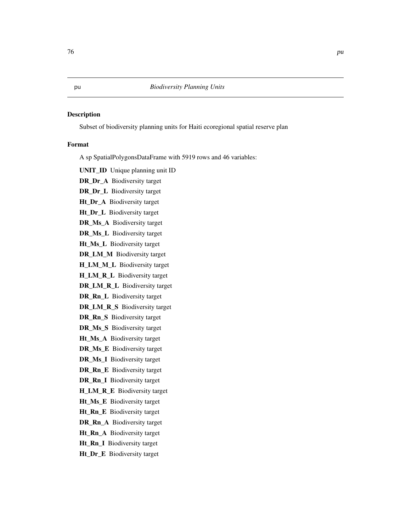Subset of biodiversity planning units for Haiti ecoregional spatial reserve plan

## Format

A sp SpatialPolygonsDataFrame with 5919 rows and 46 variables:

UNIT\_ID Unique planning unit ID

DR\_Dr\_A Biodiversity target

DR\_Dr\_L Biodiversity target

Ht\_Dr\_A Biodiversity target

Ht\_Dr\_L Biodiversity target

DR\_Ms\_A Biodiversity target

DR\_Ms\_L Biodiversity target

Ht\_Ms\_L Biodiversity target

DR\_LM\_M Biodiversity target

H\_LM\_M\_L Biodiversity target

H\_LM\_R\_L Biodiversity target

DR\_LM\_R\_L Biodiversity target

DR\_Rn\_L Biodiversity target

DR\_LM\_R\_S Biodiversity target

DR\_Rn\_S Biodiversity target

DR\_Ms\_S Biodiversity target

Ht\_Ms\_A Biodiversity target

DR\_Ms\_E Biodiversity target

DR\_Ms\_I Biodiversity target

DR\_Rn\_E Biodiversity target

DR\_Rn\_I Biodiversity target

H\_LM\_R\_E Biodiversity target

Ht\_Ms\_E Biodiversity target

Ht\_Rn\_E Biodiversity target

DR\_Rn\_A Biodiversity target

Ht\_Rn\_A Biodiversity target

Ht\_Rn\_I Biodiversity target

Ht\_Dr\_E Biodiversity target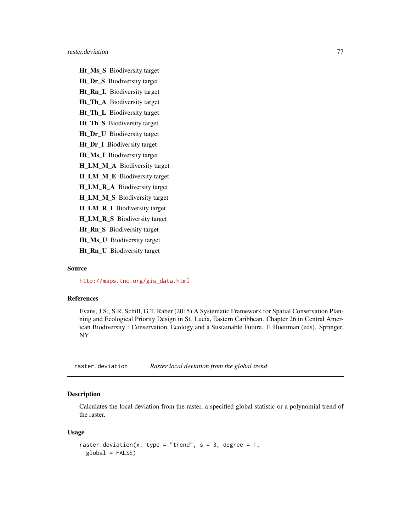Ht\_Ms\_S Biodiversity target Ht\_Dr\_S Biodiversity target Ht\_Rn\_L Biodiversity target Ht\_Th\_A Biodiversity target Ht\_Th\_L Biodiversity target Ht\_Th\_S Biodiversity target Ht\_Dr\_U Biodiversity target Ht Dr I Biodiversity target Ht\_Ms\_I Biodiversity target H\_LM\_M\_A Biodiversity target H\_LM\_M\_E Biodiversity target H\_LM\_R\_A Biodiversity target H\_LM\_M\_S Biodiversity target

H\_LM\_R\_I Biodiversity target

H\_LM\_R\_S Biodiversity target

Ht\_Rn\_S Biodiversity target

Ht\_Ms\_U Biodiversity target

Ht\_Rn\_U Biodiversity target

#### Source

[http://maps.tnc.org/gis\\_data.html](http://maps.tnc.org/gis_data.html)

# References

Evans, J.S., S.R. Schill, G.T. Raber (2015) A Systematic Framework for Spatial Conservation Planning and Ecological Priority Design in St. Lucia, Eastern Caribbean. Chapter 26 in Central American Biodiversity : Conservation, Ecology and a Sustainable Future. F. Huettman (eds). Springer, NY.

raster.deviation *Raster local deviation from the global trend*

## Description

Calculates the local deviation from the raster, a specified global statistic or a polynomial trend of the raster.

#### Usage

```
raster.deviation(x, type = "trend", s = 3, degree = 1,
 global = FALSE)
```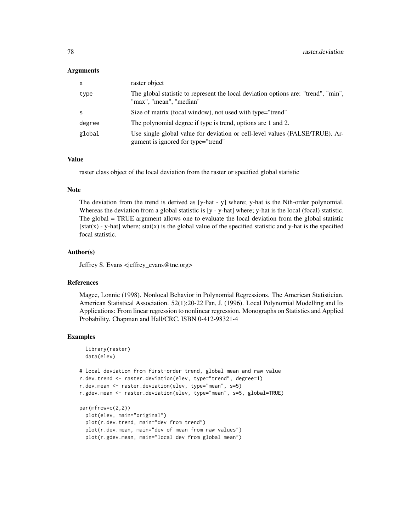#### Arguments

| $\mathsf{x}$ | raster object                                                                                                      |
|--------------|--------------------------------------------------------------------------------------------------------------------|
| type         | The global statistic to represent the local deviation options are: "trend", "min",<br>"max", "mean", "median"      |
| -S           | Size of matrix (focal window), not used with type="trend"                                                          |
| degree       | The polynomial degree if type is trend, options are 1 and 2.                                                       |
| global       | Use single global value for deviation or cell-level values (FALSE/TRUE). Ar-<br>gument is ignored for type="trend" |

## Value

raster class object of the local deviation from the raster or specified global statistic

#### Note

The deviation from the trend is derived as [y-hat - y] where; y-hat is the Nth-order polynomial. Whereas the deviation from a global statistic is [y - y-hat] where; y-hat is the local (focal) statistic. The global = TRUE argument allows one to evaluate the local deviation from the global statistic  $[stat(x) - y-hat]$  where; stat $(x)$  is the global value of the specified statistic and y-hat is the specified focal statistic.

#### Author(s)

Jeffrey S. Evans <jeffrey\_evans@tnc.org>

## References

Magee, Lonnie (1998). Nonlocal Behavior in Polynomial Regressions. The American Statistician. American Statistical Association. 52(1):20-22 Fan, J. (1996). Local Polynomial Modelling and Its Applications: From linear regression to nonlinear regression. Monographs on Statistics and Applied Probability. Chapman and Hall/CRC. ISBN 0-412-98321-4

```
library(raster)
 data(elev)
# local deviation from first-order trend, global mean and raw value
r.dev.trend <- raster.deviation(elev, type="trend", degree=1)
r.dev.mean <- raster.deviation(elev, type="mean", s=5)
r.gdev.mean <- raster.deviation(elev, type="mean", s=5, global=TRUE)
par(mfrow=c(2,2))
 plot(elev, main="original")
 plot(r.dev.trend, main="dev from trend")
 plot(r.dev.mean, main="dev of mean from raw values")
 plot(r.gdev.mean, main="local dev from global mean")
```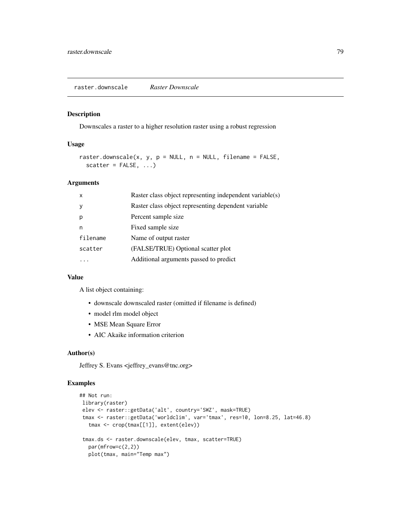Downscales a raster to a higher resolution raster using a robust regression

## Usage

```
raster.downscale(x, y, p = NULL, n = NULL, filename = FALSE,
  scatter = FALSE, ...)
```
# Arguments

| $\times$ | Raster class object representing independent variable(s) |
|----------|----------------------------------------------------------|
| <b>y</b> | Raster class object representing dependent variable      |
| p        | Percent sample size                                      |
| n        | Fixed sample size                                        |
| filename | Name of output raster                                    |
| scatter  | (FALSE/TRUE) Optional scatter plot                       |
|          | Additional arguments passed to predict                   |
|          |                                                          |

## Value

A list object containing:

- downscale downscaled raster (omitted if filename is defined)
- model rlm model object
- MSE Mean Square Error
- AIC Akaike information criterion

#### Author(s)

Jeffrey S. Evans <jeffrey\_evans@tnc.org>

```
## Not run:
library(raster)
elev <- raster::getData('alt', country='SWZ', mask=TRUE)
tmax <- raster::getData('worldclim', var='tmax', res=10, lon=8.25, lat=46.8)
  tmax <- crop(tmax[[1]], extent(elev))
tmax.ds <- raster.downscale(elev, tmax, scatter=TRUE)
  par(mfrow=c(2,2))
  plot(tmax, main="Temp max")
```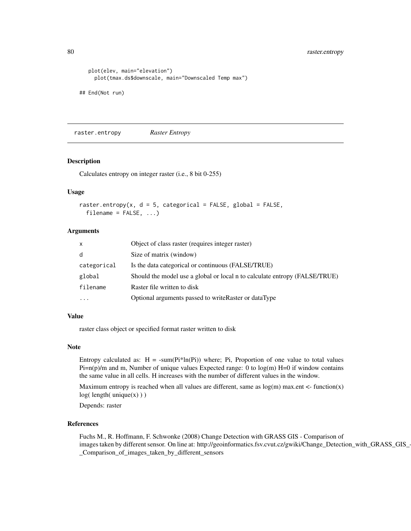80 raster.entropy

```
plot(elev, main="elevation")
     plot(tmax.ds$downscale, main="Downscaled Temp max")
## End(Not run)
```
raster.entropy *Raster Entropy*

#### Description

Calculates entropy on integer raster (i.e., 8 bit 0-255)

## Usage

```
raster.entropy(x, d = 5, categorical = FALSE, global = FALSE,
  filename = FALSE, ...)
```
## Arguments

| $\mathsf{x}$ | Object of class raster (requires integer raster)                           |
|--------------|----------------------------------------------------------------------------|
| d            | Size of matrix (window)                                                    |
| categorical  | Is the data categorical or continuous (FALSE/TRUE)                         |
| global       | Should the model use a global or local n to calculate entropy (FALSE/TRUE) |
| filename     | Raster file written to disk                                                |
| $\cdots$     | Optional arguments passed to write Raster or dataType                      |

## Value

raster class object or specified format raster written to disk

## Note

Entropy calculated as:  $H = -sum(Pi*ln(Pi))$  where; Pi, Proportion of one value to total values  $P_i = n(p)/m$  and m, Number of unique values Expected range: 0 to  $log(m)$  H=0 if window contains the same value in all cells. H increases with the number of different values in the window.

Maximum entropy is reached when all values are different, same as  $log(m)$  max.ent <- function(x)  $log($  length $($  unique $(x)$ )  $)$ 

Depends: raster

## References

Fuchs M., R. Hoffmann, F. Schwonke (2008) Change Detection with GRASS GIS - Comparison of images taken by different sensor. On line at: http://geoinformatics.fsv.cvut.cz/gwiki/Change\_Detection\_with\_GRASS\_GIS\_- \_Comparison\_of\_images\_taken\_by\_different\_sensors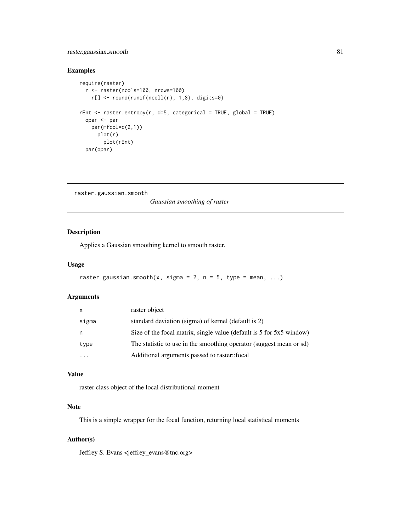# raster.gaussian.smooth 81

## Examples

```
require(raster)
  r <- raster(ncols=100, nrows=100)
   r[] <- round(runif(ncell(r), 1,8), digits=0)
rEnt \le raster.entropy(r, d=5, categorical = TRUE, global = TRUE)
  opar <- par
   par(mfcol=c(2,1))
     plot(r)
        plot(rEnt)
  par(opar)
```

```
raster.gaussian.smooth
```
*Gaussian smoothing of raster*

# Description

Applies a Gaussian smoothing kernel to smooth raster.

#### Usage

```
raster.gaussian.smooth(x, sigma = 2, n = 5, type = mean, ...)
```
#### Arguments

| x         | raster object                                                        |
|-----------|----------------------------------------------------------------------|
| sigma     | standard deviation (sigma) of kernel (default is 2)                  |
| n         | Size of the focal matrix, single value (default is 5 for 5x5 window) |
| type      | The statistic to use in the smoothing operator (suggest mean or sd)  |
| $\ddotsc$ | Additional arguments passed to raster::focal                         |
|           |                                                                      |

## Value

raster class object of the local distributional moment

#### Note

This is a simple wrapper for the focal function, returning local statistical moments

## Author(s)

Jeffrey S. Evans <jeffrey\_evans@tnc.org>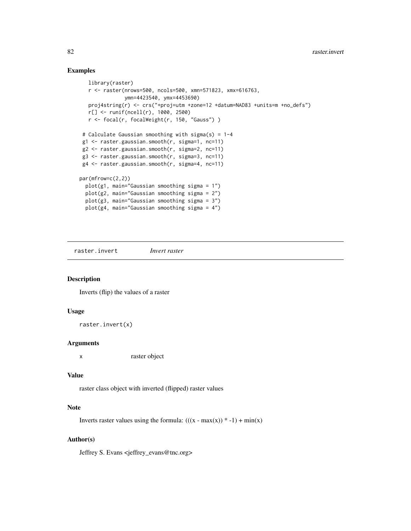# Examples

```
library(raster)
  r <- raster(nrows=500, ncols=500, xmn=571823, xmx=616763,
              ymn=4423540, ymx=4453690)
  proj4string(r) <- crs("+proj=utm +zone=12 +datum=NAD83 +units=m +no_defs")
  r[] <- runif(ncell(r), 1000, 2500)
  r <- focal(r, focalWeight(r, 150, "Gauss") )
# Calculate Gaussian smoothing with sigma(s) = 1-4
g1 <- raster.gaussian.smooth(r, sigma=1, nc=11)
g2 <- raster.gaussian.smooth(r, sigma=2, nc=11)
g3 <- raster.gaussian.smooth(r, sigma=3, nc=11)
g4 <- raster.gaussian.smooth(r, sigma=4, nc=11)
par(mfrow=c(2,2))
 plot(g1, main="Gaussian smoothing sigma = 1")
 plot(g2, main="Gaussian smoothing sigma = 2")
 plot(g3, main="Gaussian smoothing sigma = 3")
 plot(g4, main="Gaussian smoothing sigma = 4")
```
raster.invert *Invert raster*

#### Description

Inverts (flip) the values of a raster

#### Usage

```
raster.invert(x)
```
## Arguments

x raster object

### Value

raster class object with inverted (flipped) raster values

#### Note

Inverts raster values using the formula:  $(((x - max(x)) * -1) + min(x))$ 

# Author(s)

Jeffrey S. Evans <jeffrey\_evans@tnc.org>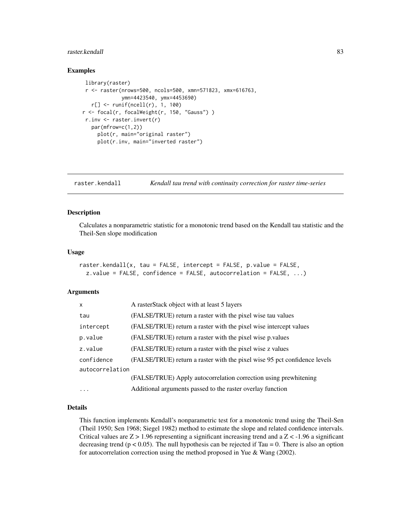#### raster.kendall 83

## Examples

```
library(raster)
 r <- raster(nrows=500, ncols=500, xmn=571823, xmx=616763,
             ymn=4423540, ymx=4453690)
  r[] \leftarrow runif(ncell(r), 1, 100)r <- focal(r, focalWeight(r, 150, "Gauss") )
 r.inv <- raster.invert(r)
  par(mfrow=c(1,2))
     plot(r, main="original raster")
     plot(r.inv, main="inverted raster")
```
raster.kendall *Kendall tau trend with continuity correction for raster time-series*

#### Description

Calculates a nonparametric statistic for a monotonic trend based on the Kendall tau statistic and the Theil-Sen slope modification

#### Usage

```
raster.kendall(x, tau = FALSE, intercept = FALSE, p.value = FALSE,
  z.value = FALSE, confidence = FALSE, autocorrelation = FALSE, ...)
```
#### Arguments

| X               | A rasterStack object with at least 5 layers                               |
|-----------------|---------------------------------------------------------------------------|
| tau             | (FALSE/TRUE) return a raster with the pixel wise tau values               |
| intercept       | (FALSE/TRUE) return a raster with the pixel wise intercept values         |
| p.value         | (FALSE/TRUE) return a raster with the pixel wise p values                 |
| z.value         | (FALSE/TRUE) return a raster with the pixel wise z values                 |
| confidence      | (FALSE/TRUE) return a raster with the pixel wise 95 pct confidence levels |
| autocorrelation |                                                                           |
|                 | (FALSE/TRUE) Apply autocorrelation correction using prewhitening          |
| $\ddots$ .      | Additional arguments passed to the raster overlay function                |

## Details

This function implements Kendall's nonparametric test for a monotonic trend using the Theil-Sen (Theil 1950; Sen 1968; Siegel 1982) method to estimate the slope and related confidence intervals. Critical values are  $Z > 1.96$  representing a significant increasing trend and a  $Z < -1.96$  a significant decreasing trend ( $p < 0.05$ ). The null hypothesis can be rejected if Tau = 0. There is also an option for autocorrelation correction using the method proposed in Yue & Wang (2002).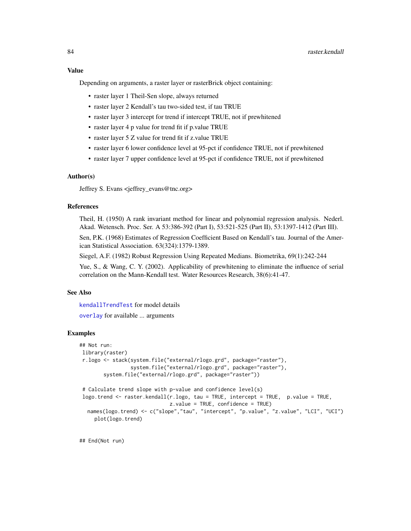Depending on arguments, a raster layer or rasterBrick object containing:

- raster layer 1 Theil-Sen slope, always returned
- raster layer 2 Kendall's tau two-sided test, if tau TRUE
- raster layer 3 intercept for trend if intercept TRUE, not if prewhitened
- raster layer 4 p value for trend fit if p.value TRUE
- raster layer 5 Z value for trend fit if z value TRUE
- raster layer 6 lower confidence level at 95-pct if confidence TRUE, not if prewhitened
- raster layer 7 upper confidence level at 95-pct if confidence TRUE, not if prewhitened

# Author(s)

Jeffrey S. Evans <jeffrey\_evans@tnc.org>

#### References

Theil, H. (1950) A rank invariant method for linear and polynomial regression analysis. Nederl. Akad. Wetensch. Proc. Ser. A 53:386-392 (Part I), 53:521-525 (Part II), 53:1397-1412 (Part III).

Sen, P.K. (1968) Estimates of Regression Coefficient Based on Kendall's tau. Journal of the American Statistical Association. 63(324):1379-1389.

Siegel, A.F. (1982) Robust Regression Using Repeated Medians. Biometrika, 69(1):242-244

Yue, S., & Wang, C. Y. (2002). Applicability of prewhitening to eliminate the influence of serial correlation on the Mann-Kendall test. Water Resources Research, 38(6):41-47.

#### See Also

[kendallTrendTest](#page-0-0) for model details

[overlay](#page-0-0) for available ... arguments

#### Examples

```
## Not run:
library(raster)
 r.logo <- stack(system.file("external/rlogo.grd", package="raster"),
                 system.file("external/rlogo.grd", package="raster"),
        system.file("external/rlogo.grd", package="raster"))
 # Calculate trend slope with p-value and confidence level(s)
 logo.trend <- raster.kendall(r.logo, tau = TRUE, intercept = TRUE, p.value = TRUE,
                             z.value = TRUE, confidence = TRUE)
  names(logo.trend) <- c("slope","tau", "intercept", "p.value", "z.value", "LCI", "UCI")
     plot(logo.trend)
```
## End(Not run)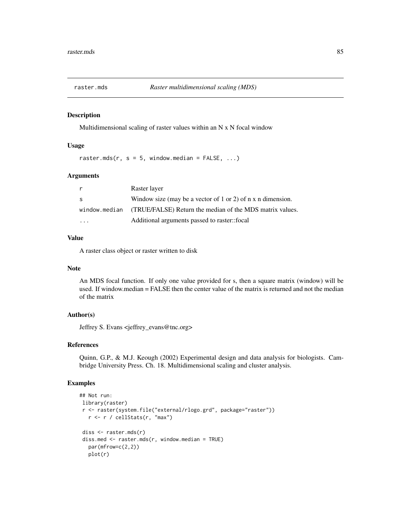Multidimensional scaling of raster values within an N x N focal window

#### Usage

raster.mds(r,  $s = 5$ , window.median = FALSE, ...)

### Arguments

| r  | Raster layer                                                           |
|----|------------------------------------------------------------------------|
| S. | Window size (may be a vector of 1 or 2) of $n \times n$ dimension.     |
|    | window median (TRUE/FALSE) Return the median of the MDS matrix values. |
| .  | Additional arguments passed to raster::focal                           |

#### Value

A raster class object or raster written to disk

#### Note

An MDS focal function. If only one value provided for s, then a square matrix (window) will be used. If window.median = FALSE then the center value of the matrix is returned and not the median of the matrix

## Author(s)

Jeffrey S. Evans <jeffrey\_evans@tnc.org>

## References

Quinn, G.P., & M.J. Keough (2002) Experimental design and data analysis for biologists. Cambridge University Press. Ch. 18. Multidimensional scaling and cluster analysis.

```
## Not run:
library(raster)
r <- raster(system.file("external/rlogo.grd", package="raster"))
  r <- r / cellStats(r, "max")
diss <- raster.mds(r)
diss.med <- raster.mds(r, window.median = TRUE)
  par(mfrow=c(2,2))
  plot(r)
```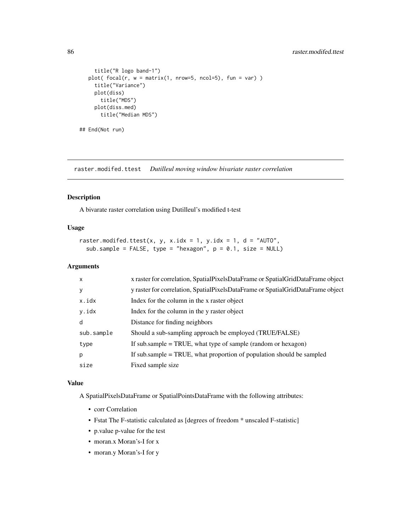```
title("R logo band-1")
  plot( focal(r, w = matrix(1, nrow=5, ncol=5), fun = var) )
     title("Variance")
    plot(diss)
       title("MDS")
     plot(diss.med)
       title("Median MDS")
## End(Not run)
```
raster.modifed.ttest *Dutilleul moving window bivariate raster correlation*

#### Description

A bivarate raster correlation using Dutilleul's modified t-test

## Usage

```
raster.modifed.ttest(x, y, x.idx = 1, y.idx = 1, d = "AUTO",
 sub.sample = FALSE, type = "hexagon", p = 0.1, size = NULL)
```
## Arguments

| X          | x raster for correlation, SpatialPixelsDataFrame or SpatialGridDataFrame object |
|------------|---------------------------------------------------------------------------------|
| y          | y raster for correlation, SpatialPixelsDataFrame or SpatialGridDataFrame object |
| x.idx      | Index for the column in the x raster object                                     |
| y.idx      | Index for the column in the y raster object                                     |
| d          | Distance for finding neighbors                                                  |
| sub.sample | Should a sub-sampling approach be employed (TRUE/FALSE)                         |
| type       | If sub.sample $=$ TRUE, what type of sample (random or hexagon)                 |
| p          | If sub sample = TRUE, what proportion of population should be sampled           |
| size       | Fixed sample size                                                               |

## Value

A SpatialPixelsDataFrame or SpatialPointsDataFrame with the following attributes:

- corr Correlation
- Fstat The F-statistic calculated as [degrees of freedom \* unscaled F-statistic]
- p.value p-value for the test
- moran.x Moran's-I for x
- moran.y Moran's-I for y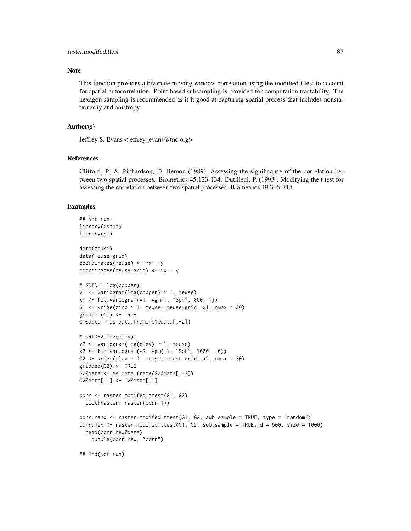## Note

This function provides a bivariate moving window correlation using the modified t-test to account for spatial autocorrelation. Point based subsampling is provided for computation tractability. The hexagon sampling is recommended as it it good at capturing spatial process that includes nonstationarity and anistropy.

## Author(s)

Jeffrey S. Evans <jeffrey\_evans@tnc.org>

#### References

Clifford, P., S. Richardson, D. Hemon (1989), Assessing the significance of the correlation between two spatial processes. Biometrics 45:123-134. Dutilleul, P. (1993), Modifying the t test for assessing the correlation between two spatial processes. Biometrics 49:305-314.

```
## Not run:
library(gstat)
library(sp)
data(meuse)
data(meuse.grid)
coordinates(meuse) <-x + ycoordinates(meuse.grid) \leq -x + y# GRID-1 log(copper):
v1 <- variogram(log(copper) ~ 1, meuse)
x1 <- fit.variogram(v1, vgm(1, "Sph", 800, 1))
G1 \le krige(zinc \sim 1, meuse, meuse.grid, x1, nmax = 30)
gridded(G1) <- TRUE
G1@data = as.data.frame(G1@data[,-2])
# GRID-2 log(elev):
v2 <- variogram(log(elev) ~ 1, meuse)
x2 <- fit.variogram(v2, vgm(.1, "Sph", 1000, .6))
G2 <- krige(elev ~ 1, meuse, meuse.grid, x2, nmax = 30)
gridded(G2) <- TRUE
G2@data <- as.data.frame(G2@data[,-2])
G2@data[,1] <- G2@data[,1]
corr <- raster.modifed.ttest(G1, G2)
  plot(raster::raster(corr,1))
corr.rand <- raster.modifed.ttest(G1, G2, sub.sample = TRUE, type = "random")
corr.hex < - raster.modifed.ttest(G1, G2, sub.sample = TRUE, d = 500, size = 1000)
  head(corr.hex@data)
   bubble(corr.hex, "corr")
## End(Not run)
```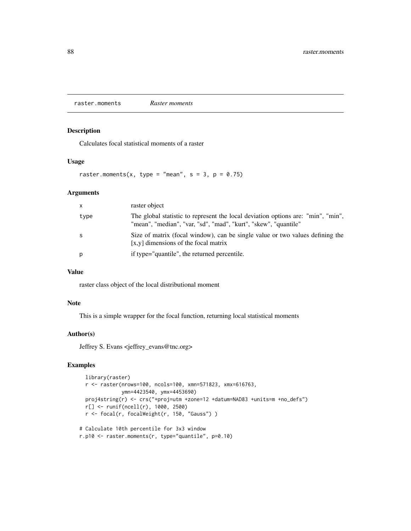raster.moments *Raster moments*

## Description

Calculates focal statistical moments of a raster

## Usage

raster.moments(x, type = "mean",  $s = 3$ ,  $p = 0.75$ )

## Arguments

| $\mathsf{x}$ | raster object                                                                                                                                       |
|--------------|-----------------------------------------------------------------------------------------------------------------------------------------------------|
| type         | The global statistic to represent the local deviation options are: "min", "min",<br>"mean", "median", "var, "sd", "mad", "kurt", "skew", "quantile" |
| -S           | Size of matrix (focal window), can be single value or two values defining the<br>$[x,y]$ dimensions of the focal matrix                             |
| p            | if type="quantile", the returned percentile.                                                                                                        |

## Value

raster class object of the local distributional moment

# Note

This is a simple wrapper for the focal function, returning local statistical moments

## Author(s)

Jeffrey S. Evans <jeffrey\_evans@tnc.org>

```
library(raster)
 r <- raster(nrows=100, ncols=100, xmn=571823, xmx=616763,
             ymn=4423540, ymx=4453690)
 proj4string(r) <- crs("+proj=utm +zone=12 +datum=NAD83 +units=m +no_defs")
 r[] <- runif(ncell(r), 1000, 2500)
 r <- focal(r, focalWeight(r, 150, "Gauss") )
# Calculate 10th percentile for 3x3 window
```

```
r.p10 <- raster.moments(r, type="quantile", p=0.10)
```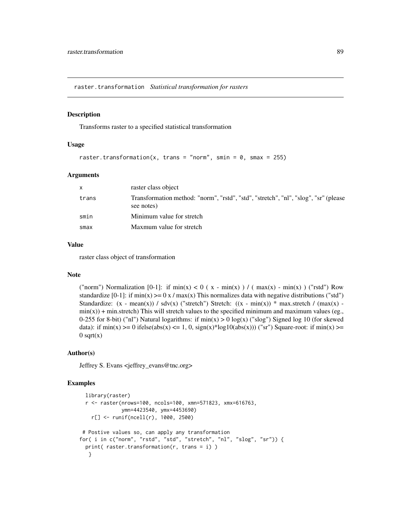raster.transformation *Statistical transformation for rasters*

## Description

Transforms raster to a specified statistical transformation

## Usage

```
raster.transformation(x, trans = "norm", smin = 0, smax = 255)
```
#### Arguments

| X.    | raster class object                                                                               |
|-------|---------------------------------------------------------------------------------------------------|
| trans | Transformation method: "norm", "rstd", "std", "stretch", "nl", "slog", "sr" (please<br>see notes) |
| smin  | Minimum value for stretch                                                                         |
| smax  | Maxmum value for stretch                                                                          |

## Value

raster class object of transformation

#### Note

("norm") Normalization [0-1]: if  $\min(x) < 0$  (x -  $\min(x)$ ) / ( $\max(x)$  -  $\min(x)$ ) ("rstd") Row standardize  $[0-1]$ : if min(x)  $>= 0 x / max(x)$  This normalizes data with negative distributions ("std") Standardize:  $(x - mean(x)) / sdv(x)$  ("stretch") Stretch:  $((x - min(x)) * max.$ stretch /  $(max(x)$  $min(x)$ ) + min.stretch) This will stretch values to the specified minimum and maximum values (eg., 0-255 for 8-bit) ("nl") Natural logarithms: if  $min(x) > 0 log(x)$  ("slog") Signed log 10 (for skewed data): if  $\min(x)$  >= 0 ifelse(abs(x) <= 1, 0,  $\text{sign}(x)$ \*log10(abs(x))) ("sr") Square-root: if  $\min(x)$  >=  $0$  sqrt $(x)$ 

## Author(s)

Jeffrey S. Evans <jeffrey\_evans@tnc.org>

```
library(raster)
 r <- raster(nrows=100, ncols=100, xmn=571823, xmx=616763,
             ymn=4423540, ymx=4453690)
   r[] <- runif(ncell(r), 1000, 2500)
# Postive values so, can apply any transformation
for( i in c("norm", "rstd", "std", "stretch", "nl", "slog", "sr")) {
 print( raster.transformation(r, trans = i) )
  }
```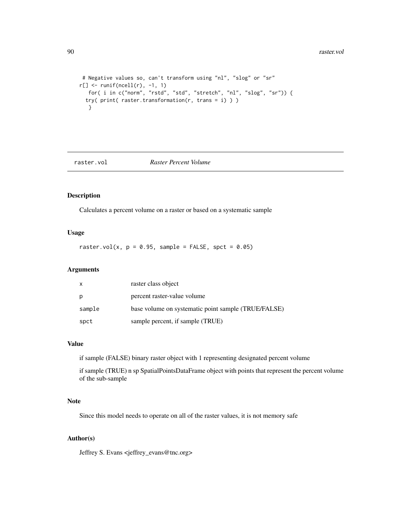#### 90 raster.vol

```
# Negative values so, can't transform using "nl", "slog" or "sr"
r[] <- runif(ncell(r), -1, 1)
   for( i in c("norm", "rstd", "std", "stretch", "nl", "slog", "sr")) {
 try( print( raster.transformation(r, trans = i) ) )
  }
```
## raster.vol *Raster Percent Volume*

# Description

Calculates a percent volume on a raster or based on a systematic sample

# Usage

raster.vol(x,  $p = 0.95$ , sample = FALSE, spct = 0.05)

## Arguments

| X      | raster class object                                 |
|--------|-----------------------------------------------------|
| p      | percent raster-value volume                         |
| sample | base volume on systematic point sample (TRUE/FALSE) |
| spct   | sample percent, if sample (TRUE)                    |

## Value

if sample (FALSE) binary raster object with 1 representing designated percent volume

if sample (TRUE) n sp SpatialPointsDataFrame object with points that represent the percent volume of the sub-sample

## Note

Since this model needs to operate on all of the raster values, it is not memory safe

## Author(s)

Jeffrey S. Evans <jeffrey\_evans@tnc.org>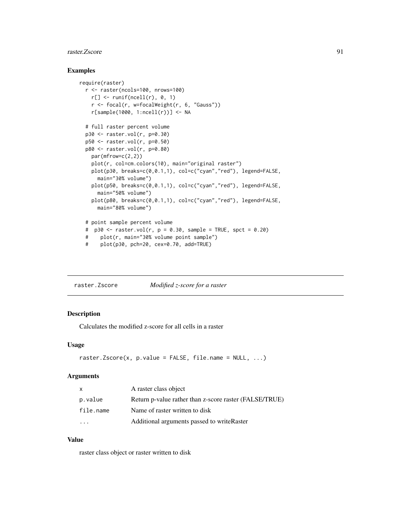#### raster.Zscore 91

## Examples

```
require(raster)
 r <- raster(ncols=100, nrows=100)
   r[] \leftarrow runif(ncell(r), 0, 1)r <- focal(r, w=focalWeight(r, 6, "Gauss"))
   r[sample(1000, 1:ncell(r))] <- NA
 # full raster percent volume
 p30 <- raster.vol(r, p=0.30)
 p50 <- raster.vol(r, p=0.50)
 p80 <- raster.vol(r, p=0.80)
   par(mfrow=c(2,2))
   plot(r, col=cm.colors(10), main="original raster")
   plot(p30, breaks=c(0,0.1,1), col=c("cyan","red"), legend=FALSE,
     main="30% volume")
   plot(p50, breaks=c(0,0.1,1), col=c("cyan","red"), legend=FALSE,
     main="50% volume")
   plot(p80, breaks=c(0,0.1,1), col=c("cyan","red"), legend=FALSE,
     main="80% volume")
 # point sample percent volume
 # p30 <- raster.vol(r, p = 0.30, sample = TRUE, spct = 0.20)
 # plot(r, main="30% volume point sample")
 # plot(p30, pch=20, cex=0.70, add=TRUE)
```
raster.Zscore *Modified z-score for a raster*

# Description

Calculates the modified z-score for all cells in a raster

#### Usage

```
raster.Zscore(x, p.value = FALSE, file.name = NULL, ...)
```
## Arguments

| $\mathsf{X}$ | A raster class object                                  |
|--------------|--------------------------------------------------------|
| p.value      | Return p-value rather than z-score raster (FALSE/TRUE) |
| file.name    | Name of raster written to disk                         |
|              | Additional arguments passed to write Raster            |

## Value

raster class object or raster written to disk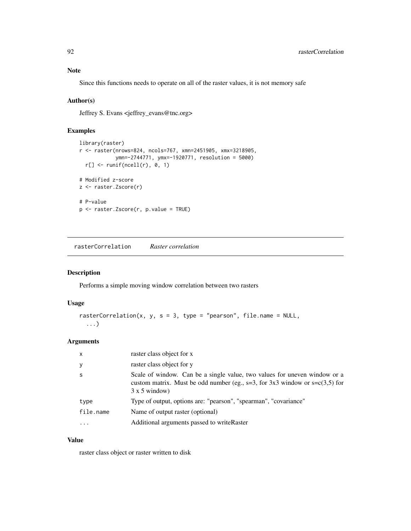# Note

Since this functions needs to operate on all of the raster values, it is not memory safe

# Author(s)

Jeffrey S. Evans <jeffrey\_evans@tnc.org>

# Examples

```
library(raster)
r <- raster(nrows=824, ncols=767, xmn=2451905, xmx=3218905,
            ymn=-2744771, ymx=-1920771, resolution = 5000)
  r[] \leftarrow runif(ncell(r), 0, 1)# Modified z-score
z <- raster.Zscore(r)
# P-value
p <- raster.Zscore(r, p.value = TRUE)
```
rasterCorrelation *Raster correlation*

# Description

Performs a simple moving window correlation between two rasters

## Usage

```
rasterCorrelation(x, y, s = 3, type = "pearson", file.name = NULL,
  ...)
```
## Arguments

| $\mathsf{x}$            | raster class object for x                                                                                                                                                             |
|-------------------------|---------------------------------------------------------------------------------------------------------------------------------------------------------------------------------------|
| У                       | raster class object for y                                                                                                                                                             |
| -S                      | Scale of window. Can be a single value, two values for uneven window or a<br>custom matrix. Must be odd number (eg., $s=3$ , for 3x3 window or $s=c(3,5)$ for<br>$3 \times 5$ window) |
| type                    | Type of output, options are: "pearson", "spearman", "covariance"                                                                                                                      |
| file.name               | Name of output raster (optional)                                                                                                                                                      |
| $\cdot$ $\cdot$ $\cdot$ | Additional arguments passed to write Raster                                                                                                                                           |
|                         |                                                                                                                                                                                       |

# Value

raster class object or raster written to disk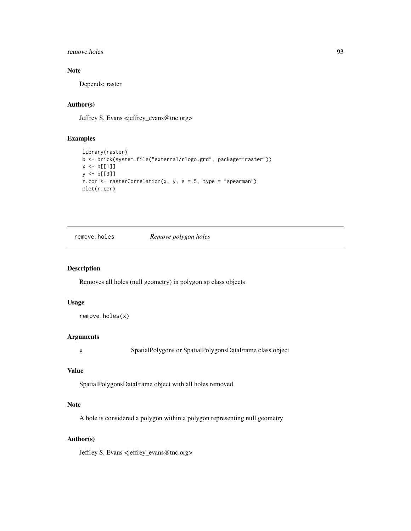## remove.holes 93

# Note

Depends: raster

# Author(s)

Jeffrey S. Evans <jeffrey\_evans@tnc.org>

# Examples

```
library(raster)
b <- brick(system.file("external/rlogo.grd", package="raster"))
x \le b[[1]]y <- b[[3]]
r.cor <- rasterCorrelation(x, y, s = 5, type = "spearman")
plot(r.cor)
```
remove.holes *Remove polygon holes*

## Description

Removes all holes (null geometry) in polygon sp class objects

## Usage

remove.holes(x)

## Arguments

x SpatialPolygons or SpatialPolygonsDataFrame class object

## Value

SpatialPolygonsDataFrame object with all holes removed

#### Note

A hole is considered a polygon within a polygon representing null geometry

## Author(s)

Jeffrey S. Evans <jeffrey\_evans@tnc.org>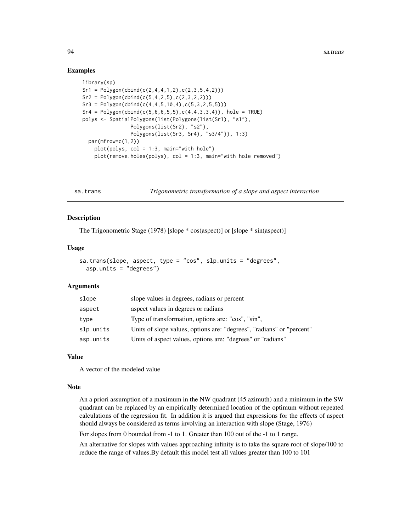## Examples

```
library(sp)
Sr1 = Polygon(cbind(c(2,4,4,1,2),c(2,3,5,4,2)))Sr2 = Polygon(cbind(c(5, 4, 2, 5), c(2, 3, 2, 2)))Sr3 = Polygon(cbind(c(4, 4, 5, 10, 4), c(5, 3, 2, 5, 5)))Sr4 = Polygon(cbind(c(5, 6, 6, 5, 5), c(4, 4, 3, 3, 4)), hole = TRUE)polys <- SpatialPolygons(list(Polygons(list(Sr1), "s1"),
                 Polygons(list(Sr2), "s2"),
                 Polygons(list(Sr3, Sr4), "s3/4")), 1:3)
  par(mfrow=c(1,2))
    plot(polys, col = 1:3, main="with hole")
    plot(remove.holes(polys), col = 1:3, main="with hole removed")
```
sa.trans *Trigonometric transformation of a slope and aspect interaction*

## Description

The Trigonometric Stage (1978) [slope \* cos(aspect)] or [slope \* sin(aspect)]

#### Usage

```
sa.trans(slope, aspect, type = "cos", slp.units = "degrees",
  asp.units = "degrees")
```
#### Arguments

| slope     | slope values in degrees, radians or percent                           |
|-----------|-----------------------------------------------------------------------|
| aspect    | aspect values in degrees or radians                                   |
| type      | Type of transformation, options are: "cos", "sin",                    |
| slp.units | Units of slope values, options are: "degrees", "radians" or "percent" |
| asp.units | Units of aspect values, options are: "degrees" or "radians"           |

#### Value

A vector of the modeled value

## Note

An a priori assumption of a maximum in the NW quadrant (45 azimuth) and a minimum in the SW quadrant can be replaced by an empirically determined location of the optimum without repeated calculations of the regression fit. In addition it is argued that expressions for the effects of aspect should always be considered as terms involving an interaction with slope (Stage, 1976)

For slopes from 0 bounded from -1 to 1. Greater than 100 out of the -1 to 1 range.

An alternative for slopes with values approaching infinity is to take the square root of slope/100 to reduce the range of values.By default this model test all values greater than 100 to 101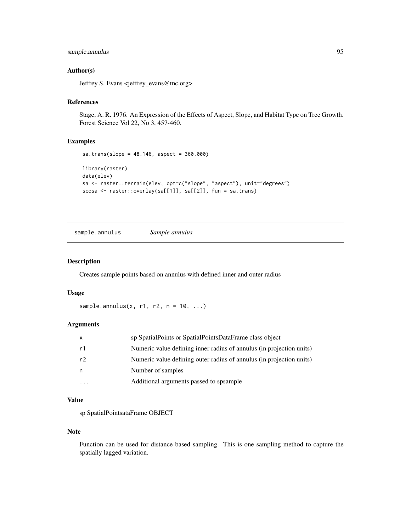# sample.annulus 95

## Author(s)

Jeffrey S. Evans <jeffrey\_evans@tnc.org>

## References

Stage, A. R. 1976. An Expression of the Effects of Aspect, Slope, and Habitat Type on Tree Growth. Forest Science Vol 22, No 3, 457-460.

#### Examples

```
sa.trans(slope = 48.146, aspect = 360.000)
library(raster)
data(elev)
sa <- raster::terrain(elev, opt=c("slope", "aspect"), unit="degrees")
scosa <- raster::overlay(sa[[1]], sa[[2]], fun = sa.trans)
```
sample.annulus *Sample annulus*

## Description

Creates sample points based on annulus with defined inner and outer radius

#### Usage

```
sample.annulus(x, r1, r2, n = 10, ...)
```
# Arguments

| X  | sp SpatialPoints or SpatialPointsDataFrame class object              |
|----|----------------------------------------------------------------------|
| r1 | Numeric value defining inner radius of annulus (in projection units) |
| r2 | Numeric value defining outer radius of annulus (in projection units) |
| n  | Number of samples                                                    |
|    | Additional arguments passed to spsample                              |

### Value

sp SpatialPointsataFrame OBJECT

## Note

Function can be used for distance based sampling. This is one sampling method to capture the spatially lagged variation.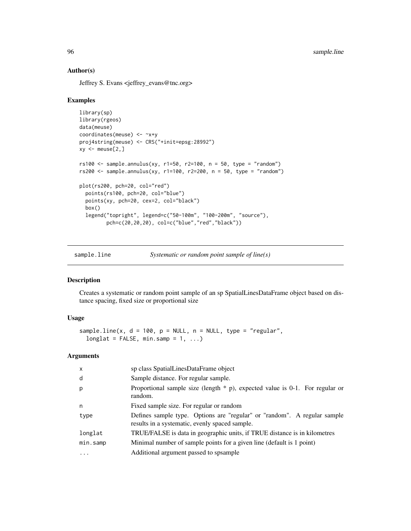## Author(s)

Jeffrey S. Evans <jeffrey\_evans@tnc.org>

## Examples

```
library(sp)
library(rgeos)
data(meuse)
coordinates(meuse) <- ~x+y
proj4string(meuse) <- CRS("+init=epsg:28992")
xy \le - meuse[2,]
rs100 \leq sample.annulus(xy, r1=50, r2=100, n = 50, type = "random")
rs200 \leq s ample.annulus(xy, r1=100, r2=200, n = 50, type = "random")
plot(rs200, pch=20, col="red")
  points(rs100, pch=20, col="blue")
  points(xy, pch=20, cex=2, col="black")
  box()
  legend("topright", legend=c("50-100m", "100-200m", "source"),
         pch=c(20,20,20), col=c("blue","red","black"))
```
sample.line *Systematic or random point sample of line(s)*

## Description

Creates a systematic or random point sample of an sp SpatialLinesDataFrame object based on distance spacing, fixed size or proportional size

# Usage

```
sample.line(x, d = 100, p = NULL, n = NULL, type = "regular",
 longlat = FALSE, min.sump = 1, ...)
```
#### Arguments

| $\mathsf{x}$ | sp class SpatialLinesDataFrame object                                                                                      |
|--------------|----------------------------------------------------------------------------------------------------------------------------|
| d            | Sample distance. For regular sample.                                                                                       |
| p            | Proportional sample size (length $*$ p), expected value is 0-1. For regular or<br>random.                                  |
| n            | Fixed sample size. For regular or random                                                                                   |
| type         | Defines sample type. Options are "regular" or "random". A regular sample<br>results in a systematic, evenly spaced sample. |
| longlat      | TRUE/FALSE is data in geographic units, if TRUE distance is in kilometres                                                  |
| min.samp     | Minimal number of sample points for a given line (default is 1 point)                                                      |
| $\ddotsc$    | Additional argument passed to spsample                                                                                     |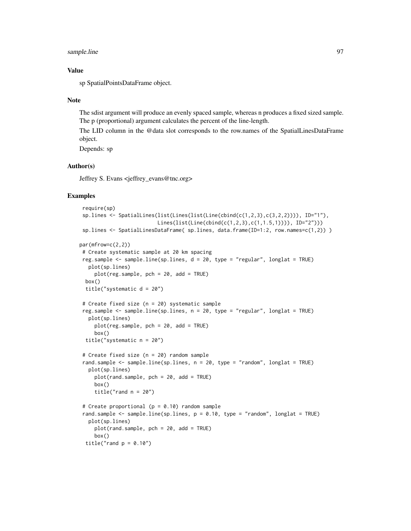## sample.line 97

## Value

sp SpatialPointsDataFrame object.

#### Note

The sdist argument will produce an evenly spaced sample, whereas n produces a fixed sized sample. The p (proportional) argument calculates the percent of the line-length.

The LID column in the @data slot corresponds to the row.names of the SpatialLinesDataFrame object.

Depends: sp

## Author(s)

Jeffrey S. Evans <jeffrey\_evans@tnc.org>

```
require(sp)
 sp.lines <- SpatialLines(list(Lines(list(Line(cbind(c(1,2,3),c(3,2,2)))), ID="1"),
                          Lines(list(Line(cbind(c(1,2,3),c(1,1.5,1)))), ID="2")))
 sp.lines <- SpatialLinesDataFrame( sp.lines, data.frame(ID=1:2, row.names=c(1,2)) )
par(mfrow=c(2,2))
# Create systematic sample at 20 km spacing
reg.sample <- sample.line(sp.lines, d = 20, type = "regular", longlat = TRUE)
  plot(sp.lines)
    plot(reg.sample, pch = 20, add = TRUE)
 box()
 title("systematic d = 20")
 # Create fixed size (n = 20) systematic sample
 reg.sample <- sample.line(sp.lines, n = 20, type = "regular", longlat = TRUE)
  plot(sp.lines)
    plot(reg.sample, pch = 20, add = TRUE)
     box()
 title("systematic n = 20")
 # Create fixed size (n = 20) random sample
 rand.sample <- sample.line(sp.lines, n = 20, type = "random", longlat = TRUE)
  plot(sp.lines)
     plot(rand.sample, pch = 20, add = TRUE)
     box()
    title("rand n = 20")
 # Create proportional (p = 0.10) random sample
 rand.sample \le sample.line(sp.lines, p = 0.10, type = "random", longlat = TRUE)
  plot(sp.lines)
    plot(rand.sample, pch = 20, add = TRUE)
     box()
 title("rand p = 0.10")
```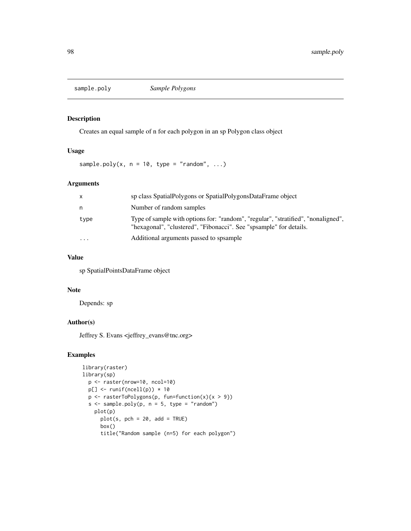Creates an equal sample of n for each polygon in an sp Polygon class object

# Usage

sample.poly(x,  $n = 10$ , type = "random", ...)

# Arguments

| X        | sp class SpatialPolygons or SpatialPolygonsDataFrame object                                                                                             |
|----------|---------------------------------------------------------------------------------------------------------------------------------------------------------|
| n        | Number of random samples                                                                                                                                |
| type     | Type of sample with options for: "random", "regular", "stratified", "nonaligned",<br>"hexagonal", "clustered", "Fibonacci". See "spsample" for details. |
| $\cdots$ | Additional arguments passed to spsample                                                                                                                 |

## Value

sp SpatialPointsDataFrame object

## Note

Depends: sp

# Author(s)

Jeffrey S. Evans <jeffrey\_evans@tnc.org>

```
library(raster)
library(sp)
  p <- raster(nrow=10, ncol=10)
  p[] \leftarrow runif(ncell(p)) * 10p \leftarrow \text{rasterToPolygons}(p, \text{ fun=function}(x)\{x > 9\})s \leq sample.poly(p, n = 5, type = "random")
    plot(p)
      plot(s, pch = 20, add = TRUE)box()
      title("Random sample (n=5) for each polygon")
```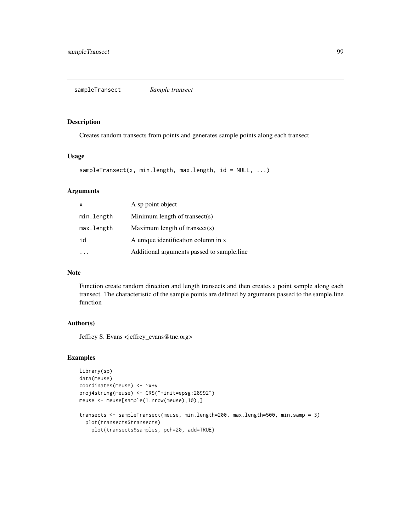Creates random transects from points and generates sample points along each transect

#### Usage

```
sampleTransect(x, min.length, max.length, id = NULL, ...)
```
#### Arguments

| X          | A sp point object                          |
|------------|--------------------------------------------|
| min.length | Minimum length of transect(s)              |
| max.length | Maximum length of transect(s)              |
| id         | A unique identification column in x        |
|            | Additional arguments passed to sample.line |

## Note

Function create random direction and length transects and then creates a point sample along each transect. The characteristic of the sample points are defined by arguments passed to the sample.line function

## Author(s)

Jeffrey S. Evans <jeffrey\_evans@tnc.org>

```
library(sp)
data(meuse)
coordinates(meuse) <- ~x+y
proj4string(meuse) <- CRS("+init=epsg:28992")
meuse <- meuse[sample(1:nrow(meuse),10),]
transects <- sampleTransect(meuse, min.length=200, max.length=500, min.samp = 3)
  plot(transects$transects)
    plot(transects$samples, pch=20, add=TRUE)
```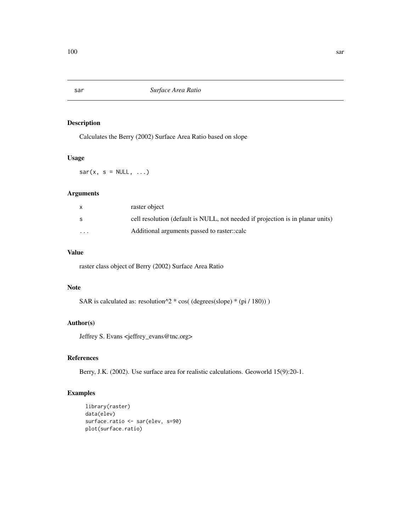Calculates the Berry (2002) Surface Area Ratio based on slope

# Usage

 $sar(x, s = NULL, ...)$ 

# Arguments

|          | raster object                                                                  |
|----------|--------------------------------------------------------------------------------|
| S        | cell resolution (default is NULL, not needed if projection is in planar units) |
| $\cdots$ | Additional arguments passed to raster.:calc                                    |

# Value

raster class object of Berry (2002) Surface Area Ratio

# Note

SAR is calculated as: resolution^2 \* cos( (degrees(slope) \* (pi / 180)) )

## Author(s)

Jeffrey S. Evans <jeffrey\_evans@tnc.org>

# References

Berry, J.K. (2002). Use surface area for realistic calculations. Geoworld 15(9):20-1.

```
library(raster)
data(elev)
surface.ratio <- sar(elev, s=90)
plot(surface.ratio)
```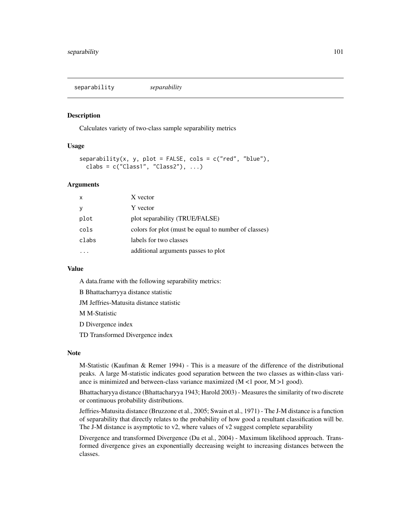separability *separability*

#### Description

Calculates variety of two-class sample separability metrics

# Usage

```
separability(x, y, plot = FALSE, cols = c("red", "blue"),clabs = c("Class1", "Class2"), ...)
```
## Arguments

| $\mathsf{x}$ | X vector                                             |
|--------------|------------------------------------------------------|
| y            | Y vector                                             |
| plot         | plot separability (TRUE/FALSE)                       |
| cols         | colors for plot (must be equal to number of classes) |
| clabs        | labels for two classes                               |
|              | additional arguments passes to plot                  |

#### Value

A data.frame with the following separability metrics:

B Bhattacharryya distance statistic

JM Jeffries-Matusita distance statistic

M M-Statistic

D Divergence index

TD Transformed Divergence index

#### **Note**

M-Statistic (Kaufman & Remer 1994) - This is a measure of the difference of the distributional peaks. A large M-statistic indicates good separation between the two classes as within-class variance is minimized and between-class variance maximized (M <1 poor, M >1 good).

Bhattacharyya distance (Bhattacharyya 1943; Harold 2003) - Measures the similarity of two discrete or continuous probability distributions.

Jeffries-Matusita distance (Bruzzone et al., 2005; Swain et al., 1971) - The J-M distance is a function of separability that directly relates to the probability of how good a resultant classification will be. The J-M distance is asymptotic to v2, where values of v2 suggest complete separability

Divergence and transformed Divergence (Du et al., 2004) - Maximum likelihood approach. Transformed divergence gives an exponentially decreasing weight to increasing distances between the classes.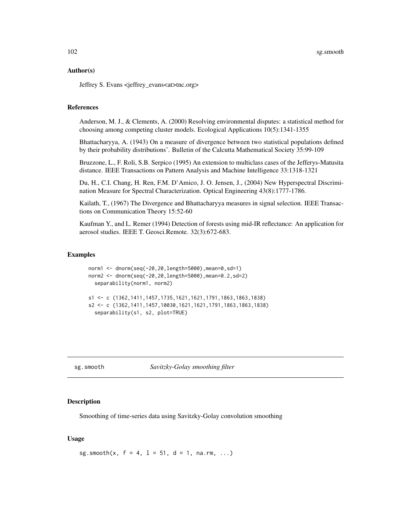### Author(s)

Jeffrey S. Evans <jeffrey\_evans<at>tnc.org>

#### References

Anderson, M. J., & Clements, A. (2000) Resolving environmental disputes: a statistical method for choosing among competing cluster models. Ecological Applications 10(5):1341-1355

Bhattacharyya, A. (1943) On a measure of divergence between two statistical populations defined by their probability distributions'. Bulletin of the Calcutta Mathematical Society 35:99-109

Bruzzone, L., F. Roli, S.B. Serpico (1995) An extension to multiclass cases of the Jefferys-Matusita distance. IEEE Transactions on Pattern Analysis and Machine Intelligence 33:1318-1321

Du, H., C.I. Chang, H. Ren, F.M. D'Amico, J. O. Jensen, J., (2004) New Hyperspectral Discrimination Measure for Spectral Characterization. Optical Engineering 43(8):1777-1786.

Kailath, T., (1967) The Divergence and Bhattacharyya measures in signal selection. IEEE Transactions on Communication Theory 15:52-60

Kaufman Y., and L. Remer (1994) Detection of forests using mid-IR reflectance: An application for aerosol studies. IEEE T. Geosci.Remote. 32(3):672-683.

### Examples

```
norm1 <- dnorm(seq(-20,20,length=5000),mean=0,sd=1)
norm2 <- dnorm(seq(-20,20,length=5000),mean=0.2,sd=2)
  separability(norm1, norm2)
s1 <- c (1362,1411,1457,1735,1621,1621,1791,1863,1863,1838)
s2 <- c (1362,1411,1457,10030,1621,1621,1791,1863,1863,1838)
  separability(s1, s2, plot=TRUE)
```
sg.smooth *Savitzky-Golay smoothing filter*

## Description

Smoothing of time-series data using Savitzky-Golay convolution smoothing

#### Usage

sg.smooth(x,  $f = 4$ ,  $1 = 51$ ,  $d = 1$ , na.rm, ...)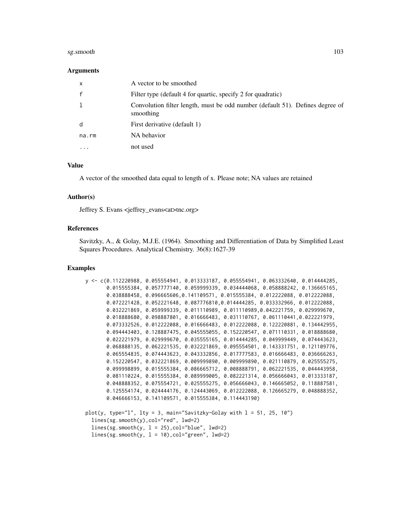#### sg.smooth 103

#### Arguments

| $\mathsf{x}$ | A vector to be smoothed                                                                    |
|--------------|--------------------------------------------------------------------------------------------|
| $\mathsf{f}$ | Filter type (default 4 for quartic, specify 2 for quadratic)                               |
| -1           | Convolution filter length, must be odd number (default 51). Defines degree of<br>smoothing |
| d            | First derivative (default 1)                                                               |
| na.rm        | NA behavior                                                                                |
| $\cdots$     | not used                                                                                   |

## Value

A vector of the smoothed data equal to length of x. Please note; NA values are retained

## Author(s)

Jeffrey S. Evans <jeffrey\_evans<at>tnc.org>

## References

Savitzky, A., & Golay, M.J.E. (1964). Smoothing and Differentiation of Data by Simplified Least Squares Procedures. Analytical Chemistry. 36(8):1627-39

#### Examples

```
y <- c(0.112220988, 0.055554941, 0.013333187, 0.055554941, 0.063332640, 0.014444285,
       0.015555384, 0.057777140, 0.059999339, 0.034444068, 0.058888242, 0.136665165,
       0.038888458, 0.096665606,0.141109571, 0.015555384, 0.012222088, 0.012222088,
       0.072221428, 0.052221648, 0.087776810,0.014444285, 0.033332966, 0.012222088,
       0.032221869, 0.059999339, 0.011110989, 0.011110989,0.042221759, 0.029999670,
       0.018888680, 0.098887801, 0.016666483, 0.031110767, 0.061110441,0.022221979,
       0.073332526, 0.012222088, 0.016666483, 0.012222088, 0.122220881, 0.134442955,
       0.094443403, 0.128887475, 0.045555055, 0.152220547, 0.071110331, 0.018888680,
       0.022221979, 0.029999670, 0.035555165, 0.014444285, 0.049999449, 0.074443623,
       0.068888135, 0.062221535, 0.032221869, 0.095554501, 0.143331751, 0.121109776,
       0.065554835, 0.074443623, 0.043332856, 0.017777583, 0.016666483, 0.036666263,
       0.152220547, 0.032221869, 0.009999890, 0.009999890, 0.021110879, 0.025555275,
      0.099998899, 0.015555384, 0.086665712, 0.008888791, 0.062221535, 0.044443958,
      0.081110224, 0.015555384, 0.089999005, 0.082221314, 0.056666043, 0.013333187,
      0.048888352, 0.075554721, 0.025555275, 0.056666043, 0.146665052, 0.118887581,
      0.125554174, 0.024444176, 0.124443069, 0.012222088, 0.126665279, 0.048888352,
       0.046666153, 0.141109571, 0.015555384, 0.114443190)
plot(y, type="l", lty = 3, main="Savitzky-Golay with l = 51, 25, 10")
  lines(sg.smooth(y),col="red", lwd=2)
```
 $lines(sg.smooth(y, 1 = 25), col="blue", lwd=2)$ 

 $lines(sg.smooth(y, 1 = 10), col="green", 1wd=2)$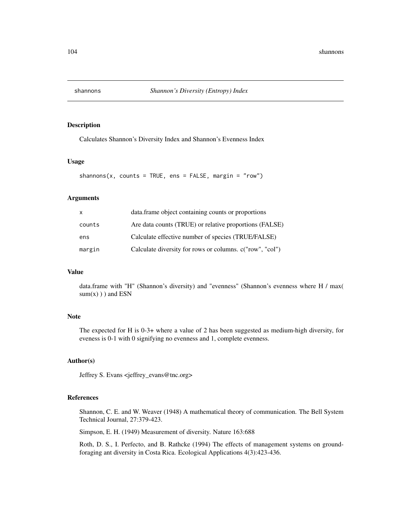Calculates Shannon's Diversity Index and Shannon's Evenness Index

## Usage

```
shannons(x, counts = TRUE, ens = FALSE, margin = "row")
```
#### Arguments

| X      | data. frame object containing counts or proportions      |
|--------|----------------------------------------------------------|
| counts | Are data counts (TRUE) or relative proportions (FALSE)   |
| ens    | Calculate effective number of species (TRUE/FALSE)       |
| margin | Calculate diversity for rows or columns. c("row", "col") |

#### Value

data.frame with "H" (Shannon's diversity) and "evenness" (Shannon's evenness where H / max(  $sum(x)$ ) and ESN

## Note

The expected for H is 0-3+ where a value of 2 has been suggested as medium-high diversity, for eveness is 0-1 with 0 signifying no evenness and 1, complete evenness.

## Author(s)

Jeffrey S. Evans <jeffrey\_evans@tnc.org>

## References

Shannon, C. E. and W. Weaver (1948) A mathematical theory of communication. The Bell System Technical Journal, 27:379-423.

Simpson, E. H. (1949) Measurement of diversity. Nature 163:688

Roth, D. S., I. Perfecto, and B. Rathcke (1994) The effects of management systems on groundforaging ant diversity in Costa Rica. Ecological Applications 4(3):423-436.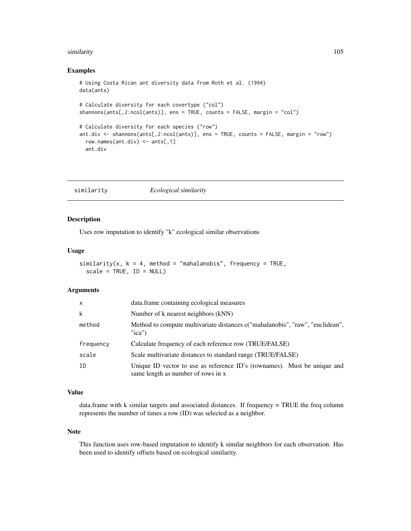#### similarity that the contract of the contract of the contract of the contract of the contract of the contract of the contract of the contract of the contract of the contract of the contract of the contract of the contract o

### Examples

```
# Using Costa Rican ant diversity data from Roth et al. (1994)
data(ants)
# Calculate diversity for each covertype ("col")
shannons(ants[,2:ncol(ants)], ens = TRUE, counts = FALSE, margin = "col")
# Calculate diversity for each species ("row")
ant.div <- shannons(ants[,2:ncol(ants)], ens = TRUE, counts = FALSE, margin = "row")
  row.names(ant.div) \leq ants[,1]
  ant.div
```
similarity *Ecological similarity*

## Description

Uses row imputation to identify "k" ecological similar observations

#### Usage

```
similarity(x, k = 4, method = "mahalanobis", frequency = TRUE,scale = TRUE, ID = NULL)
```
#### Arguments

| $\mathsf{x}$ | data.frame containing ecological measures                                                                      |
|--------------|----------------------------------------------------------------------------------------------------------------|
| k            | Number of k nearest neighbors (kNN)                                                                            |
| method       | Method to compute multivariate distances c("mahalanobis", "raw", "euclidean",<br>"ica"                         |
| frequency    | Calculate frequency of each reference row (TRUE/FALSE)                                                         |
| scale        | Scale multivariate distances to standard range (TRUE/FALSE)                                                    |
| ΙD           | Unique ID vector to use as reference ID's (rownames). Must be unique and<br>same length as number of rows in x |

## Value

data.frame with k similar targets and associated distances. If frequency = TRUE the freq column represents the number of times a row (ID) was selected as a neighbor.

#### Note

This function uses row-based imputation to identify k similar neighbors for each observation. Has been used to identify offsets based on ecological similarity.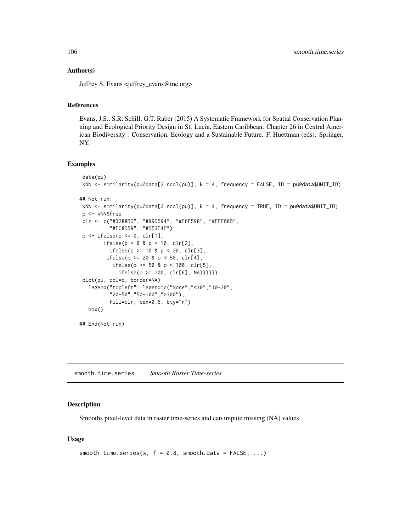## Author(s)

Jeffrey S. Evans <jeffrey\_evans@tnc.org>

# References

Evans, J.S., S.R. Schill, G.T. Raber (2015) A Systematic Framework for Spatial Conservation Planning and Ecological Priority Design in St. Lucia, Eastern Caribbean. Chapter 26 in Central American Biodiversity : Conservation, Ecology and a Sustainable Future. F. Huettman (eds). Springer, NY.

#### Examples

```
data(pu)
kNN <- similarity(pu@data[2:ncol(pu)], k = 4, frequency = FALSE, ID = pu@data$UNIT_ID)
## Not run:
kNN <- similarity(pu@data[2:ncol(pu)], k = 4, frequency = TRUE, ID = pu@data$UNIT_ID)
p <- kNN$freq
clr <- c("#3288BD", "#99D594", "#E6F598", "#FEE08B",
          "#FC8D59", "#D53E4F")
p \leftarrow ifelse(p \leftarrow 0, clr[1],ifelse(p > 0 & p < 10, clr[2],
          ifelse(p >= 10 & p < 20, clr[3],
         ifelse(p > = 20 & p < 50, clr[4],
           ifelse(p \ge 50 & p < 100, clr[5],
             ifelse(p >= 100, clr[6], NA))))))
plot(pu, col=p, border=NA)
  legend("topleft", legend=c("None","<10","10-20",
          "20-50","50-100",">100"),
          fill=clr, cex=0.6, bty="n")
  box()
## End(Not run)
```
smooth.time.series *Smooth Raster Time-series*

#### Description

Smooths pixel-level data in raster time-series and can impute missing (NA) values.

#### Usage

```
smooth.time.series(x, f = 0.8, smooth.data = FALSE, ...)
```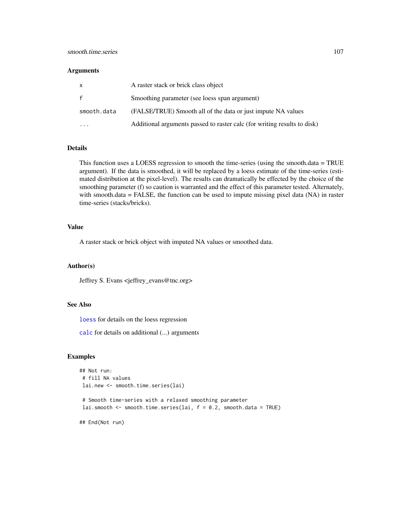#### Arguments

| X            | A raster stack or brick class object                                     |
|--------------|--------------------------------------------------------------------------|
| $\mathbf{f}$ | Smoothing parameter (see loess span argument)                            |
| smooth.data  | (FALSE/TRUE) Smooth all of the data or just impute NA values             |
|              | Additional arguments passed to raster calc (for writing results to disk) |

# Details

This function uses a LOESS regression to smooth the time-series (using the smooth.data = TRUE argument). If the data is smoothed, it will be replaced by a loess estimate of the time-series (estimated distribution at the pixel-level). The results can dramatically be effected by the choice of the smoothing parameter (f) so caution is warranted and the effect of this parameter tested. Alternately, with smooth.data = FALSE, the function can be used to impute missing pixel data (NA) in raster time-series (stacks/bricks).

## Value

A raster stack or brick object with imputed NA values or smoothed data.

## Author(s)

Jeffrey S. Evans <jeffrey\_evans@tnc.org>

#### See Also

[loess](#page-0-0) for details on the loess regression

[calc](#page-0-0) for details on additional (...) arguments

#### Examples

```
## Not run:
# fill NA values
lai.new <- smooth.time.series(lai)
# Smooth time-series with a relaxed smoothing parameter
lai.smooth \leq smooth.time.series(lai, f = 0.2, smooth.data = TRUE)
```
## End(Not run)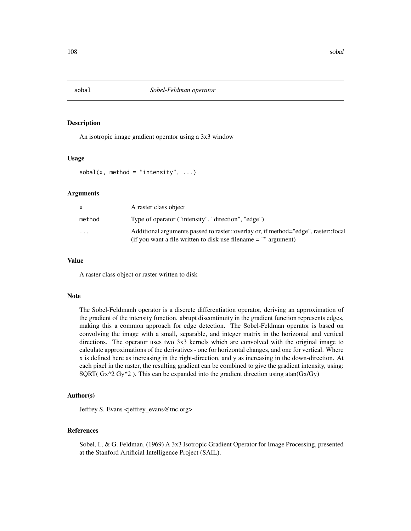An isotropic image gradient operator using a 3x3 window

#### Usage

```
sobal(x, method = "intensity", \dots)
```
## Arguments

|           | A raster class object                                                                                                                                   |
|-----------|---------------------------------------------------------------------------------------------------------------------------------------------------------|
| method    | Type of operator ("intensity", "direction", "edge")                                                                                                     |
| $\ddotsc$ | Additional arguments passed to raster::overlay or, if method="edge", raster::focal<br>(if you want a file written to disk use filename $=$ "" argument) |

## Value

A raster class object or raster written to disk

#### Note

The Sobel-Feldmanh operator is a discrete differentiation operator, deriving an approximation of the gradient of the intensity function. abrupt discontinuity in the gradient function represents edges, making this a common approach for edge detection. The Sobel-Feldman operator is based on convolving the image with a small, separable, and integer matrix in the horizontal and vertical directions. The operator uses two 3x3 kernels which are convolved with the original image to calculate approximations of the derivatives - one for horizontal changes, and one for vertical. Where x is defined here as increasing in the right-direction, and y as increasing in the down-direction. At each pixel in the raster, the resulting gradient can be combined to give the gradient intensity, using: SQRT(  $Gx^2Gy^2$ ). This can be expanded into the gradient direction using atan( $Gx/Gy$ )

## Author(s)

Jeffrey S. Evans <jeffrey\_evans@tnc.org>

## References

Sobel, I., & G. Feldman, (1969) A 3x3 Isotropic Gradient Operator for Image Processing, presented at the Stanford Artificial Intelligence Project (SAIL).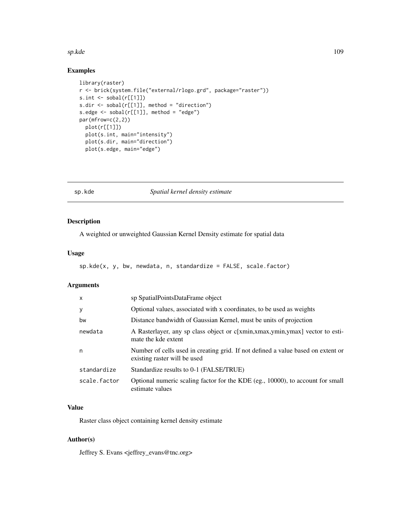#### <span id="page-108-0"></span>sp.kde to the state of the state of the state of the state of the state of the state of the state of the state of the state of the state of the state of the state of the state of the state of the state of the state of the

# Examples

```
library(raster)
r <- brick(system.file("external/rlogo.grd", package="raster"))
s.int \leq sobal(r[[1]])
s.dir <- sobal(r[[1]], method = "direction")
s.edge <- sobal(r[[1]], method = "edge")
par(mfrow=c(2,2))
  plot(r[[1]])
  plot(s.int, main="intensity")
  plot(s.dir, main="direction")
  plot(s.edge, main="edge")
```
sp.kde *Spatial kernel density estimate*

# Description

A weighted or unweighted Gaussian Kernel Density estimate for spatial data

### Usage

```
sp.kde(x, y, bw, newdata, n, standardize = FALSE, scale.factor)
```
# Arguments

| $\mathsf{x}$ | sp SpatialPointsDataFrame object                                                                                 |
|--------------|------------------------------------------------------------------------------------------------------------------|
| У            | Optional values, associated with x coordinates, to be used as weights                                            |
| bw           | Distance bandwidth of Gaussian Kernel, must be units of projection                                               |
| newdata      | A Rasterlayer, any sp class object or c[xmin,xmax,ymin,ymax] vector to esti-<br>mate the kde extent              |
| n            | Number of cells used in creating grid. If not defined a value based on extent or<br>existing raster will be used |
| standardize  | Standardize results to 0-1 (FALSE/TRUE)                                                                          |
| scale.factor | Optional numeric scaling factor for the KDE (eg., 10000), to account for small<br>estimate values                |

## Value

Raster class object containing kernel density estimate

# Author(s)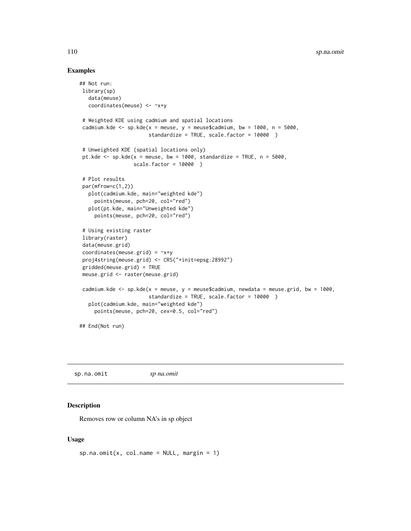#### Examples

```
## Not run:
library(sp)
  data(meuse)
  coordinates(meuse) <- ~x+y
 # Weighted KDE using cadmium and spatial locations
 cadmium.kde <- sp.kde(x = meuse, y = meuse$cadmium, bw = 1000, n = 5000,
                       standardize = TRUE, scale.factor = 10000 )
# Unweighted KDE (spatial locations only)
 pt.kde \leq sp.kde(x = meuse, bw = 1000, standardize = TRUE, n = 5000,
                  scale.factor = 10000 )
# Plot results
par(mfrow=c(1,2))
  plot(cadmium.kde, main="weighted kde")
     points(meuse, pch=20, col="red")
  plot(pt.kde, main="Unweighted kde")
     points(meuse, pch=20, col="red")
 # Using existing raster
library(raster)
data(meuse.grid)
coordinates(meuse.grid) = -x+yproj4string(meuse.grid) <- CRS("+init=epsg:28992")
gridded(meuse.grid) = TRUE
meuse.grid <- raster(meuse.grid)
cadmium.kde <- sp.kde(x = meuse, y = meuse$cadmium, newdata = meuse.grid, bw = 1000,
                       standardize = TRUE, scale.factor = 10000 )
  plot(cadmium.kde, main="weighted kde")
     points(meuse, pch=20, cex=0.5, col="red")
## End(Not run)
```
sp.na.omit *sp na.omit*

#### Description

Removes row or column NA's in sp object

# Usage

```
sp.na.omit(x, col.name = NULL, margin = 1)
```
<span id="page-109-0"></span>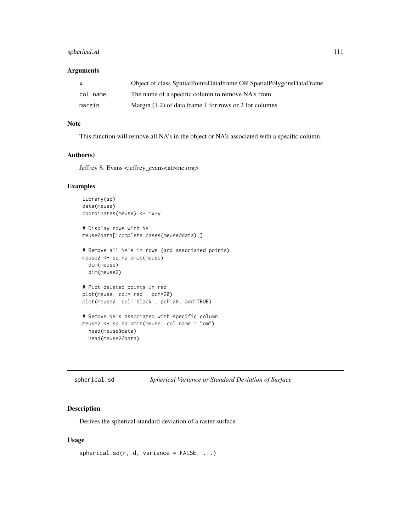# <span id="page-110-0"></span>spherical.sd 111

# Arguments

| X        | Object of class SpatialPointsDataFrame OR SpatialPolygonsDataFrame |
|----------|--------------------------------------------------------------------|
| col.name | The name of a specific column to remove NA's from                  |
| margin   | Margin $(1,2)$ of data.frame 1 for rows or 2 for columns           |

#### Note

This function will remove all NA's in the object or NA's associated with a specific column.

#### Author(s)

Jeffrey S. Evans <jeffrey\_evans<at>tnc.org>

# Examples

```
library(sp)
data(meuse)
coordinates(meuse) <- ~x+y
# Display rows with NA
meuse@data[!complete.cases(meuse@data),]
# Remove all NA's in rows (and associated points)
meuse2 <- sp.na.omit(meuse)
  dim(meuse)
  dim(meuse2)
# Plot deleted points in red
plot(meuse, col='red', pch=20)
plot(meuse2, col='black', pch=20, add=TRUE)
# Remove NA's associated with specific column
meuse2 <- sp.na.omit(meuse, col.name = "om")
 head(meuse@data)
  head(meuse2@data)
```

| Spherical Variance or Standard Deviation of Surface<br>spherical.sd |
|---------------------------------------------------------------------|
|---------------------------------------------------------------------|

# Description

Derives the spherical standard deviation of a raster surface

# Usage

```
spherical.sd(r, d, variance = FALSE, ...)
```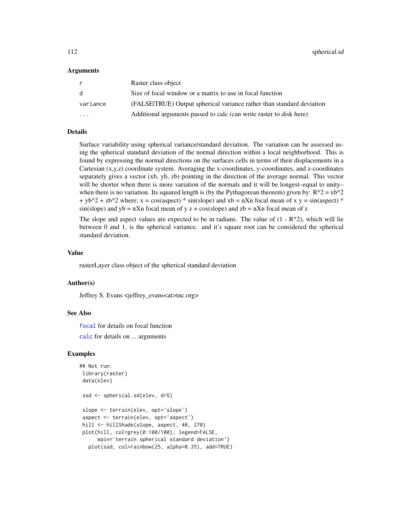#### <span id="page-111-0"></span>Arguments

| r                       | Raster class object                                                   |
|-------------------------|-----------------------------------------------------------------------|
| d                       | Size of focal window or a matrix to use in focal function             |
| variance                | (FALSEITRUE) Output spherical variance rather than standard deviation |
| $\cdot$ $\cdot$ $\cdot$ | Additional arguments passed to calc (can write raster to disk here)   |

# Details

Surface variability using spherical variance/standard deviation. The variation can be assessed using the spherical standard deviation of the normal direction within a local neighborhood. This is found by expressing the normal directions on the surfaces cells in terms of their displacements in a Cartesian (x,y,z) coordinate system. Averaging the x-coordinates, y-coordinates, and z-coordinates separately gives a vector (xb, yb, zb) pointing in the direction of the average normal. This vector will be shorter when there is more variation of the normals and it will be longest–equal to unity– when there is no variation. Its squared length is (by the Pythagorean theorem) given by:  $R^2 = xb^2$  $+ yb^2 + zb^2$  where; x = cos(aspect) \* sin(slope) and xb = nXn focal mean of x y = sin(aspect) \*  $sin(slope)$  and  $yb = nXn$  focal mean of y  $z = cos(slope)$  and  $zb = nXn$  focal mean of z

The slope and aspect values are expected to be in radians. The value of  $(1 - R^2)$ , which will lie between 0 and 1, is the spherical variance. and it's square root can be considered the spherical standard deviation.

#### Value

rasterLayer class object of the spherical standard deviation

# Author(s)

Jeffrey S. Evans <jeffrey\_evans<at>tnc.org>

#### See Also

[focal](#page-0-0) for details on focal function

[calc](#page-0-0) for details on ... arguments

#### Examples

```
## Not run:
library(raster)
data(elev)
ssd <- spherical.sd(elev, d=5)
slope <- terrain(elev, opt='slope')
aspect <- terrain(elev, opt='aspect')
hill <- hillShade(slope, aspect, 40, 270)
plot(hill, col=grey(0:100/100), legend=FALSE,
     main='terrain spherical standard deviation')
  plot(ssd, col=rainbow(25, alpha=0.35), add=TRUE)
```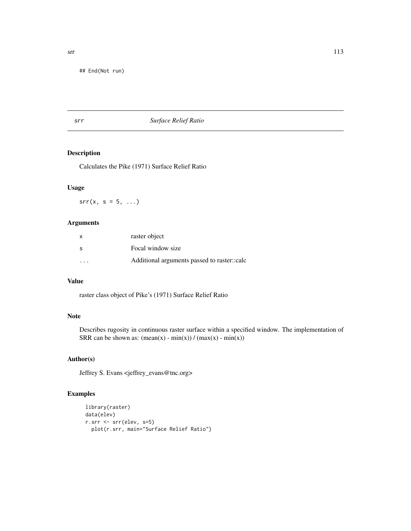## End(Not run)

# srr *Surface Relief Ratio*

# Description

Calculates the Pike (1971) Surface Relief Ratio

# Usage

 $srr(x, s = 5, ...)$ 

#### Arguments

| X  | raster object                               |
|----|---------------------------------------------|
| -S | Focal window size                           |
| .  | Additional arguments passed to raster.:calc |

# Value

raster class object of Pike's (1971) Surface Relief Ratio

# Note

Describes rugosity in continuous raster surface within a specified window. The implementation of SRR can be shown as:  $(\text{mean}(x) - \text{min}(x)) / (\text{max}(x) - \text{min}(x))$ 

# Author(s)

Jeffrey S. Evans <jeffrey\_evans@tnc.org>

# Examples

```
library(raster)
data(elev)
r.srr <- srr(elev, s=5)
 plot(r.srr, main="Surface Relief Ratio")
```
<span id="page-112-0"></span>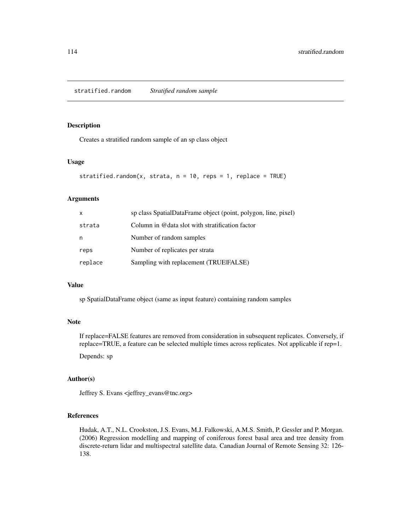# <span id="page-113-0"></span>Description

Creates a stratified random sample of an sp class object

# Usage

```
stratified.random(x, strata, n = 10, reps = 1, replace = TRUE)
```
# Arguments

| X       | sp class SpatialDataFrame object (point, polygon, line, pixel) |
|---------|----------------------------------------------------------------|
| strata  | Column in @data slot with stratification factor                |
| n       | Number of random samples                                       |
| reps    | Number of replicates per strata                                |
| replace | Sampling with replacement (TRUEFALSE)                          |

#### Value

sp SpatialDataFrame object (same as input feature) containing random samples

# Note

If replace=FALSE features are removed from consideration in subsequent replicates. Conversely, if replace=TRUE, a feature can be selected multiple times across replicates. Not applicable if rep=1.

Depends: sp

#### Author(s)

Jeffrey S. Evans <jeffrey\_evans@tnc.org>

# References

Hudak, A.T., N.L. Crookston, J.S. Evans, M.J. Falkowski, A.M.S. Smith, P. Gessler and P. Morgan. (2006) Regression modelling and mapping of coniferous forest basal area and tree density from discrete-return lidar and multispectral satellite data. Canadian Journal of Remote Sensing 32: 126- 138.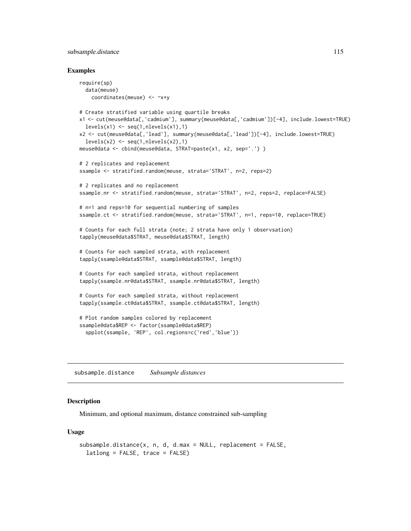# <span id="page-114-0"></span>subsample.distance 115

#### Examples

```
require(sp)
 data(meuse)
   coordinates(meuse) <- ~x+y
# Create stratified variable using quartile breaks
x1 <- cut(meuse@data[,'cadmium'], summary(meuse@data[,'cadmium'])[-4], include.lowest=TRUE)
 levels(x1) \leftarrow seq(1, nlevels(x1), 1)x2 <- cut(meuse@data[,'lead'], summary(meuse@data[,'lead'])[-4], include.lowest=TRUE)
 levels(x2) \leftarrow seq(1, nlevels(x2), 1)meuse@data <- cbind(meuse@data, STRAT=paste(x1, x2, sep='.') )
# 2 replicates and replacement
ssample <- stratified.random(meuse, strata='STRAT', n=2, reps=2)
# 2 replicates and no replacement
ssample.nr <- stratified.random(meuse, strata='STRAT', n=2, reps=2, replace=FALSE)
# n=1 and reps=10 for sequential numbering of samples
ssample.ct <- stratified.random(meuse, strata='STRAT', n=1, reps=10, replace=TRUE)
# Counts for each full strata (note; 2 strata have only 1 observsation)
tapply(meuse@data$STRAT, meuse@data$STRAT, length)
# Counts for each sampled strata, with replacement
tapply(ssample@data$STRAT, ssample@data$STRAT, length)
# Counts for each sampled strata, without replacement
tapply(ssample.nr@data$STRAT, ssample.nr@data$STRAT, length)
# Counts for each sampled strata, without replacement
tapply(ssample.ct@data$STRAT, ssample.ct@data$STRAT, length)
# Plot random samples colored by replacement
ssample@data$REP <- factor(ssample@data$REP)
  spplot(ssample, 'REP', col.regions=c('red','blue'))
```
subsample.distance *Subsample distances*

# Description

Minimum, and optional maximum, distance constrained sub-sampling

# Usage

```
subsample.distance(x, n, d, d.max = NULL, replacement = FALSE,
  latlong = FALSE, trace = FALSE)
```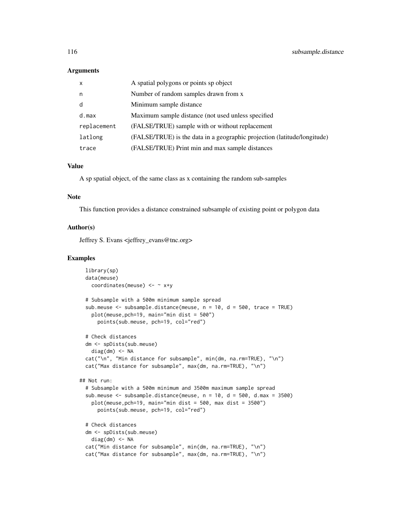#### **Arguments**

| $\mathsf{x}$ | A spatial polygons or points sp object                                   |
|--------------|--------------------------------------------------------------------------|
| n            | Number of random samples drawn from x                                    |
| d            | Minimum sample distance                                                  |
| d.max        | Maximum sample distance (not used unless specified                       |
| replacement  | (FALSE/TRUE) sample with or without replacement                          |
| latlong      | (FALSE/TRUE) is the data in a geographic projection (latitude/longitude) |
| trace        | (FALSE/TRUE) Print min and max sample distances                          |

#### Value

A sp spatial object, of the same class as x containing the random sub-samples

#### Note

This function provides a distance constrained subsample of existing point or polygon data

#### Author(s)

Jeffrey S. Evans <jeffrey\_evans@tnc.org>

# Examples

```
library(sp)
 data(meuse)
   coordinates(meuse) <- ~ x+y
 # Subsample with a 500m minimum sample spread
 sub.meuse <- subsample.distance(meuse, n = 10, d = 500, trace = TRUE)
   plot(meuse,pch=19, main="min dist = 500")
     points(sub.meuse, pch=19, col="red")
 # Check distances
 dm <- spDists(sub.meuse)
   diag(dm) <- NA
 cat("\n", "Min distance for subsample", min(dm, na.rm=TRUE), "\n")
 cat("Max distance for subsample", max(dm, na.rm=TRUE), "\n")
## Not run:
 # Subsample with a 500m minimum and 3500m maximum sample spread
 sub.meuse <- subsample.distance(meuse, n = 10, d = 500, d.max = 3500)
   plot(meuse,pch=19, main="min dist = 500, max dist = 3500")
     points(sub.meuse, pch=19, col="red")
 # Check distances
 dm <- spDists(sub.meuse)
   diag(dm) <- NA
 cat("Min distance for subsample", min(dm, na.rm=TRUE), "\n")
 cat("Max distance for subsample", max(dm, na.rm=TRUE), "\n")
```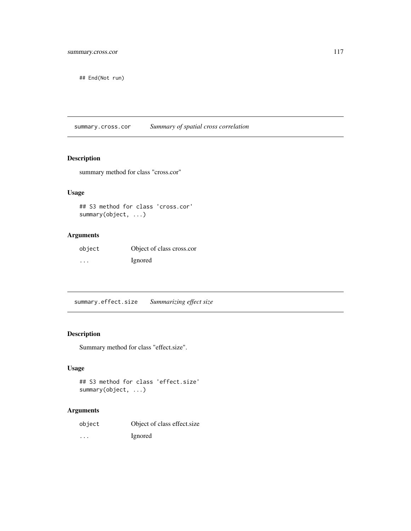<span id="page-116-0"></span>## End(Not run)

summary.cross.cor *Summary of spatial cross correlation*

# Description

summary method for class "cross.cor"

# Usage

## S3 method for class 'cross.cor' summary(object, ...)

# Arguments

| object  | Object of class cross.cor |
|---------|---------------------------|
| $\cdot$ | Ignored                   |

summary.effect.size *Summarizing effect size*

# Description

Summary method for class "effect.size".

# Usage

```
## S3 method for class 'effect.size'
summary(object, ...)
```
# Arguments

| object | Object of class effect size |
|--------|-----------------------------|
| .      | Ignored                     |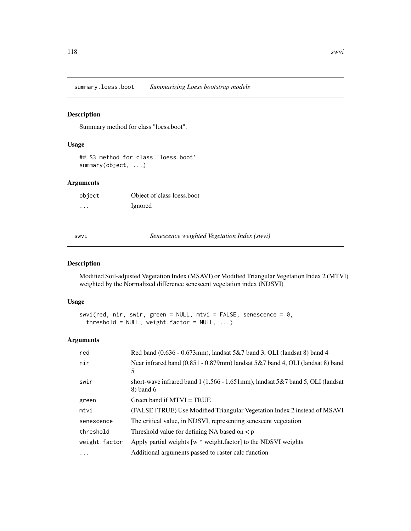<span id="page-117-0"></span>summary.loess.boot *Summarizing Loess bootstrap models*

# Description

Summary method for class "loess.boot".

# Usage

## S3 method for class 'loess.boot' summary(object, ...)

# Arguments

| object | Object of class loess.boot |
|--------|----------------------------|
| .      | Ignored                    |

swvi *Senescence weighted Vegetation Index (swvi)*

# Description

Modified Soil-adjusted Vegetation Index (MSAVI) or Modified Triangular Vegetation Index 2 (MTVI) weighted by the Normalized difference senescent vegetation index (NDSVI)

# Usage

```
swvi(red, nir, swir, green = NULL, mtvi = FALSE, senescence = 0,
  threshold = NULL, weight.factor = NULL, ...)
```
# Arguments

| red           | Red band (0.636 - 0.673mm), landsat 5&7 band 3, OLI (landsat 8) band 4                                     |
|---------------|------------------------------------------------------------------------------------------------------------|
| nir           | Near infrared band $(0.851 - 0.879$ mm) landsat $5&7$ band 4, OLI (landsat 8) band<br>5                    |
| swir          | short-wave infrared band $1(1.566 - 1.651 \text{mm})$ , landsat $5&7$ band $5$ , OLI (landsat<br>8) band 6 |
| green         | Green band if $MTVI = TRUE$                                                                                |
| mtvi          | (FALSE   TRUE) Use Modified Triangular Vegetation Index 2 instead of MSAVI                                 |
| senescence    | The critical value, in NDSVI, representing senescent vegetation                                            |
| threshold     | Threshold value for defining NA based on $\lt p$                                                           |
| weight.factor | Apply partial weights [w * weight.factor] to the NDSVI weights                                             |
| .             | Additional arguments passed to raster calc function                                                        |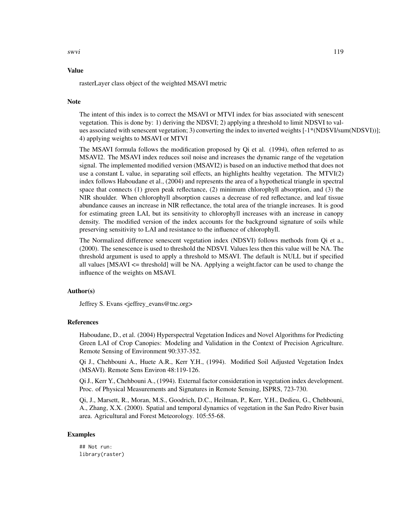swvi 119

#### Value

rasterLayer class object of the weighted MSAVI metric

#### Note

The intent of this index is to correct the MSAVI or MTVI index for bias associated with senescent vegetation. This is done by: 1) deriving the NDSVI; 2) applying a threshold to limit NDSVI to values associated with senescent vegetation; 3) converting the index to inverted weights [-1\*(NDSVI/sum(NDSVI))]; 4) applying weights to MSAVI or MTVI

The MSAVI formula follows the modification proposed by Qi et al. (1994), often referred to as MSAVI2. The MSAVI index reduces soil noise and increases the dynamic range of the vegetation signal. The implemented modified version (MSAVI2) is based on an inductive method that does not use a constant L value, in separating soil effects, an highlights healthy vegetation. The MTVI(2) index follows Haboudane et al., (2004) and represents the area of a hypothetical triangle in spectral space that connects (1) green peak reflectance, (2) minimum chlorophyll absorption, and (3) the NIR shoulder. When chlorophyll absorption causes a decrease of red reflectance, and leaf tissue abundance causes an increase in NIR reflectance, the total area of the triangle increases. It is good for estimating green LAI, but its sensitivity to chlorophyll increases with an increase in canopy density. The modified version of the index accounts for the background signature of soils while preserving sensitivity to LAI and resistance to the influence of chlorophyll.

The Normalized difference senescent vegetation index (NDSVI) follows methods from Qi et a., (2000). The senescence is used to threshold the NDSVI. Values less then this value will be NA. The threshold argument is used to apply a threshold to MSAVI. The default is NULL but if specified all values [MSAVI <= threshold] will be NA. Applying a weight.factor can be used to change the influence of the weights on MSAVI.

# Author(s)

Jeffrey S. Evans <jeffrey\_evans@tnc.org>

#### References

Haboudane, D., et al. (2004) Hyperspectral Vegetation Indices and Novel Algorithms for Predicting Green LAI of Crop Canopies: Modeling and Validation in the Context of Precision Agriculture. Remote Sensing of Environment 90:337-352.

Qi J., Chehbouni A., Huete A.R., Kerr Y.H., (1994). Modified Soil Adjusted Vegetation Index (MSAVI). Remote Sens Environ 48:119-126.

Qi J., Kerr Y., Chehbouni A., (1994). External factor consideration in vegetation index development. Proc. of Physical Measurements and Signatures in Remote Sensing, ISPRS, 723-730.

Qi, J., Marsett, R., Moran, M.S., Goodrich, D.C., Heilman, P., Kerr, Y.H., Dedieu, G., Chehbouni, A., Zhang, X.X. (2000). Spatial and temporal dynamics of vegetation in the San Pedro River basin area. Agricultural and Forest Meteorology. 105:55-68.

#### Examples

## Not run: library(raster)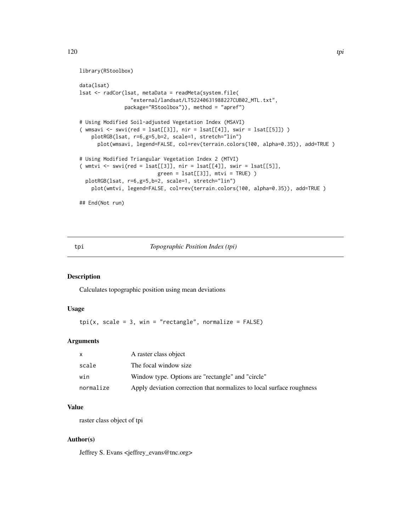```
library(RStoolbox)
```

```
data(lsat)
lsat <- radCor(lsat, metaData = readMeta(system.file(
                 "external/landsat/LT52240631988227CUB02_MTL.txt",
               package="RStoolbox")), method = "apref")
# Using Modified Soil-adjusted Vegetation Index (MSAVI)
( wmsavi \le swvi(red = lsat[[3]], nir = lsat[[4]], swir = lsat[[5]]) )
   plotRGB(lsat, r=6,g=5,b=2, scale=1, stretch="lin")
     plot(wmsavi, legend=FALSE, col=rev(terrain.colors(100, alpha=0.35)), add=TRUE )
# Using Modified Triangular Vegetation Index 2 (MTVI)
( wmtvi \le swvi(red = lsat[[3]], nir = lsat[[4]], swir = lsat[[5]],
                          green = 1sat[[3]], mitvi = TRUE))
 plotRGB(lsat, r=6,g=5,b=2, scale=1, stretch="lin")
   plot(wmtvi, legend=FALSE, col=rev(terrain.colors(100, alpha=0.35)), add=TRUE )
## End(Not run)
```
tpi *Topographic Position Index (tpi)*

# Description

Calculates topographic position using mean deviations

#### Usage

```
\text{tni}(x, \text{ scale} = 3, \text{ win} = \text{"rectangle", normalize} = \text{FALSE})
```
# Arguments

| X         | A raster class object                                                 |
|-----------|-----------------------------------------------------------------------|
| scale     | The focal window size.                                                |
| win       | Window type. Options are "rectangle" and "circle"                     |
| normalize | Apply deviation correction that normalizes to local surface roughness |

#### Value

raster class object of tpi

# Author(s)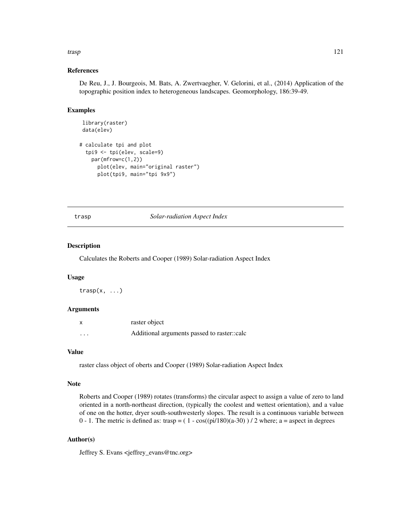#### <span id="page-120-0"></span>trasp 121

#### References

De Reu, J., J. Bourgeois, M. Bats, A. Zwertvaegher, V. Gelorini, et al., (2014) Application of the topographic position index to heterogeneous landscapes. Geomorphology, 186:39-49.

# Examples

```
library(raster)
data(elev)
# calculate tpi and plot
 tpi9 <- tpi(elev, scale=9)
   par(mfrow=c(1,2))
     plot(elev, main="original raster")
     plot(tpi9, main="tpi 9x9")
```
#### trasp *Solar-radiation Aspect Index*

#### Description

Calculates the Roberts and Cooper (1989) Solar-radiation Aspect Index

#### Usage

 $transp(x, \ldots)$ 

# Arguments

|                         | raster object                               |
|-------------------------|---------------------------------------------|
| $\cdot$ $\cdot$ $\cdot$ | Additional arguments passed to raster::calc |

#### Value

raster class object of oberts and Cooper (1989) Solar-radiation Aspect Index

#### Note

Roberts and Cooper (1989) rotates (transforms) the circular aspect to assign a value of zero to land oriented in a north-northeast direction, (typically the coolest and wettest orientation), and a value of one on the hotter, dryer south-southwesterly slopes. The result is a continuous variable between 0 - 1. The metric is defined as: trasp =  $(1 - cos((pi/180)(a-30))$  / 2 where; a = aspect in degrees

#### Author(s)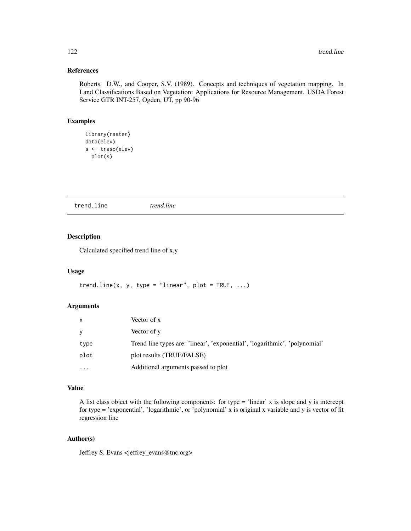# <span id="page-121-0"></span>References

Roberts. D.W., and Cooper, S.V. (1989). Concepts and techniques of vegetation mapping. In Land Classifications Based on Vegetation: Applications for Resource Management. USDA Forest Service GTR INT-257, Ogden, UT, pp 90-96

# Examples

```
library(raster)
data(elev)
s <- trasp(elev)
 plot(s)
```
trend.line *trend.line*

# Description

Calculated specified trend line of x,y

#### Usage

```
trend.line(x, y, type = "linear", plot = TRUE, \dots)
```
#### Arguments

| X         | Vector of x                                                                |
|-----------|----------------------------------------------------------------------------|
| V         | Vector of y                                                                |
| type      | Trend line types are: 'linear', 'exponential', 'logarithmic', 'polynomial' |
| plot      | plot results (TRUE/FALSE)                                                  |
| $\ddotsc$ | Additional arguments passed to plot                                        |

# Value

A list class object with the following components: for type = 'linear' x is slope and y is intercept for type = 'exponential', 'logarithmic', or 'polynomial' x is original x variable and y is vector of fit regression line

# Author(s)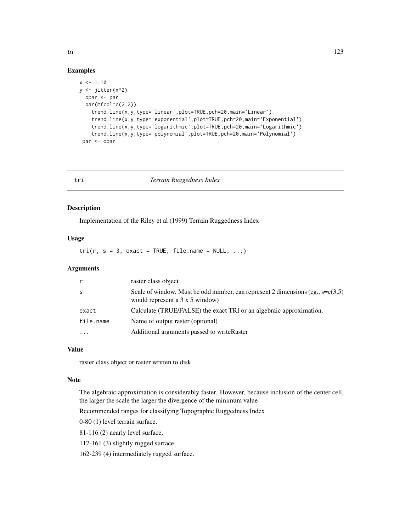# Examples

```
x \le -1:10y \leftarrow jitter(x^2)
  opar <- par
  par(mfcol=c(2,2))trend.line(x,y,type='linear',plot=TRUE,pch=20,main='Linear')
    trend.line(x,y,type='exponential',plot=TRUE,pch=20,main='Exponential')
    trend.line(x,y,type='logarithmic',plot=TRUE,pch=20,main='Logarithmic')
    trend.line(x,y,type='polynomial',plot=TRUE,pch=20,main='Polynomial')
 par <- opar
```
#### tri *Terrain Ruggedness Index*

#### Description

Implementation of the Riley et al (1999) Terrain Ruggedness Index

#### Usage

 $tri(r, s = 3, exact = TRUE, file.name = NULL, ...)$ 

#### **Arguments**

|           | raster class object                                                                                                            |
|-----------|--------------------------------------------------------------------------------------------------------------------------------|
| -S        | Scale of window. Must be odd number, can represent 2 dimensions (eg., $s = c(3,5)$ )<br>would represent a $3 \times 5$ window) |
| exact     | Calculate (TRUE/FALSE) the exact TRI or an algebraic approximation.                                                            |
| file.name | Name of output raster (optional)                                                                                               |
|           | Additional arguments passed to writeRaster                                                                                     |

# Value

raster class object or raster written to disk

#### Note

The algebraic approximation is considerably faster. However, because inclusion of the center cell, the larger the scale the larger the divergence of the minimum value

Recommended ranges for classifying Topographic Ruggedness Index

0-80 (1) level terrain surface.

81-116 (2) nearly level surface.

117-161 (3) slightly rugged surface.

162-239 (4) intermediately rugged surface.

<span id="page-122-0"></span>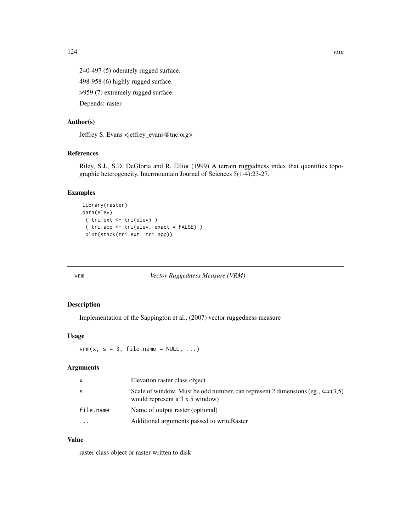<span id="page-123-0"></span>124 vrm

240-497 (5) oderately rugged surface. 498-958 (6) highly rugged surface.

>959 (7) extremely rugged surface.

Depends: raster

# Author(s)

Jeffrey S. Evans <jeffrey\_evans@tnc.org>

# References

Riley, S.J., S.D. DeGloria and R. Elliot (1999) A terrain ruggedness index that quantifies topographic heterogeneity, Intermountain Journal of Sciences 5(1-4):23-27.

# Examples

```
library(raster)
data(elev)
 ( tri.ext <- tri(elev) )
 ( tri.app <- tri(elev, exact = FALSE) )
 plot(stack(tri.ext, tri.app))
```
vrm *Vector Ruggedness Measure (VRM)*

#### Description

Implementation of the Sappington et al., (2007) vector ruggedness measure

#### Usage

 $vrm(x, s = 3, file.name = NULL, ...)$ 

#### Arguments

| $\mathsf{x}$            | Elevation raster class object                                                                                                  |
|-------------------------|--------------------------------------------------------------------------------------------------------------------------------|
| -S                      | Scale of window. Must be odd number, can represent 2 dimensions (eg., $s = c(3,5)$ )<br>would represent a $3 \times 5$ window) |
| file.name               | Name of output raster (optional)                                                                                               |
| $\cdot$ $\cdot$ $\cdot$ | Additional arguments passed to write Raster                                                                                    |

# Value

raster class object or raster written to disk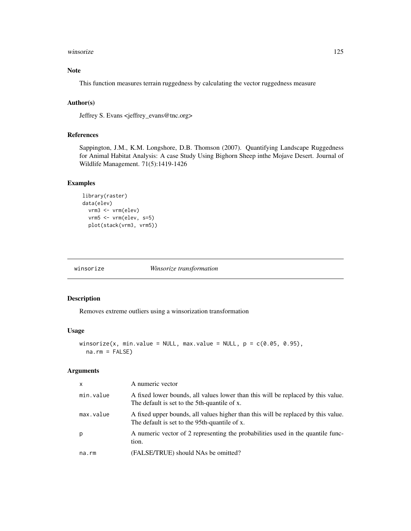#### <span id="page-124-0"></span>winsorize 125

# Note

This function measures terrain ruggedness by calculating the vector ruggedness measure

# Author(s)

Jeffrey S. Evans <jeffrey\_evans@tnc.org>

# References

Sappington, J.M., K.M. Longshore, D.B. Thomson (2007). Quantifying Landscape Ruggedness for Animal Habitat Analysis: A case Study Using Bighorn Sheep inthe Mojave Desert. Journal of Wildlife Management. 71(5):1419-1426

# Examples

```
library(raster)
data(elev)
 vrm3 <- vrm(elev)
 vrm5 <- vrm(elev, s=5)
 plot(stack(vrm3, vrm5))
```

| winsorize | Winsorize transformation |
|-----------|--------------------------|
|-----------|--------------------------|

# Description

Removes extreme outliers using a winsorization transformation

#### Usage

```
winsorize(x, min.value = NULL, max.value = NULL, p = c(0.05, 0.95),
 na.rm = FALSE)
```
# Arguments

| $\mathsf{x}$ | A numeric vector                                                                                                                   |
|--------------|------------------------------------------------------------------------------------------------------------------------------------|
| min.value    | A fixed lower bounds, all values lower than this will be replaced by this value.<br>The default is set to the 5th-quantile of x.   |
| max.value    | A fixed upper bounds, all values higher than this will be replaced by this value.<br>The default is set to the 95th-quantile of x. |
| p            | A numeric vector of 2 representing the probabilities used in the quantile func-<br>tion.                                           |
| na.rm        | (FALSE/TRUE) should NAs be omitted?                                                                                                |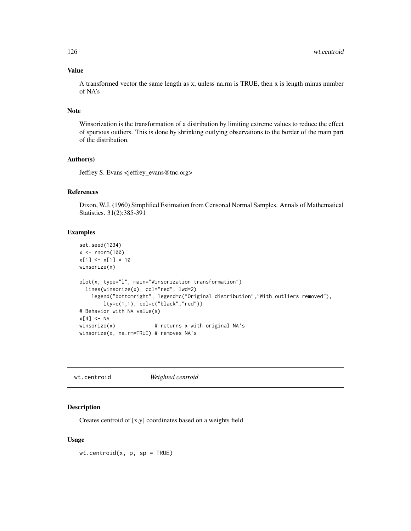# Value

A transformed vector the same length as x, unless na.rm is TRUE, then x is length minus number of NA's

### Note

Winsorization is the transformation of a distribution by limiting extreme values to reduce the effect of spurious outliers. This is done by shrinking outlying observations to the border of the main part of the distribution.

#### Author(s)

Jeffrey S. Evans <jeffrey\_evans@tnc.org>

# References

Dixon, W.J. (1960) Simplified Estimation from Censored Normal Samples. Annals of Mathematical Statistics. 31(2):385-391

# Examples

```
set.seed(1234)
x \le - rnorm(100)
x[1] < -x[1] * 10winsorize(x)
plot(x, type="l", main="Winsorization transformation")
  lines(winsorize(x), col="red", lwd=2)
    legend("bottomright", legend=c("Original distribution","With outliers removed"),
       lty=c(1,1), col=c("black","red"))
# Behavior with NA value(s)
x[4] < -NAwinsorize(x) \qquad # returns x with original NA's
winsorize(x, na.rm=TRUE) # removes NA's
```
wt.centroid *Weighted centroid*

#### Description

Creates centroid of [x,y] coordinates based on a weights field

#### Usage

 $wt.centroid(x, p, sp = TRUE)$ </u>

<span id="page-125-0"></span>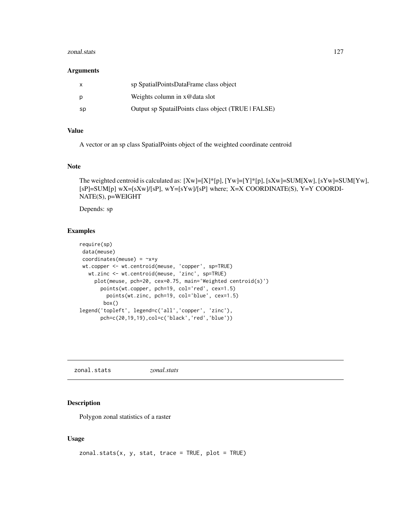#### <span id="page-126-0"></span>zonal.stats 127

#### **Arguments**

| $\mathsf{x}$ | sp SpatialPointsDataFrame class object              |
|--------------|-----------------------------------------------------|
| p            | Weights column in $x@data$ slot                     |
| sp           | Output sp SpatailPoints class object (TRUE   FALSE) |

# Value

A vector or an sp class SpatialPoints object of the weighted coordinate centroid

### Note

```
The weighted centroid is calculated as: [Xw]=[X]*[p], [Yw]=[Y]*[p], [sXw]=SUM[Xw], [sYw]=SUM[Yw],
[sP]=SUM[p] wX=[sXw]/[sP], wY=[sYw]/[sP] where; X=X COORDINATE(S), Y=Y COORDI-
NATE(S), p=WEIGHT
```
Depends: sp

# Examples

```
require(sp)
data(meuse)
coordinates(meuse) = -x+ywt.copper <- wt.centroid(meuse, 'copper', sp=TRUE)
  wt.zinc <- wt.centroid(meuse, 'zinc', sp=TRUE)
    plot(meuse, pch=20, cex=0.75, main='Weighted centroid(s)')
      points(wt.copper, pch=19, col='red', cex=1.5)
        points(wt.zinc, pch=19, col='blue', cex=1.5)
       box()
legend('topleft', legend=c('all','copper', 'zinc'),
      pch=c(20,19,19),col=c('black','red','blue'))
```
zonal.stats *zonal.stats*

#### Description

Polygon zonal statistics of a raster

#### Usage

```
zonal.stats(x, y, stat, trace = TRUE, plot = TRUE)
```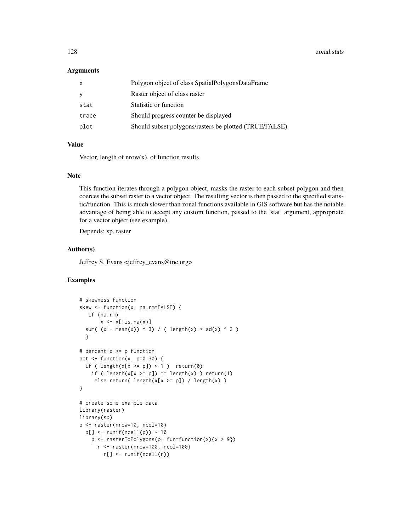128 zonal.stats and the set of the set of the set of the set of the set of the set of the set of the set of the set of the set of the set of the set of the set of the set of the set of the set of the set of the set of the

#### **Arguments**

| Polygon object of class SpatialPolygonsDataFrame<br>x          |  |
|----------------------------------------------------------------|--|
| Raster object of class raster<br>٧                             |  |
| Statistic or function<br>stat                                  |  |
| Should progress counter be displayed<br>trace                  |  |
| Should subset polygons/rasters be plotted (TRUE/FALSE)<br>plot |  |

# Value

Vector, length of  $nrow(x)$ , of function results

# Note

This function iterates through a polygon object, masks the raster to each subset polygon and then coerces the subset raster to a vector object. The resulting vector is then passed to the specified statistic/function. This is much slower than zonal functions available in GIS software but has the notable advantage of being able to accept any custom function, passed to the 'stat' argument, appropriate for a vector object (see example).

Depends: sp, raster

#### Author(s)

Jeffrey S. Evans <jeffrey\_evans@tnc.org>

#### Examples

```
# skewness function
skew <- function(x, na.rm=FALSE) {
   if (na.rm)
       x \leftarrow x[:is.na(x)]sum( (x - \text{mean}(x)) ^ 3) / ( length(x) * sd(x) ^ 3 )
  }
# percent x >= p function
pct \le function(x, p=0.30) {
  if ( length(x[x >= p]) < 1 ) return(0)
    if ( length(x[x \ge p]) == length(x) ) return(1)
     else return( length(x[x >= p]) / length(x) )
}
# create some example data
library(raster)
library(sp)
p <- raster(nrow=10, ncol=10)
  p[] \leftarrow runif(ncell(p)) * 10p \leftarrow rasterToPolygons(p, fun=function(x){x > 9})
      r <- raster(nrow=100, ncol=100)
        r[] <- runif(ncell(r))
```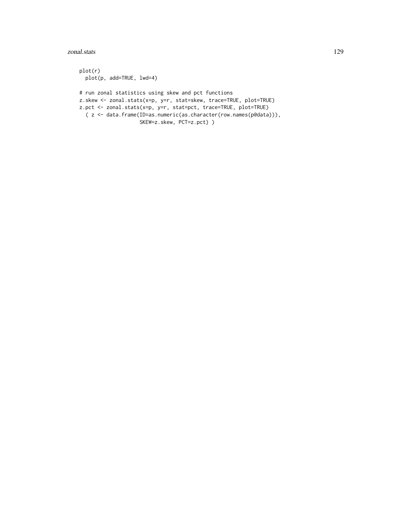plot(r) plot(p, add=TRUE, lwd=4) # run zonal statistics using skew and pct functions z.skew <- zonal.stats(x=p, y=r, stat=skew, trace=TRUE, plot=TRUE) z.pct <- zonal.stats(x=p, y=r, stat=pct, trace=TRUE, plot=TRUE) ( z <- data.frame(ID=as.numeric(as.character(row.names(p@data))), SKEW=z.skew, PCT=z.pct) )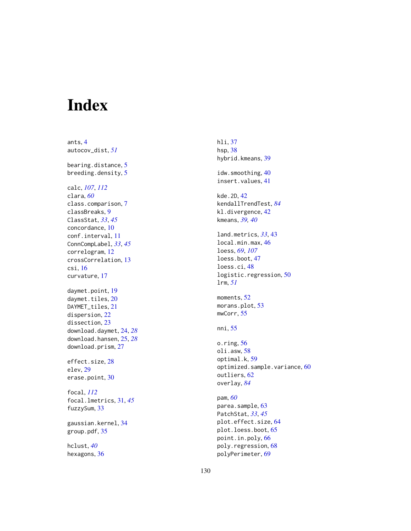# Index

ants , [4](#page-3-0) autocov\_dist , *[51](#page-50-0)* bearing.distance, [5](#page-4-0) breeding.density, [5](#page-4-0) calc , *[107](#page-106-0)* , *[112](#page-111-0)* clara , *[60](#page-59-0)* class.comparison , [7](#page-6-0) classBreaks , [9](#page-8-0) ClassStat , *[33](#page-32-0)* , *[45](#page-44-0)* concordance , [10](#page-9-0) conf.interval , [11](#page-10-0) ConnCompLabel , *[33](#page-32-0)* , *[45](#page-44-0)* correlogram , [12](#page-11-0) crossCorrelation , [13](#page-12-0) csi , [16](#page-15-0) curvature , [17](#page-16-0) daymet.point, [19](#page-18-0) daymet.tiles, [20](#page-19-0) DAYMET\_tiles, [21](#page-20-0) dispersion , [22](#page-21-0) dissection , [23](#page-22-0) download.daymet , [24](#page-23-0) , *[28](#page-27-0)* download.hansen , [25](#page-24-0) , *[28](#page-27-0)* download.prism , [27](#page-26-0) effect.size, [28](#page-27-0) elev , [29](#page-28-0) erase.point, [30](#page-29-0) focal , *[112](#page-111-0)* focal.lmetrics , [31](#page-30-0) , *[45](#page-44-0)* fuzzySum , [33](#page-32-0) gaussian.kernel , [34](#page-33-0) group.pdf, [35](#page-34-0) hclust , *[40](#page-39-0)*

hexagons, [36](#page-35-0)

hli , [37](#page-36-0) hsp , [38](#page-37-0) hybrid.kmeans, <mark>[39](#page-38-0)</mark> idw.smoothing, [40](#page-39-0) insert.values , [41](#page-40-0) kde.2D, [42](#page-41-0) kendallTrendTest , *[84](#page-83-0)* kl.divergence, [42](#page-41-0) kmeans , *[39](#page-38-0) , [40](#page-39-0)* land.metrics , *[33](#page-32-0)* , [43](#page-42-0) local.min.max , [46](#page-45-0) loess , *[69](#page-68-0)* , *[107](#page-106-0)* loess.boot , [47](#page-46-0) loess.ci , [48](#page-47-0) logistic.regression , [50](#page-49-0) lrm , *[51](#page-50-0)* moments, [52](#page-51-0) morans.plot, [53](#page-52-0) mwCorr , [55](#page-54-0) nni, <mark>[55](#page-54-0)</mark> o.ring, [56](#page-55-0) oli.asw, <mark>[58](#page-57-0)</mark> optimal.k , [59](#page-58-0)  $\mathsf{optimized}.\mathsf{sample}.\mathsf{variance}, 60$  $\mathsf{optimized}.\mathsf{sample}.\mathsf{variance}, 60$ outliers, <mark>[62](#page-61-0)</mark> overlay , *[84](#page-83-0)* pam , *[60](#page-59-0)* parea.sample, [63](#page-62-0) PatchStat , *[33](#page-32-0)* , *[45](#page-44-0)* plot.effect.size , [64](#page-63-0) plot.loess.boot , [65](#page-64-0) point.in.poly , [66](#page-65-0) poly.regression , [68](#page-67-0)

polyPerimeter , [69](#page-68-0)